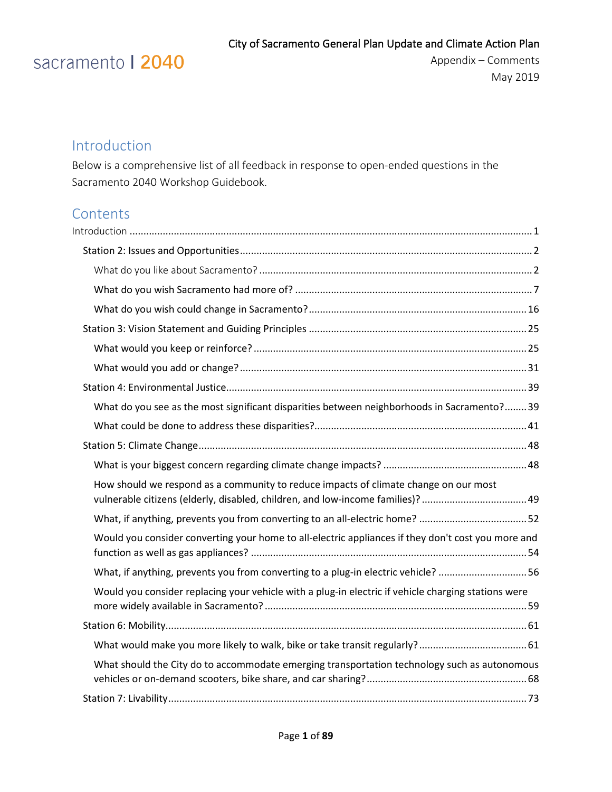# sacramento | 2040

Appendix – Comments May 2019

### <span id="page-0-0"></span>Introduction

Below is a comprehensive list of all feedback in response to open-ended questions in the Sacramento 2040 Workshop Guidebook.

### **Contents**

| What do you see as the most significant disparities between neighborhoods in Sacramento?39                                                                            |  |
|-----------------------------------------------------------------------------------------------------------------------------------------------------------------------|--|
|                                                                                                                                                                       |  |
|                                                                                                                                                                       |  |
|                                                                                                                                                                       |  |
| How should we respond as a community to reduce impacts of climate change on our most<br>vulnerable citizens (elderly, disabled, children, and low-income families)?49 |  |
|                                                                                                                                                                       |  |
| Would you consider converting your home to all-electric appliances if they don't cost you more and                                                                    |  |
| What, if anything, prevents you from converting to a plug-in electric vehicle? 56                                                                                     |  |
| Would you consider replacing your vehicle with a plug-in electric if vehicle charging stations were                                                                   |  |
|                                                                                                                                                                       |  |
|                                                                                                                                                                       |  |
| What should the City do to accommodate emerging transportation technology such as autonomous                                                                          |  |
|                                                                                                                                                                       |  |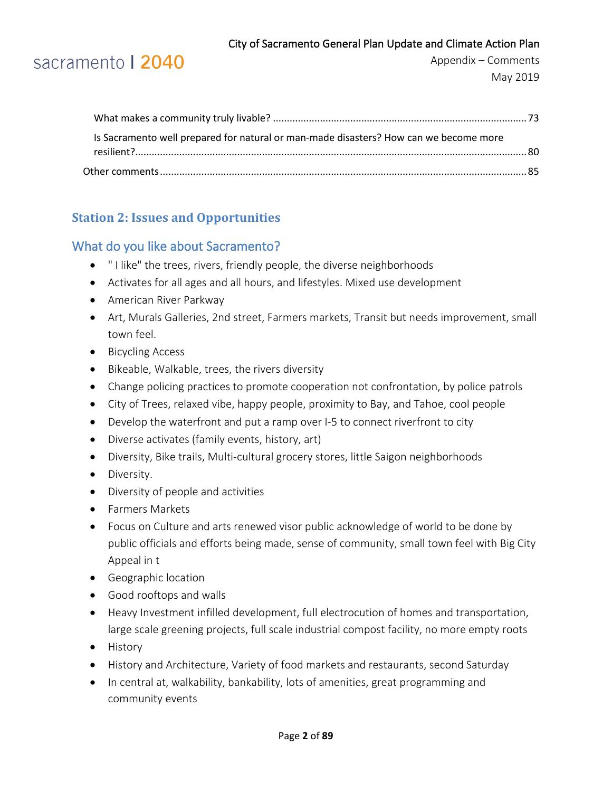

| Is Sacramento well prepared for natural or man-made disasters? How can we become more |  |
|---------------------------------------------------------------------------------------|--|
|                                                                                       |  |
|                                                                                       |  |

### <span id="page-1-0"></span>**Station 2: Issues and Opportunities**

### <span id="page-1-1"></span>What do you like about Sacramento?

- " I like" the trees, rivers, friendly people, the diverse neighborhoods
- Activates for all ages and all hours, and lifestyles. Mixed use development
- American River Parkway
- Art, Murals Galleries, 2nd street, Farmers markets, Transit but needs improvement, small town feel.
- Bicycling Access
- Bikeable, Walkable, trees, the rivers diversity
- Change policing practices to promote cooperation not confrontation, by police patrols
- City of Trees, relaxed vibe, happy people, proximity to Bay, and Tahoe, cool people
- Develop the waterfront and put a ramp over I-5 to connect riverfront to city
- Diverse activates (family events, history, art)
- Diversity, Bike trails, Multi-cultural grocery stores, little Saigon neighborhoods
- Diversity.
- Diversity of people and activities
- Farmers Markets
- Focus on Culture and arts renewed visor public acknowledge of world to be done by public officials and efforts being made, sense of community, small town feel with Big City Appeal in t
- Geographic location
- Good rooftops and walls
- Heavy Investment infilled development, full electrocution of homes and transportation, large scale greening projects, full scale industrial compost facility, no more empty roots
- History
- History and Architecture, Variety of food markets and restaurants, second Saturday
- In central at, walkability, bankability, lots of amenities, great programming and community events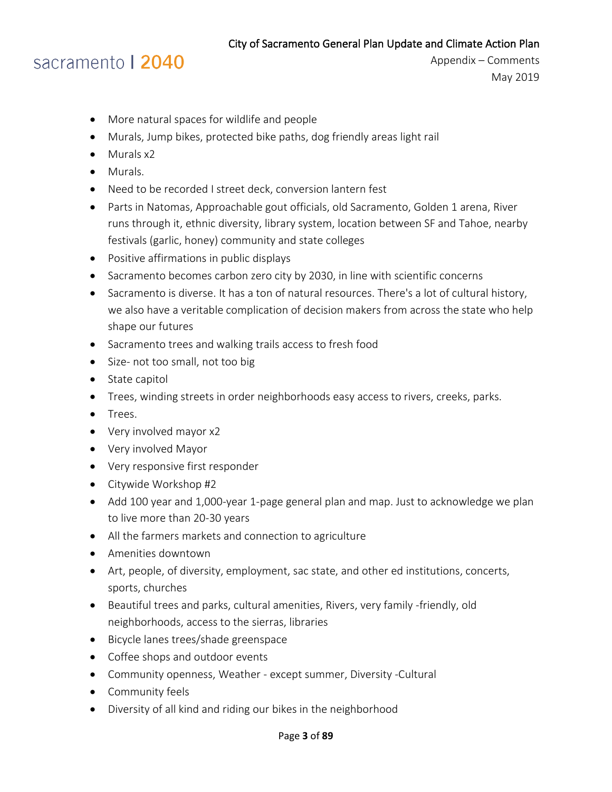### sacramento | 2040

- More natural spaces for wildlife and people
- Murals, Jump bikes, protected bike paths, dog friendly areas light rail
- Murals x2
- Murals.
- Need to be recorded I street deck, conversion lantern fest
- Parts in Natomas, Approachable gout officials, old Sacramento, Golden 1 arena, River runs through it, ethnic diversity, library system, location between SF and Tahoe, nearby festivals (garlic, honey) community and state colleges
- Positive affirmations in public displays
- Sacramento becomes carbon zero city by 2030, in line with scientific concerns
- Sacramento is diverse. It has a ton of natural resources. There's a lot of cultural history, we also have a veritable complication of decision makers from across the state who help shape our futures
- Sacramento trees and walking trails access to fresh food
- Size- not too small, not too big
- State capitol
- Trees, winding streets in order neighborhoods easy access to rivers, creeks, parks.
- Trees.
- Very involved mayor x2
- Very involved Mayor
- Very responsive first responder
- Citywide Workshop #2
- Add 100 year and 1,000-year 1-page general plan and map. Just to acknowledge we plan to live more than 20-30 years
- All the farmers markets and connection to agriculture
- Amenities downtown
- Art, people, of diversity, employment, sac state, and other ed institutions, concerts, sports, churches
- Beautiful trees and parks, cultural amenities, Rivers, very family -friendly, old neighborhoods, access to the sierras, libraries
- Bicycle lanes trees/shade greenspace
- Coffee shops and outdoor events
- Community openness, Weather except summer, Diversity -Cultural
- Community feels
- Diversity of all kind and riding our bikes in the neighborhood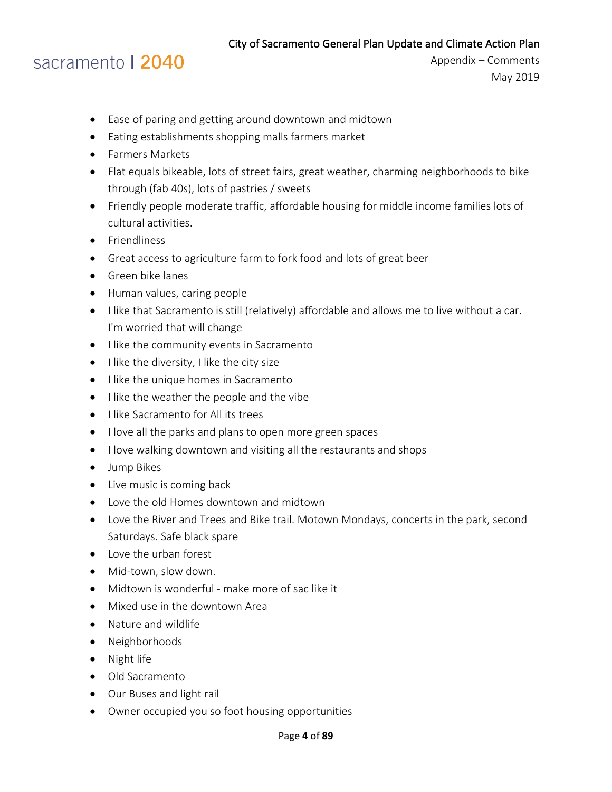### sacramento | 2040

- Ease of paring and getting around downtown and midtown
- Eating establishments shopping malls farmers market
- Farmers Markets
- Flat equals bikeable, lots of street fairs, great weather, charming neighborhoods to bike through (fab 40s), lots of pastries / sweets
- Friendly people moderate traffic, affordable housing for middle income families lots of cultural activities.
- Friendliness
- Great access to agriculture farm to fork food and lots of great beer
- Green bike lanes
- Human values, caring people
- I like that Sacramento is still (relatively) affordable and allows me to live without a car. I'm worried that will change
- I like the community events in Sacramento
- I like the diversity, I like the city size
- I like the unique homes in Sacramento
- I like the weather the people and the vibe
- I like Sacramento for All its trees
- I love all the parks and plans to open more green spaces
- I love walking downtown and visiting all the restaurants and shops
- Jump Bikes
- Live music is coming back
- Love the old Homes downtown and midtown
- Love the River and Trees and Bike trail. Motown Mondays, concerts in the park, second Saturdays. Safe black spare
- Love the urban forest
- Mid-town, slow down.
- Midtown is wonderful make more of sac like it
- Mixed use in the downtown Area
- Nature and wildlife
- Neighborhoods
- Night life
- Old Sacramento
- Our Buses and light rail
- Owner occupied you so foot housing opportunities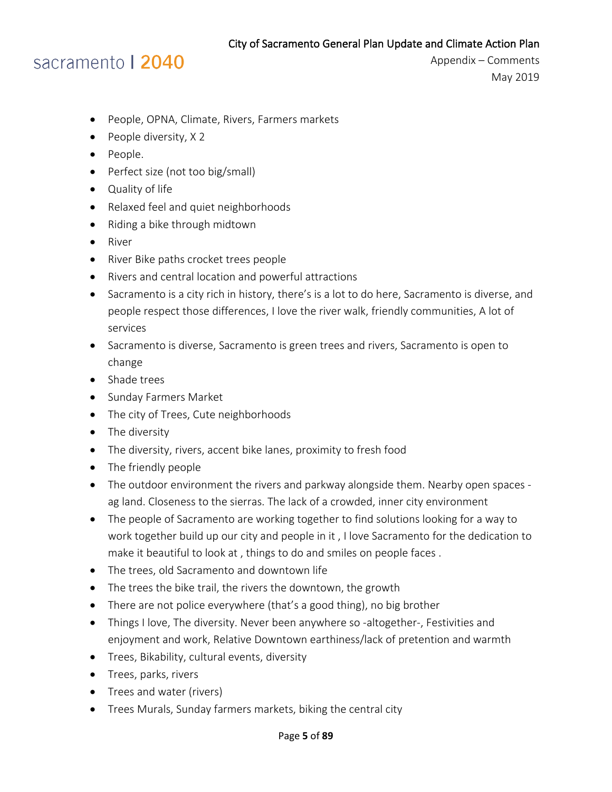- People, OPNA, Climate, Rivers, Farmers markets
- People diversity, X 2
- People.
- Perfect size (not too big/small)
- Quality of life
- Relaxed feel and quiet neighborhoods
- Riding a bike through midtown
- River
- River Bike paths crocket trees people
- Rivers and central location and powerful attractions
- Sacramento is a city rich in history, there's is a lot to do here, Sacramento is diverse, and people respect those differences, I love the river walk, friendly communities, A lot of services
- Sacramento is diverse, Sacramento is green trees and rivers, Sacramento is open to change
- Shade trees
- Sunday Farmers Market
- The city of Trees, Cute neighborhoods
- The diversity
- The diversity, rivers, accent bike lanes, proximity to fresh food
- The friendly people
- The outdoor environment the rivers and parkway alongside them. Nearby open spaces ag land. Closeness to the sierras. The lack of a crowded, inner city environment
- The people of Sacramento are working together to find solutions looking for a way to work together build up our city and people in it , I love Sacramento for the dedication to make it beautiful to look at , things to do and smiles on people faces .
- The trees, old Sacramento and downtown life
- The trees the bike trail, the rivers the downtown, the growth
- There are not police everywhere (that's a good thing), no big brother
- Things I love, The diversity. Never been anywhere so -altogether-, Festivities and enjoyment and work, Relative Downtown earthiness/lack of pretention and warmth
- Trees, Bikability, cultural events, diversity
- Trees, parks, rivers
- Trees and water (rivers)
- Trees Murals, Sunday farmers markets, biking the central city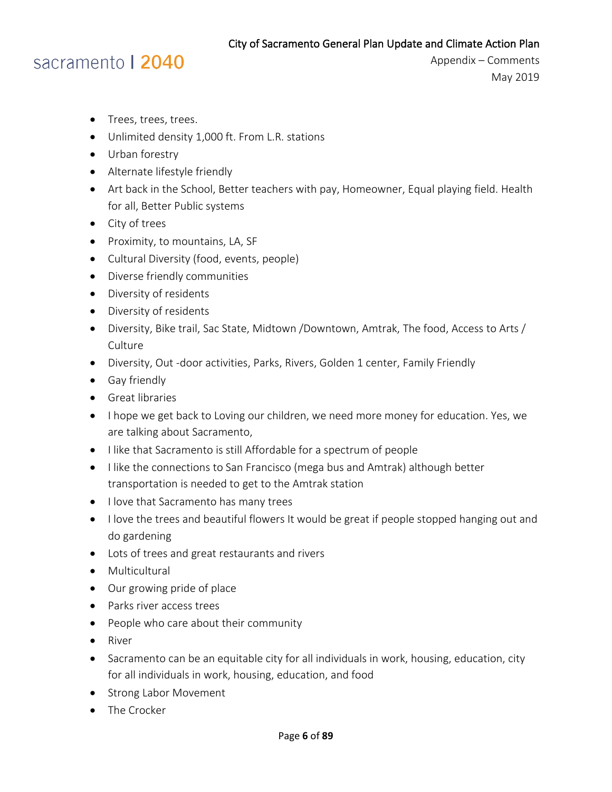### sacramento | 2040

- Trees, trees, trees.
- Unlimited density 1,000 ft. From L.R. stations
- Urban forestry
- Alternate lifestyle friendly
- Art back in the School, Better teachers with pay, Homeowner, Equal playing field. Health for all, Better Public systems
- City of trees
- Proximity, to mountains, LA, SF
- Cultural Diversity (food, events, people)
- Diverse friendly communities
- Diversity of residents
- Diversity of residents
- Diversity, Bike trail, Sac State, Midtown /Downtown, Amtrak, The food, Access to Arts / **Culture**
- Diversity, Out -door activities, Parks, Rivers, Golden 1 center, Family Friendly
- Gay friendly
- Great libraries
- I hope we get back to Loving our children, we need more money for education. Yes, we are talking about Sacramento,
- I like that Sacramento is still Affordable for a spectrum of people
- I like the connections to San Francisco (mega bus and Amtrak) although better transportation is needed to get to the Amtrak station
- I love that Sacramento has many trees
- I love the trees and beautiful flowers It would be great if people stopped hanging out and do gardening
- Lots of trees and great restaurants and rivers
- Multicultural
- Our growing pride of place
- Parks river access trees
- People who care about their community
- River
- Sacramento can be an equitable city for all individuals in work, housing, education, city for all individuals in work, housing, education, and food
- Strong Labor Movement
- The Crocker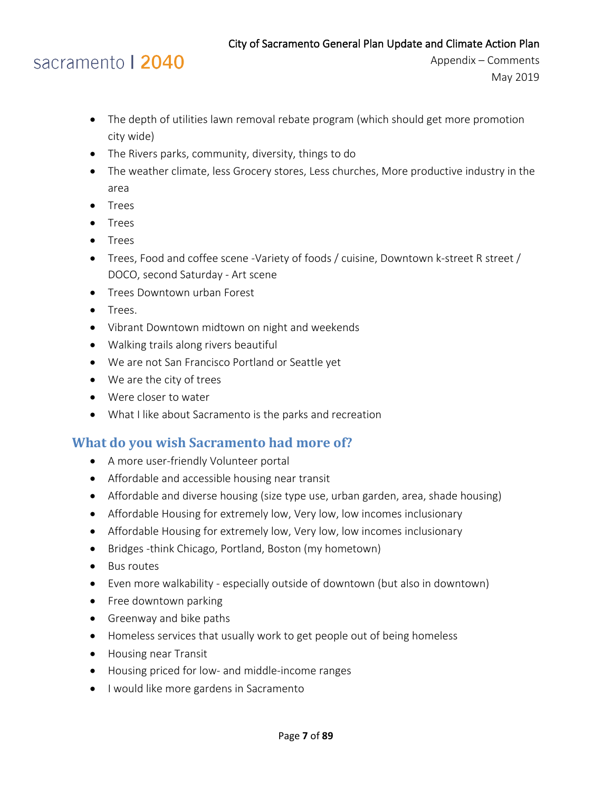

Appendix – Comments May 2019

- The depth of utilities lawn removal rebate program (which should get more promotion city wide)
- The Rivers parks, community, diversity, things to do
- The weather climate, less Grocery stores, Less churches, More productive industry in the area
- Trees
- Trees
- Trees
- Trees, Food and coffee scene -Variety of foods / cuisine, Downtown k-street R street / DOCO, second Saturday - Art scene
- Trees Downtown urban Forest
- Trees.
- Vibrant Downtown midtown on night and weekends
- Walking trails along rivers beautiful
- We are not San Francisco Portland or Seattle yet
- We are the city of trees
- Were closer to water
- What I like about Sacramento is the parks and recreation

### <span id="page-6-0"></span>**What do you wish Sacramento had more of?**

- A more user-friendly Volunteer portal
- Affordable and accessible housing near transit
- Affordable and diverse housing (size type use, urban garden, area, shade housing)
- Affordable Housing for extremely low, Very low, low incomes inclusionary
- Affordable Housing for extremely low, Very low, low incomes inclusionary
- Bridges -think Chicago, Portland, Boston (my hometown)
- Bus routes
- Even more walkability especially outside of downtown (but also in downtown)
- Free downtown parking
- Greenway and bike paths
- Homeless services that usually work to get people out of being homeless
- Housing near Transit
- Housing priced for low- and middle-income ranges
- I would like more gardens in Sacramento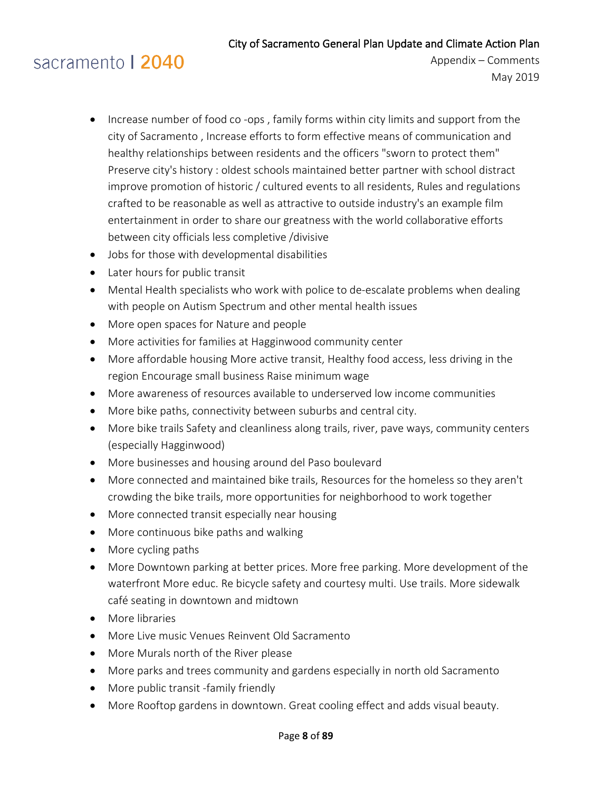- Increase number of food co-ops, family forms within city limits and support from the city of Sacramento , Increase efforts to form effective means of communication and healthy relationships between residents and the officers "sworn to protect them" Preserve city's history : oldest schools maintained better partner with school distract improve promotion of historic / cultured events to all residents, Rules and regulations crafted to be reasonable as well as attractive to outside industry's an example film entertainment in order to share our greatness with the world collaborative efforts between city officials less completive /divisive
- Jobs for those with developmental disabilities
- Later hours for public transit
- Mental Health specialists who work with police to de-escalate problems when dealing with people on Autism Spectrum and other mental health issues
- More open spaces for Nature and people
- More activities for families at Hagginwood community center
- More affordable housing More active transit, Healthy food access, less driving in the region Encourage small business Raise minimum wage
- More awareness of resources available to underserved low income communities
- More bike paths, connectivity between suburbs and central city.
- More bike trails Safety and cleanliness along trails, river, pave ways, community centers (especially Hagginwood)
- More businesses and housing around del Paso boulevard
- More connected and maintained bike trails, Resources for the homeless so they aren't crowding the bike trails, more opportunities for neighborhood to work together
- More connected transit especially near housing
- More continuous bike paths and walking
- More cycling paths
- More Downtown parking at better prices. More free parking. More development of the waterfront More educ. Re bicycle safety and courtesy multi. Use trails. More sidewalk café seating in downtown and midtown
- More libraries
- More Live music Venues Reinvent Old Sacramento
- More Murals north of the River please
- More parks and trees community and gardens especially in north old Sacramento
- More public transit -family friendly
- More Rooftop gardens in downtown. Great cooling effect and adds visual beauty.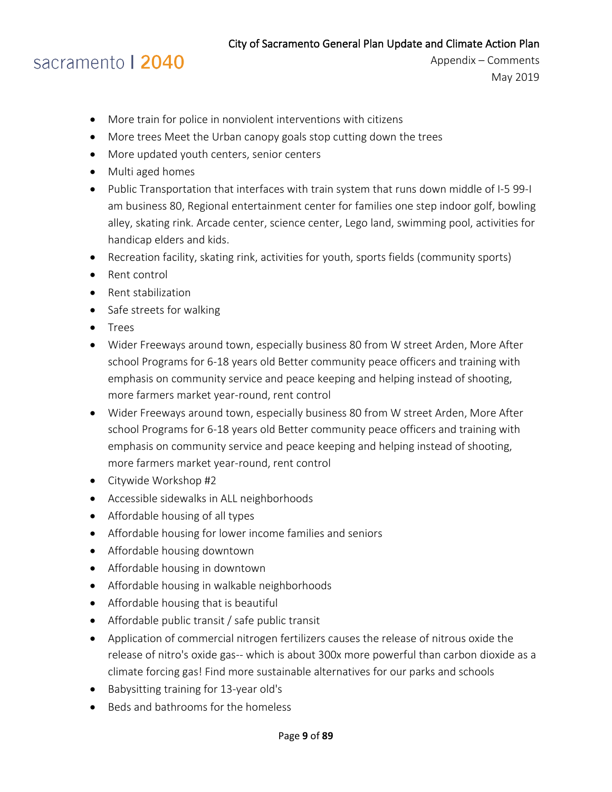## sacramento | 2040

- More train for police in nonviolent interventions with citizens
- More trees Meet the Urban canopy goals stop cutting down the trees
- More updated youth centers, senior centers
- Multi aged homes
- Public Transportation that interfaces with train system that runs down middle of I-5 99-I am business 80, Regional entertainment center for families one step indoor golf, bowling alley, skating rink. Arcade center, science center, Lego land, swimming pool, activities for handicap elders and kids.
- Recreation facility, skating rink, activities for youth, sports fields (community sports)
- Rent control
- Rent stabilization
- Safe streets for walking
- Trees
- Wider Freeways around town, especially business 80 from W street Arden, More After school Programs for 6-18 years old Better community peace officers and training with emphasis on community service and peace keeping and helping instead of shooting, more farmers market year-round, rent control
- Wider Freeways around town, especially business 80 from W street Arden, More After school Programs for 6-18 years old Better community peace officers and training with emphasis on community service and peace keeping and helping instead of shooting, more farmers market year-round, rent control
- Citywide Workshop #2
- Accessible sidewalks in ALL neighborhoods
- Affordable housing of all types
- Affordable housing for lower income families and seniors
- Affordable housing downtown
- Affordable housing in downtown
- Affordable housing in walkable neighborhoods
- Affordable housing that is beautiful
- Affordable public transit / safe public transit
- Application of commercial nitrogen fertilizers causes the release of nitrous oxide the release of nitro's oxide gas-- which is about 300x more powerful than carbon dioxide as a climate forcing gas! Find more sustainable alternatives for our parks and schools
- Babysitting training for 13-year old's
- Beds and bathrooms for the homeless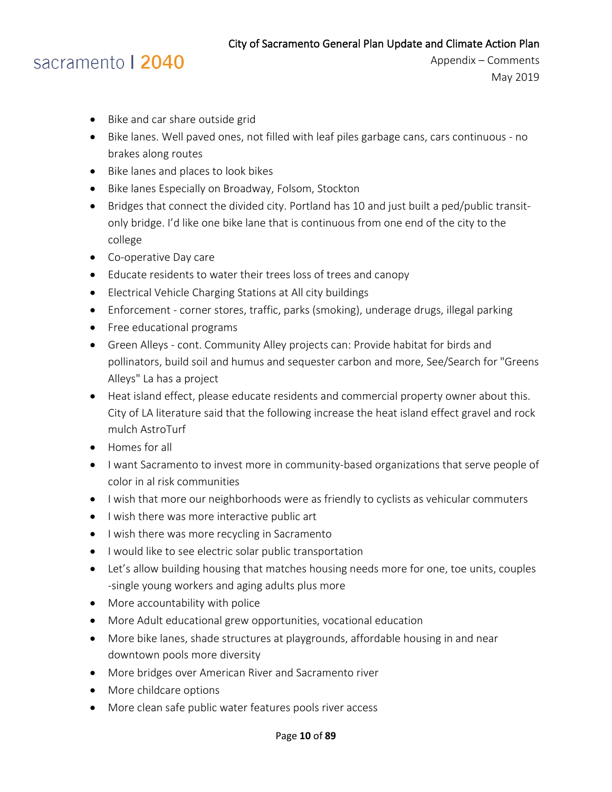- Bike and car share outside grid
- Bike lanes. Well paved ones, not filled with leaf piles garbage cans, cars continuous no brakes along routes
- Bike lanes and places to look bikes
- Bike lanes Especially on Broadway, Folsom, Stockton
- Bridges that connect the divided city. Portland has 10 and just built a ped/public transitonly bridge. I'd like one bike lane that is continuous from one end of the city to the college
- Co-operative Day care
- Educate residents to water their trees loss of trees and canopy
- Electrical Vehicle Charging Stations at All city buildings
- Enforcement corner stores, traffic, parks (smoking), underage drugs, illegal parking
- Free educational programs
- Green Alleys cont. Community Alley projects can: Provide habitat for birds and pollinators, build soil and humus and sequester carbon and more, See/Search for "Greens Alleys" La has a project
- Heat island effect, please educate residents and commercial property owner about this. City of LA literature said that the following increase the heat island effect gravel and rock mulch AstroTurf
- Homes for all
- I want Sacramento to invest more in community-based organizations that serve people of color in al risk communities
- I wish that more our neighborhoods were as friendly to cyclists as vehicular commuters
- I wish there was more interactive public art
- I wish there was more recycling in Sacramento
- I would like to see electric solar public transportation
- Let's allow building housing that matches housing needs more for one, toe units, couples -single young workers and aging adults plus more
- More accountability with police
- More Adult educational grew opportunities, vocational education
- More bike lanes, shade structures at playgrounds, affordable housing in and near downtown pools more diversity
- More bridges over American River and Sacramento river
- More childcare options
- More clean safe public water features pools river access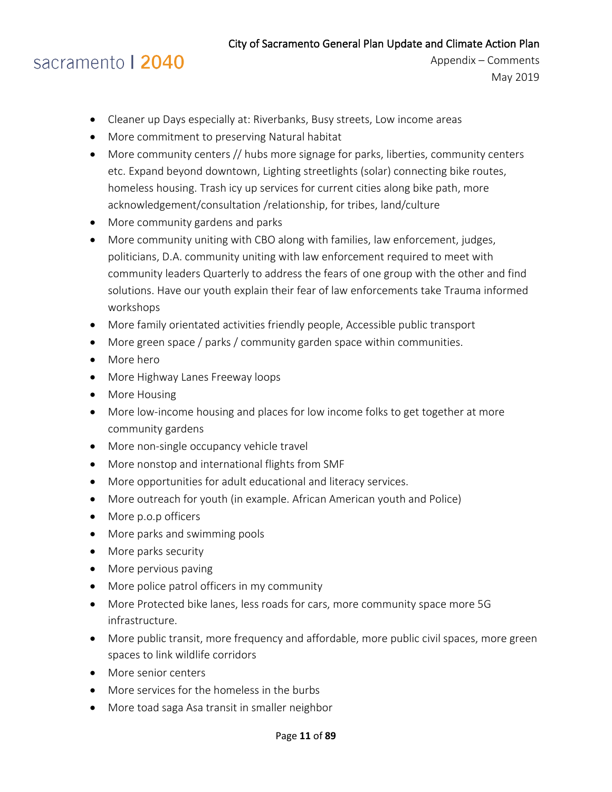- Cleaner up Days especially at: Riverbanks, Busy streets, Low income areas
- More commitment to preserving Natural habitat
- More community centers // hubs more signage for parks, liberties, community centers etc. Expand beyond downtown, Lighting streetlights (solar) connecting bike routes, homeless housing. Trash icy up services for current cities along bike path, more acknowledgement/consultation /relationship, for tribes, land/culture
- More community gardens and parks
- More community uniting with CBO along with families, law enforcement, judges, politicians, D.A. community uniting with law enforcement required to meet with community leaders Quarterly to address the fears of one group with the other and find solutions. Have our youth explain their fear of law enforcements take Trauma informed workshops
- More family orientated activities friendly people, Accessible public transport
- More green space / parks / community garden space within communities.
- More hero
- More Highway Lanes Freeway loops
- More Housing
- More low-income housing and places for low income folks to get together at more community gardens
- More non-single occupancy vehicle travel
- More nonstop and international flights from SMF
- More opportunities for adult educational and literacy services.
- More outreach for youth (in example. African American youth and Police)
- More p.o.p officers
- More parks and swimming pools
- More parks security
- More pervious paving
- More police patrol officers in my community
- More Protected bike lanes, less roads for cars, more community space more 5G infrastructure.
- More public transit, more frequency and affordable, more public civil spaces, more green spaces to link wildlife corridors
- More senior centers
- More services for the homeless in the burbs
- More toad saga Asa transit in smaller neighbor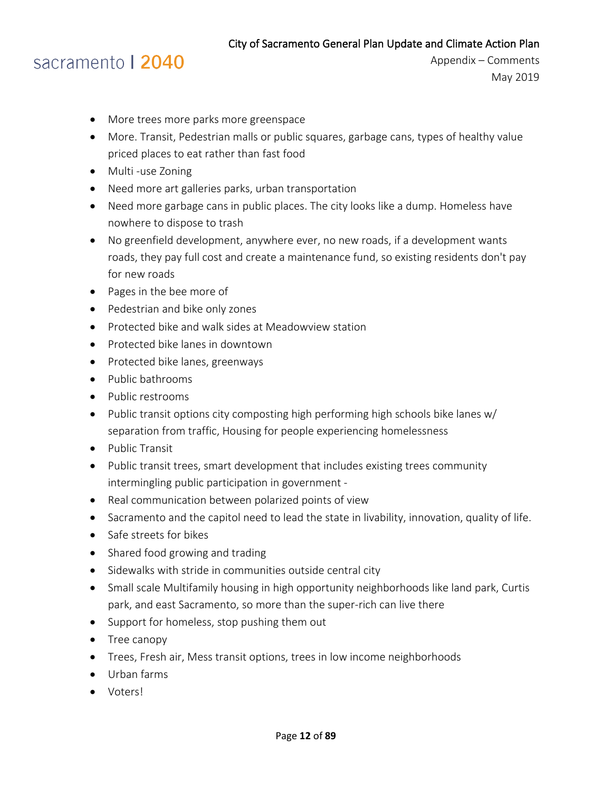- More trees more parks more greenspace
- More. Transit, Pedestrian malls or public squares, garbage cans, types of healthy value priced places to eat rather than fast food
- Multi -use Zoning
- Need more art galleries parks, urban transportation
- Need more garbage cans in public places. The city looks like a dump. Homeless have nowhere to dispose to trash
- No greenfield development, anywhere ever, no new roads, if a development wants roads, they pay full cost and create a maintenance fund, so existing residents don't pay for new roads
- Pages in the bee more of
- Pedestrian and bike only zones
- Protected bike and walk sides at Meadowview station
- Protected bike lanes in downtown
- Protected bike lanes, greenways
- Public bathrooms
- Public restrooms
- Public transit options city composting high performing high schools bike lanes w/ separation from traffic, Housing for people experiencing homelessness
- Public Transit
- Public transit trees, smart development that includes existing trees community intermingling public participation in government -
- Real communication between polarized points of view
- Sacramento and the capitol need to lead the state in livability, innovation, quality of life.
- Safe streets for bikes
- Shared food growing and trading
- Sidewalks with stride in communities outside central city
- Small scale Multifamily housing in high opportunity neighborhoods like land park, Curtis park, and east Sacramento, so more than the super-rich can live there
- Support for homeless, stop pushing them out
- Tree canopy
- Trees, Fresh air, Mess transit options, trees in low income neighborhoods
- Urban farms
- Voters!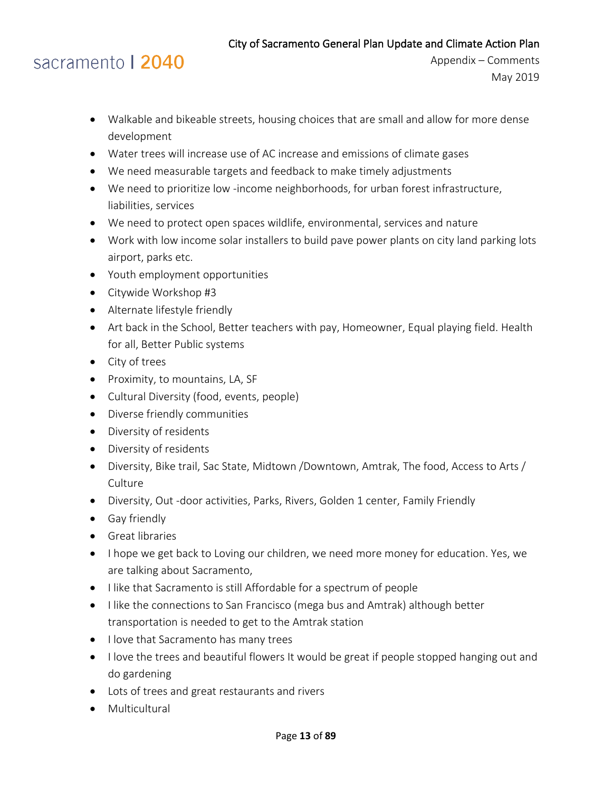- Walkable and bikeable streets, housing choices that are small and allow for more dense development
- Water trees will increase use of AC increase and emissions of climate gases
- We need measurable targets and feedback to make timely adjustments
- We need to prioritize low -income neighborhoods, for urban forest infrastructure, liabilities, services
- We need to protect open spaces wildlife, environmental, services and nature
- Work with low income solar installers to build pave power plants on city land parking lots airport, parks etc.
- Youth employment opportunities
- Citywide Workshop #3
- Alternate lifestyle friendly
- Art back in the School, Better teachers with pay, Homeowner, Equal playing field. Health for all, Better Public systems
- City of trees
- Proximity, to mountains, LA, SF
- Cultural Diversity (food, events, people)
- Diverse friendly communities
- Diversity of residents
- Diversity of residents
- Diversity, Bike trail, Sac State, Midtown /Downtown, Amtrak, The food, Access to Arts / **Culture**
- Diversity, Out -door activities, Parks, Rivers, Golden 1 center, Family Friendly
- Gay friendly
- Great libraries
- I hope we get back to Loving our children, we need more money for education. Yes, we are talking about Sacramento,
- I like that Sacramento is still Affordable for a spectrum of people
- I like the connections to San Francisco (mega bus and Amtrak) although better transportation is needed to get to the Amtrak station
- I love that Sacramento has many trees
- I love the trees and beautiful flowers It would be great if people stopped hanging out and do gardening
- Lots of trees and great restaurants and rivers
- Multicultural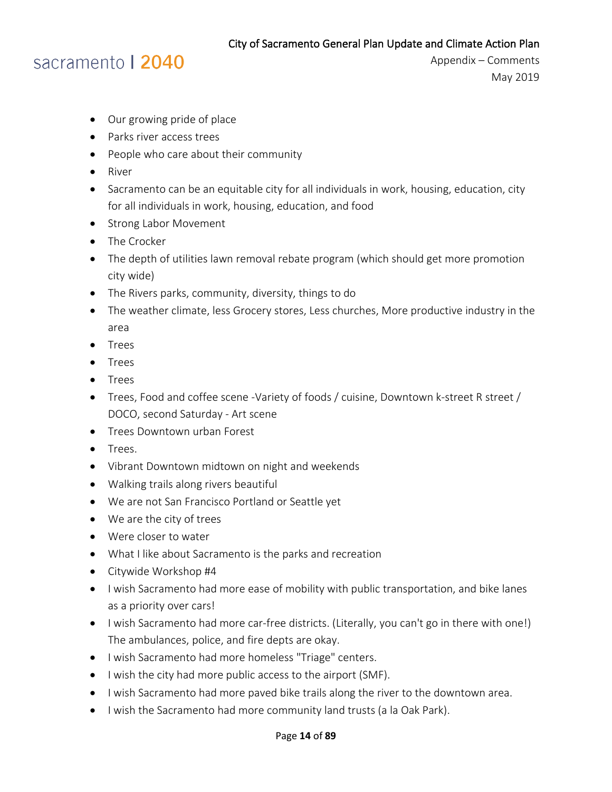### sacramento | 2040

- Our growing pride of place
- Parks river access trees
- People who care about their community
- River
- Sacramento can be an equitable city for all individuals in work, housing, education, city for all individuals in work, housing, education, and food
- Strong Labor Movement
- The Crocker
- The depth of utilities lawn removal rebate program (which should get more promotion city wide)
- The Rivers parks, community, diversity, things to do
- The weather climate, less Grocery stores, Less churches, More productive industry in the area
- Trees
- Trees
- Trees
- Trees, Food and coffee scene -Variety of foods / cuisine, Downtown k-street R street / DOCO, second Saturday - Art scene
- Trees Downtown urban Forest
- Trees.
- Vibrant Downtown midtown on night and weekends
- Walking trails along rivers beautiful
- We are not San Francisco Portland or Seattle yet
- We are the city of trees
- Were closer to water
- What I like about Sacramento is the parks and recreation
- Citywide Workshop #4
- I wish Sacramento had more ease of mobility with public transportation, and bike lanes as a priority over cars!
- I wish Sacramento had more car-free districts. (Literally, you can't go in there with one!) The ambulances, police, and fire depts are okay.
- I wish Sacramento had more homeless "Triage" centers.
- I wish the city had more public access to the airport (SMF).
- I wish Sacramento had more paved bike trails along the river to the downtown area.
- I wish the Sacramento had more community land trusts (a la Oak Park).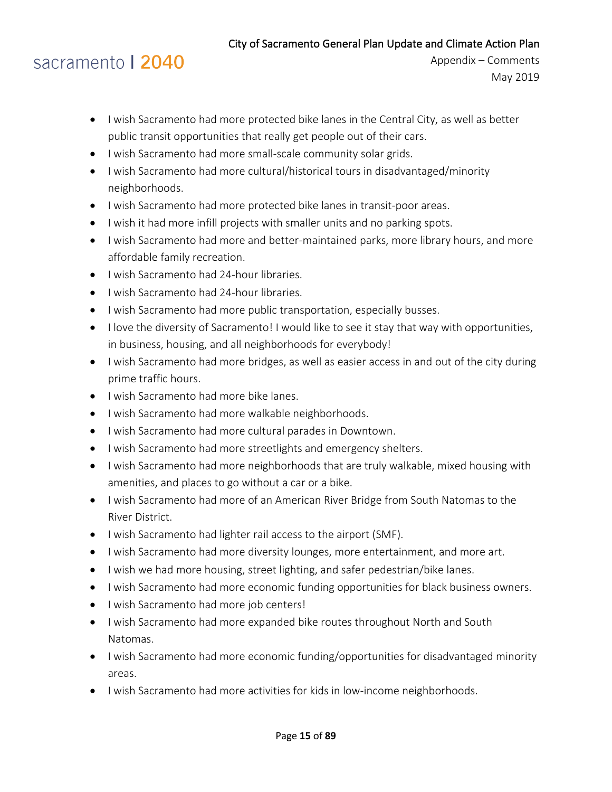# sacramento | 2040

- I wish Sacramento had more protected bike lanes in the Central City, as well as better public transit opportunities that really get people out of their cars.
- I wish Sacramento had more small-scale community solar grids.
- I wish Sacramento had more cultural/historical tours in disadvantaged/minority neighborhoods.
- I wish Sacramento had more protected bike lanes in transit-poor areas.
- I wish it had more infill projects with smaller units and no parking spots.
- I wish Sacramento had more and better-maintained parks, more library hours, and more affordable family recreation.
- I wish Sacramento had 24-hour libraries.
- I wish Sacramento had 24-hour libraries.
- I wish Sacramento had more public transportation, especially busses.
- I love the diversity of Sacramento! I would like to see it stay that way with opportunities, in business, housing, and all neighborhoods for everybody!
- I wish Sacramento had more bridges, as well as easier access in and out of the city during prime traffic hours.
- I wish Sacramento had more bike lanes.
- I wish Sacramento had more walkable neighborhoods.
- I wish Sacramento had more cultural parades in Downtown.
- I wish Sacramento had more streetlights and emergency shelters.
- I wish Sacramento had more neighborhoods that are truly walkable, mixed housing with amenities, and places to go without a car or a bike.
- I wish Sacramento had more of an American River Bridge from South Natomas to the River District.
- I wish Sacramento had lighter rail access to the airport (SMF).
- I wish Sacramento had more diversity lounges, more entertainment, and more art.
- I wish we had more housing, street lighting, and safer pedestrian/bike lanes.
- I wish Sacramento had more economic funding opportunities for black business owners.
- I wish Sacramento had more job centers!
- I wish Sacramento had more expanded bike routes throughout North and South Natomas.
- I wish Sacramento had more economic funding/opportunities for disadvantaged minority areas.
- I wish Sacramento had more activities for kids in low-income neighborhoods.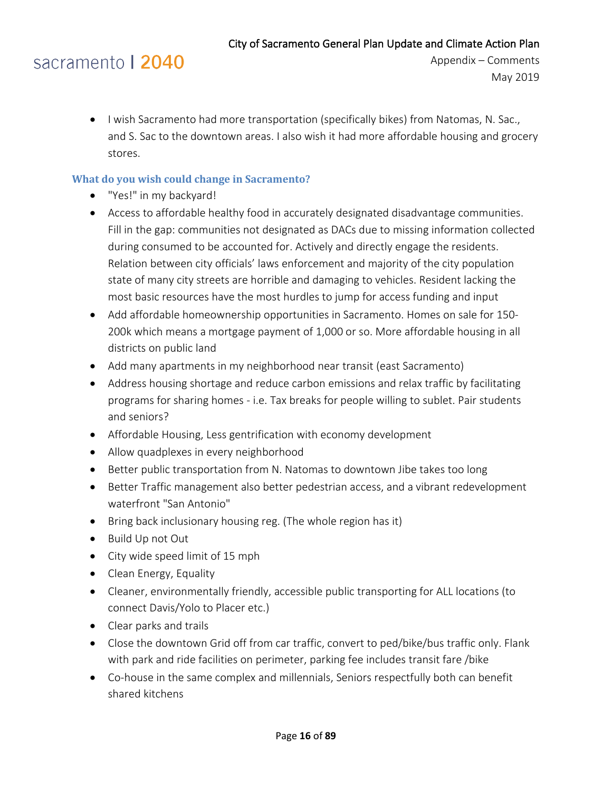Appendix – Comments May 2019

• I wish Sacramento had more transportation (specifically bikes) from Natomas, N. Sac., and S. Sac to the downtown areas. I also wish it had more affordable housing and grocery stores.

#### <span id="page-15-0"></span>**What do you wish could change in Sacramento?**

- "Yes!" in my backyard!
- Access to affordable healthy food in accurately designated disadvantage communities. Fill in the gap: communities not designated as DACs due to missing information collected during consumed to be accounted for. Actively and directly engage the residents. Relation between city officials' laws enforcement and majority of the city population state of many city streets are horrible and damaging to vehicles. Resident lacking the most basic resources have the most hurdles to jump for access funding and input
- Add affordable homeownership opportunities in Sacramento. Homes on sale for 150- 200k which means a mortgage payment of 1,000 or so. More affordable housing in all districts on public land
- Add many apartments in my neighborhood near transit (east Sacramento)
- Address housing shortage and reduce carbon emissions and relax traffic by facilitating programs for sharing homes - i.e. Tax breaks for people willing to sublet. Pair students and seniors?
- Affordable Housing, Less gentrification with economy development
- Allow quadplexes in every neighborhood
- Better public transportation from N. Natomas to downtown Jibe takes too long
- Better Traffic management also better pedestrian access, and a vibrant redevelopment waterfront "San Antonio"
- Bring back inclusionary housing reg. (The whole region has it)
- Build Up not Out
- City wide speed limit of 15 mph
- Clean Energy, Equality
- Cleaner, environmentally friendly, accessible public transporting for ALL locations (to connect Davis/Yolo to Placer etc.)
- Clear parks and trails
- Close the downtown Grid off from car traffic, convert to ped/bike/bus traffic only. Flank with park and ride facilities on perimeter, parking fee includes transit fare /bike
- Co-house in the same complex and millennials, Seniors respectfully both can benefit shared kitchens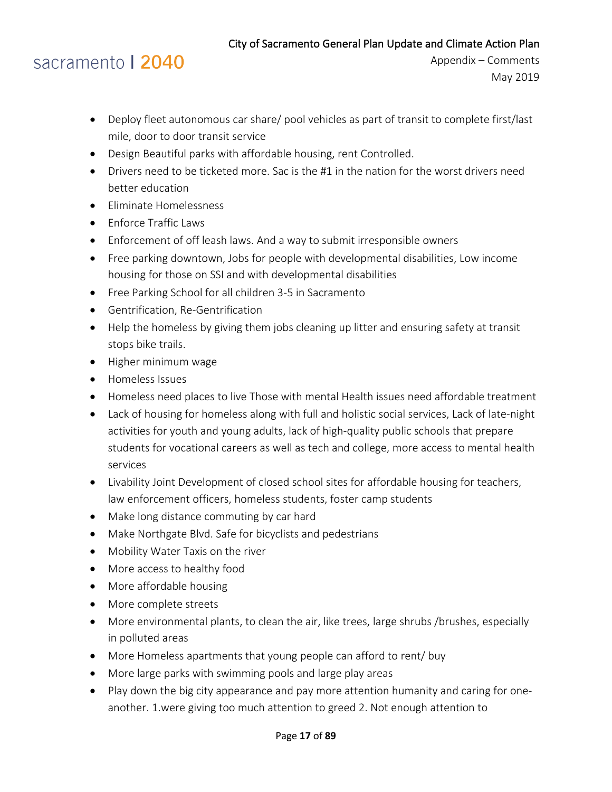## sacramento | 2040

- Deploy fleet autonomous car share/ pool vehicles as part of transit to complete first/last mile, door to door transit service
- Design Beautiful parks with affordable housing, rent Controlled.
- Drivers need to be ticketed more. Sac is the #1 in the nation for the worst drivers need better education
- Eliminate Homelessness
- Enforce Traffic Laws
- Enforcement of off leash laws. And a way to submit irresponsible owners
- Free parking downtown, Jobs for people with developmental disabilities, Low income housing for those on SSI and with developmental disabilities
- Free Parking School for all children 3-5 in Sacramento
- Gentrification, Re-Gentrification
- Help the homeless by giving them jobs cleaning up litter and ensuring safety at transit stops bike trails.
- Higher minimum wage
- Homeless Issues
- Homeless need places to live Those with mental Health issues need affordable treatment
- Lack of housing for homeless along with full and holistic social services, Lack of late-night activities for youth and young adults, lack of high-quality public schools that prepare students for vocational careers as well as tech and college, more access to mental health services
- Livability Joint Development of closed school sites for affordable housing for teachers, law enforcement officers, homeless students, foster camp students
- Make long distance commuting by car hard
- Make Northgate Blvd. Safe for bicyclists and pedestrians
- Mobility Water Taxis on the river
- More access to healthy food
- More affordable housing
- More complete streets
- More environmental plants, to clean the air, like trees, large shrubs /brushes, especially in polluted areas
- More Homeless apartments that young people can afford to rent/ buy
- More large parks with swimming pools and large play areas
- Play down the big city appearance and pay more attention humanity and caring for oneanother. 1.were giving too much attention to greed 2. Not enough attention to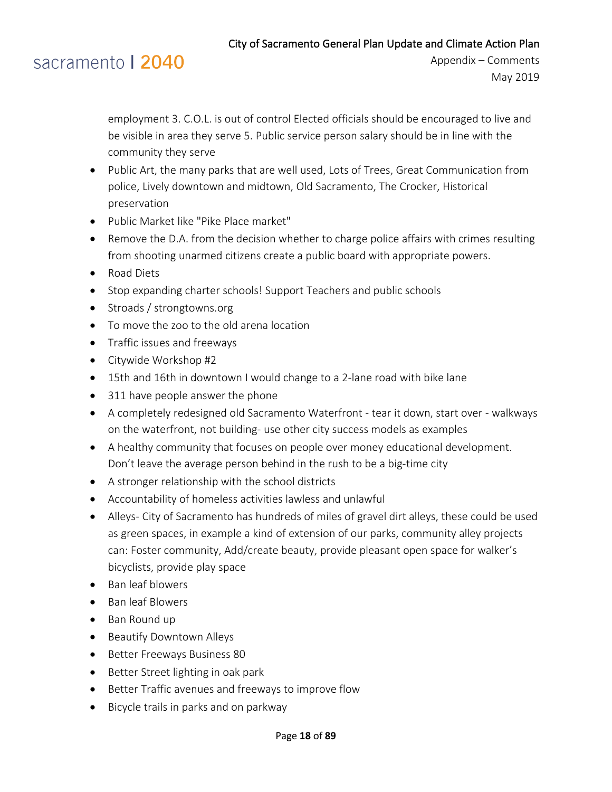

Appendix – Comments May 2019

employment 3. C.O.L. is out of control Elected officials should be encouraged to live and be visible in area they serve 5. Public service person salary should be in line with the community they serve

- Public Art, the many parks that are well used, Lots of Trees, Great Communication from police, Lively downtown and midtown, Old Sacramento, The Crocker, Historical preservation
- Public Market like "Pike Place market"
- Remove the D.A. from the decision whether to charge police affairs with crimes resulting from shooting unarmed citizens create a public board with appropriate powers.
- Road Diets
- Stop expanding charter schools! Support Teachers and public schools
- Stroads / strongtowns.org
- To move the zoo to the old arena location
- Traffic issues and freeways
- Citywide Workshop #2
- 15th and 16th in downtown I would change to a 2-lane road with bike lane
- 311 have people answer the phone
- A completely redesigned old Sacramento Waterfront tear it down, start over walkways on the waterfront, not building- use other city success models as examples
- A healthy community that focuses on people over money educational development. Don't leave the average person behind in the rush to be a big-time city
- A stronger relationship with the school districts
- Accountability of homeless activities lawless and unlawful
- Alleys- City of Sacramento has hundreds of miles of gravel dirt alleys, these could be used as green spaces, in example a kind of extension of our parks, community alley projects can: Foster community, Add/create beauty, provide pleasant open space for walker's bicyclists, provide play space
- Ban leaf blowers
- Ban leaf Blowers
- Ban Round up
- Beautify Downtown Alleys
- Better Freeways Business 80
- Better Street lighting in oak park
- Better Traffic avenues and freeways to improve flow
- Bicycle trails in parks and on parkway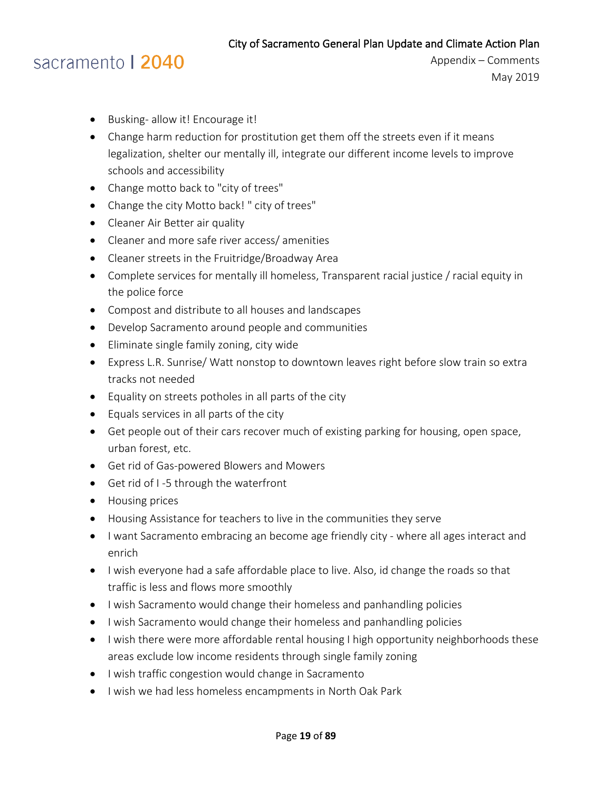- Busking- allow it! Encourage it!
- Change harm reduction for prostitution get them off the streets even if it means legalization, shelter our mentally ill, integrate our different income levels to improve schools and accessibility
- Change motto back to "city of trees"
- Change the city Motto back! " city of trees"
- Cleaner Air Better air quality
- Cleaner and more safe river access/ amenities
- Cleaner streets in the Fruitridge/Broadway Area
- Complete services for mentally ill homeless, Transparent racial justice / racial equity in the police force
- Compost and distribute to all houses and landscapes
- Develop Sacramento around people and communities
- Eliminate single family zoning, city wide
- Express L.R. Sunrise/ Watt nonstop to downtown leaves right before slow train so extra tracks not needed
- Equality on streets potholes in all parts of the city
- Equals services in all parts of the city
- Get people out of their cars recover much of existing parking for housing, open space, urban forest, etc.
- Get rid of Gas-powered Blowers and Mowers
- Get rid of I -5 through the waterfront
- Housing prices
- Housing Assistance for teachers to live in the communities they serve
- I want Sacramento embracing an become age friendly city where all ages interact and enrich
- I wish everyone had a safe affordable place to live. Also, id change the roads so that traffic is less and flows more smoothly
- I wish Sacramento would change their homeless and panhandling policies
- I wish Sacramento would change their homeless and panhandling policies
- I wish there were more affordable rental housing I high opportunity neighborhoods these areas exclude low income residents through single family zoning
- I wish traffic congestion would change in Sacramento
- I wish we had less homeless encampments in North Oak Park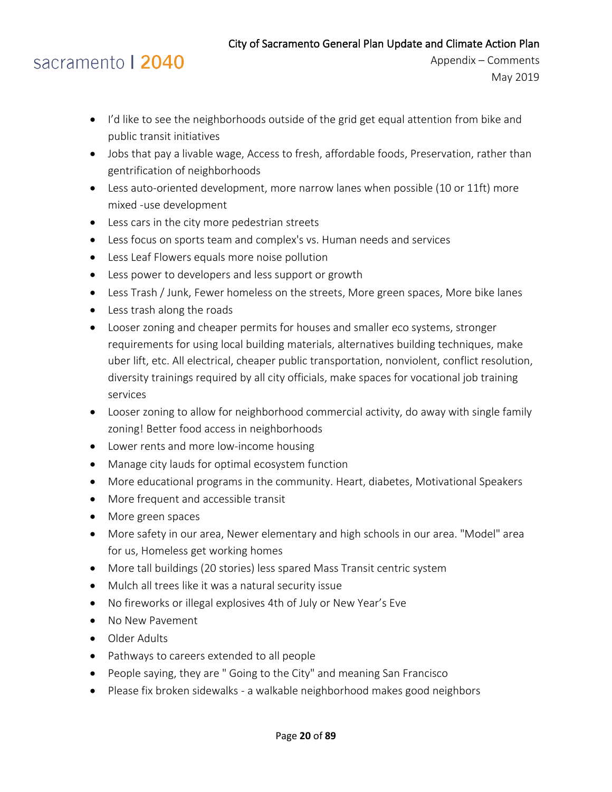- I'd like to see the neighborhoods outside of the grid get equal attention from bike and public transit initiatives
- Jobs that pay a livable wage, Access to fresh, affordable foods, Preservation, rather than gentrification of neighborhoods
- Less auto-oriented development, more narrow lanes when possible (10 or 11ft) more mixed -use development
- Less cars in the city more pedestrian streets
- Less focus on sports team and complex's vs. Human needs and services
- Less Leaf Flowers equals more noise pollution
- Less power to developers and less support or growth
- Less Trash / Junk, Fewer homeless on the streets, More green spaces, More bike lanes
- Less trash along the roads
- Looser zoning and cheaper permits for houses and smaller eco systems, stronger requirements for using local building materials, alternatives building techniques, make uber lift, etc. All electrical, cheaper public transportation, nonviolent, conflict resolution, diversity trainings required by all city officials, make spaces for vocational job training services
- Looser zoning to allow for neighborhood commercial activity, do away with single family zoning! Better food access in neighborhoods
- Lower rents and more low-income housing
- Manage city lauds for optimal ecosystem function
- More educational programs in the community. Heart, diabetes, Motivational Speakers
- More frequent and accessible transit
- More green spaces
- More safety in our area, Newer elementary and high schools in our area. "Model" area for us, Homeless get working homes
- More tall buildings (20 stories) less spared Mass Transit centric system
- Mulch all trees like it was a natural security issue
- No fireworks or illegal explosives 4th of July or New Year's Eve
- No New Pavement
- Older Adults
- Pathways to careers extended to all people
- People saying, they are " Going to the City" and meaning San Francisco
- Please fix broken sidewalks a walkable neighborhood makes good neighbors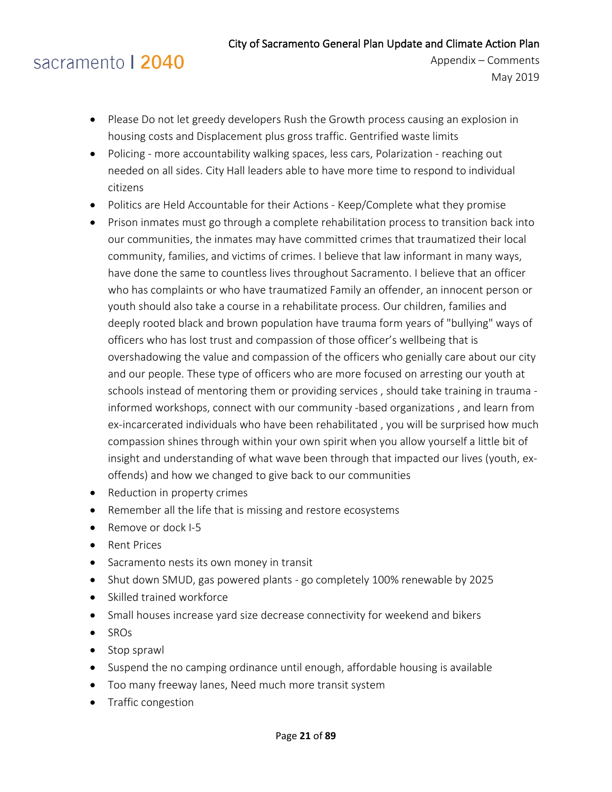## sacramento | 2040

- Please Do not let greedy developers Rush the Growth process causing an explosion in housing costs and Displacement plus gross traffic. Gentrified waste limits
- Policing more accountability walking spaces, less cars, Polarization reaching out needed on all sides. City Hall leaders able to have more time to respond to individual citizens
- Politics are Held Accountable for their Actions Keep/Complete what they promise
- Prison inmates must go through a complete rehabilitation process to transition back into our communities, the inmates may have committed crimes that traumatized their local community, families, and victims of crimes. I believe that law informant in many ways, have done the same to countless lives throughout Sacramento. I believe that an officer who has complaints or who have traumatized Family an offender, an innocent person or youth should also take a course in a rehabilitate process. Our children, families and deeply rooted black and brown population have trauma form years of "bullying" ways of officers who has lost trust and compassion of those officer's wellbeing that is overshadowing the value and compassion of the officers who genially care about our city and our people. These type of officers who are more focused on arresting our youth at schools instead of mentoring them or providing services , should take training in trauma informed workshops, connect with our community -based organizations , and learn from ex-incarcerated individuals who have been rehabilitated , you will be surprised how much compassion shines through within your own spirit when you allow yourself a little bit of insight and understanding of what wave been through that impacted our lives (youth, exoffends) and how we changed to give back to our communities
- Reduction in property crimes
- Remember all the life that is missing and restore ecosystems
- Remove or dock I-5
- Rent Prices
- Sacramento nests its own money in transit
- Shut down SMUD, gas powered plants go completely 100% renewable by 2025
- Skilled trained workforce
- Small houses increase yard size decrease connectivity for weekend and bikers
- SROs
- Stop sprawl
- Suspend the no camping ordinance until enough, affordable housing is available
- Too many freeway lanes, Need much more transit system
- Traffic congestion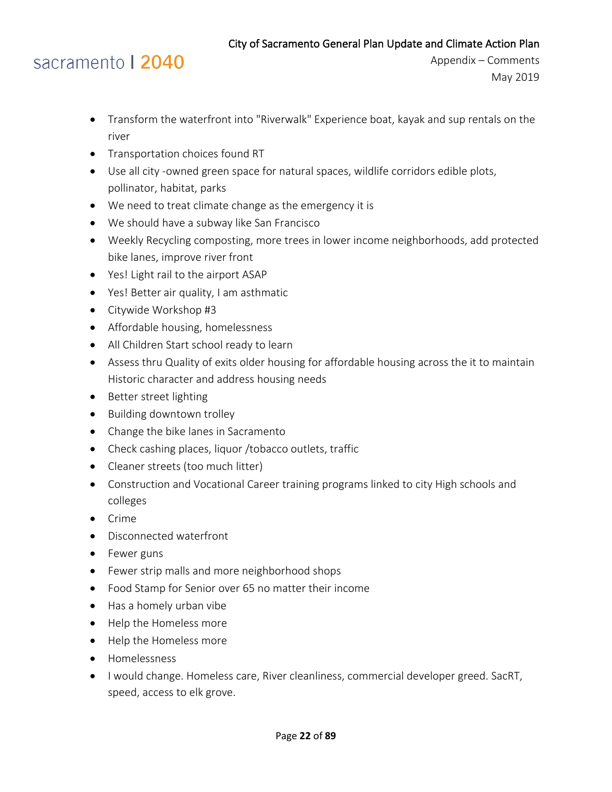- Transform the waterfront into "Riverwalk" Experience boat, kayak and sup rentals on the river
- Transportation choices found RT
- Use all city -owned green space for natural spaces, wildlife corridors edible plots, pollinator, habitat, parks
- We need to treat climate change as the emergency it is
- We should have a subway like San Francisco
- Weekly Recycling composting, more trees in lower income neighborhoods, add protected bike lanes, improve river front
- Yes! Light rail to the airport ASAP
- Yes! Better air quality, I am asthmatic
- Citywide Workshop #3
- Affordable housing, homelessness
- All Children Start school ready to learn
- Assess thru Quality of exits older housing for affordable housing across the it to maintain Historic character and address housing needs
- Better street lighting
- Building downtown trolley
- Change the bike lanes in Sacramento
- Check cashing places, liquor /tobacco outlets, traffic
- Cleaner streets (too much litter)
- Construction and Vocational Career training programs linked to city High schools and colleges
- Crime
- Disconnected waterfront
- Fewer guns
- Fewer strip malls and more neighborhood shops
- Food Stamp for Senior over 65 no matter their income
- Has a homely urban vibe
- Help the Homeless more
- Help the Homeless more
- Homelessness
- I would change. Homeless care, River cleanliness, commercial developer greed. SacRT, speed, access to elk grove.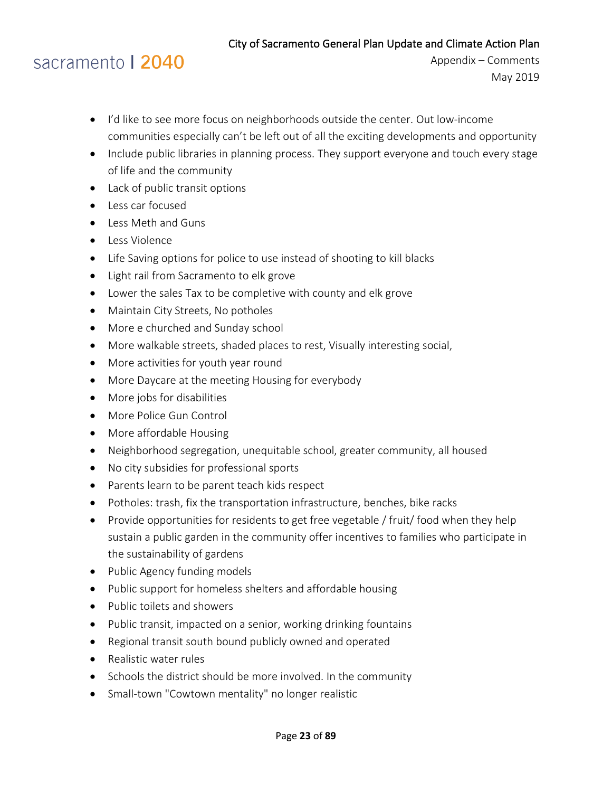# sacramento | 2040

- I'd like to see more focus on neighborhoods outside the center. Out low-income communities especially can't be left out of all the exciting developments and opportunity
- Include public libraries in planning process. They support everyone and touch every stage of life and the community
- Lack of public transit options
- Less car focused
- Less Meth and Guns
- Less Violence
- Life Saving options for police to use instead of shooting to kill blacks
- Light rail from Sacramento to elk grove
- Lower the sales Tax to be completive with county and elk grove
- Maintain City Streets, No potholes
- More e churched and Sunday school
- More walkable streets, shaded places to rest, Visually interesting social,
- More activities for youth year round
- More Daycare at the meeting Housing for everybody
- More jobs for disabilities
- More Police Gun Control
- More affordable Housing
- Neighborhood segregation, unequitable school, greater community, all housed
- No city subsidies for professional sports
- Parents learn to be parent teach kids respect
- Potholes: trash, fix the transportation infrastructure, benches, bike racks
- Provide opportunities for residents to get free vegetable / fruit/ food when they help sustain a public garden in the community offer incentives to families who participate in the sustainability of gardens
- Public Agency funding models
- Public support for homeless shelters and affordable housing
- Public toilets and showers
- Public transit, impacted on a senior, working drinking fountains
- Regional transit south bound publicly owned and operated
- Realistic water rules
- Schools the district should be more involved. In the community
- Small-town "Cowtown mentality" no longer realistic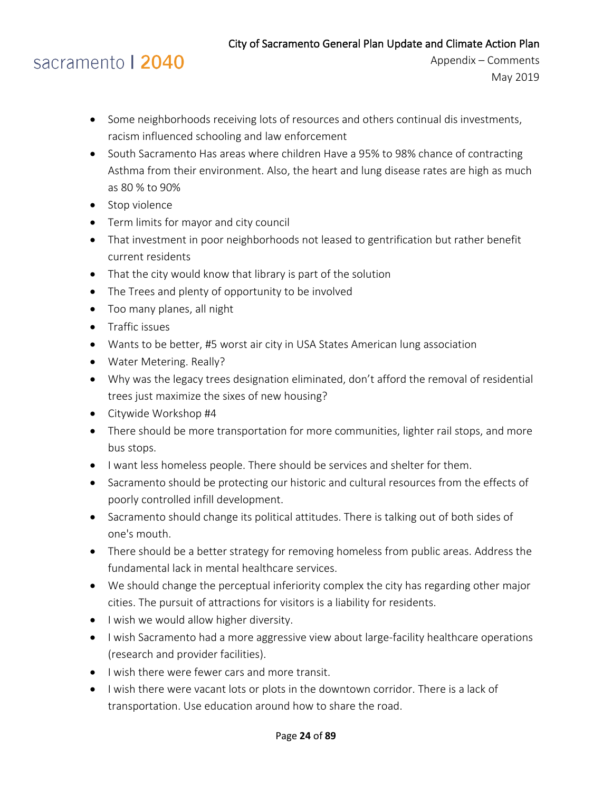# sacramento | 2040

- Some neighborhoods receiving lots of resources and others continual dis investments, racism influenced schooling and law enforcement
- South Sacramento Has areas where children Have a 95% to 98% chance of contracting Asthma from their environment. Also, the heart and lung disease rates are high as much as 80 % to 90%
- Stop violence
- Term limits for mayor and city council
- That investment in poor neighborhoods not leased to gentrification but rather benefit current residents
- That the city would know that library is part of the solution
- The Trees and plenty of opportunity to be involved
- Too many planes, all night
- Traffic issues
- Wants to be better, #5 worst air city in USA States American lung association
- Water Metering. Really?
- Why was the legacy trees designation eliminated, don't afford the removal of residential trees just maximize the sixes of new housing?
- Citywide Workshop #4
- There should be more transportation for more communities, lighter rail stops, and more bus stops.
- I want less homeless people. There should be services and shelter for them.
- Sacramento should be protecting our historic and cultural resources from the effects of poorly controlled infill development.
- Sacramento should change its political attitudes. There is talking out of both sides of one's mouth.
- There should be a better strategy for removing homeless from public areas. Address the fundamental lack in mental healthcare services.
- We should change the perceptual inferiority complex the city has regarding other major cities. The pursuit of attractions for visitors is a liability for residents.
- I wish we would allow higher diversity.
- I wish Sacramento had a more aggressive view about large-facility healthcare operations (research and provider facilities).
- I wish there were fewer cars and more transit.
- I wish there were vacant lots or plots in the downtown corridor. There is a lack of transportation. Use education around how to share the road.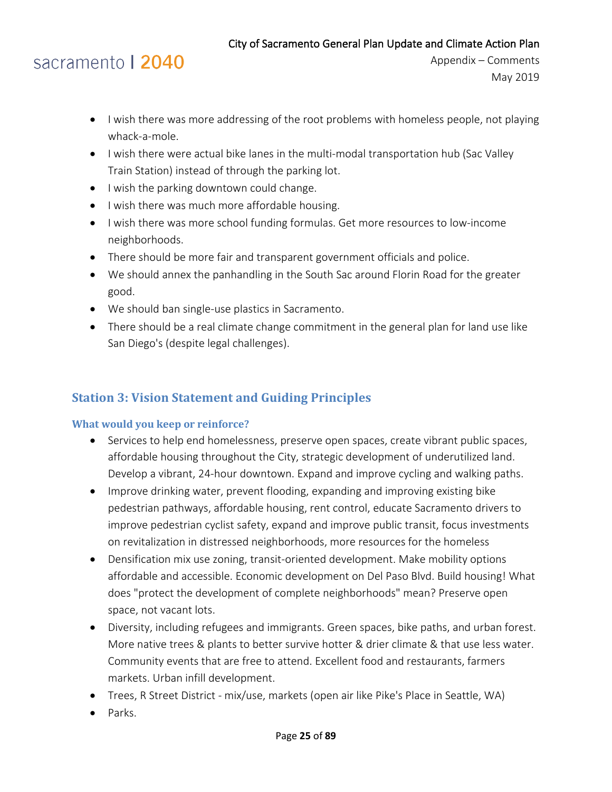# sacramento | 2040

- I wish there was more addressing of the root problems with homeless people, not playing whack-a-mole.
- I wish there were actual bike lanes in the multi-modal transportation hub (Sac Valley Train Station) instead of through the parking lot.
- I wish the parking downtown could change.
- I wish there was much more affordable housing.
- I wish there was more school funding formulas. Get more resources to low-income neighborhoods.
- There should be more fair and transparent government officials and police.
- We should annex the panhandling in the South Sac around Florin Road for the greater good.
- We should ban single-use plastics in Sacramento.
- There should be a real climate change commitment in the general plan for land use like San Diego's (despite legal challenges).

### <span id="page-24-0"></span>**Station 3: Vision Statement and Guiding Principles**

### <span id="page-24-1"></span>**What would you keep or reinforce?**

- Services to help end homelessness, preserve open spaces, create vibrant public spaces, affordable housing throughout the City, strategic development of underutilized land. Develop a vibrant, 24-hour downtown. Expand and improve cycling and walking paths.
- Improve drinking water, prevent flooding, expanding and improving existing bike pedestrian pathways, affordable housing, rent control, educate Sacramento drivers to improve pedestrian cyclist safety, expand and improve public transit, focus investments on revitalization in distressed neighborhoods, more resources for the homeless
- Densification mix use zoning, transit-oriented development. Make mobility options affordable and accessible. Economic development on Del Paso Blvd. Build housing! What does "protect the development of complete neighborhoods" mean? Preserve open space, not vacant lots.
- Diversity, including refugees and immigrants. Green spaces, bike paths, and urban forest. More native trees & plants to better survive hotter & drier climate & that use less water. Community events that are free to attend. Excellent food and restaurants, farmers markets. Urban infill development.
- Trees, R Street District mix/use, markets (open air like Pike's Place in Seattle, WA)
- Parks.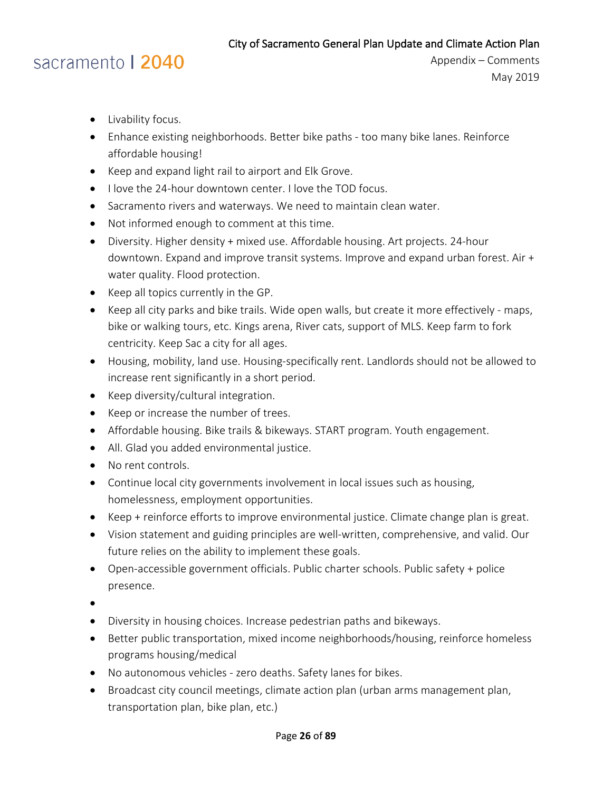- Livability focus.
- Enhance existing neighborhoods. Better bike paths too many bike lanes. Reinforce affordable housing!
- Keep and expand light rail to airport and Elk Grove.
- I love the 24-hour downtown center. I love the TOD focus.
- Sacramento rivers and waterways. We need to maintain clean water.
- Not informed enough to comment at this time.
- Diversity. Higher density + mixed use. Affordable housing. Art projects. 24-hour downtown. Expand and improve transit systems. Improve and expand urban forest. Air + water quality. Flood protection.
- Keep all topics currently in the GP.
- Keep all city parks and bike trails. Wide open walls, but create it more effectively maps, bike or walking tours, etc. Kings arena, River cats, support of MLS. Keep farm to fork centricity. Keep Sac a city for all ages.
- Housing, mobility, land use. Housing-specifically rent. Landlords should not be allowed to increase rent significantly in a short period.
- Keep diversity/cultural integration.
- Keep or increase the number of trees.
- Affordable housing. Bike trails & bikeways. START program. Youth engagement.
- All. Glad you added environmental justice.
- No rent controls.
- Continue local city governments involvement in local issues such as housing, homelessness, employment opportunities.
- Keep + reinforce efforts to improve environmental justice. Climate change plan is great.
- Vision statement and guiding principles are well-written, comprehensive, and valid. Our future relies on the ability to implement these goals.
- Open-accessible government officials. Public charter schools. Public safety + police presence.
- •
- Diversity in housing choices. Increase pedestrian paths and bikeways.
- Better public transportation, mixed income neighborhoods/housing, reinforce homeless programs housing/medical
- No autonomous vehicles zero deaths. Safety lanes for bikes.
- Broadcast city council meetings, climate action plan (urban arms management plan, transportation plan, bike plan, etc.)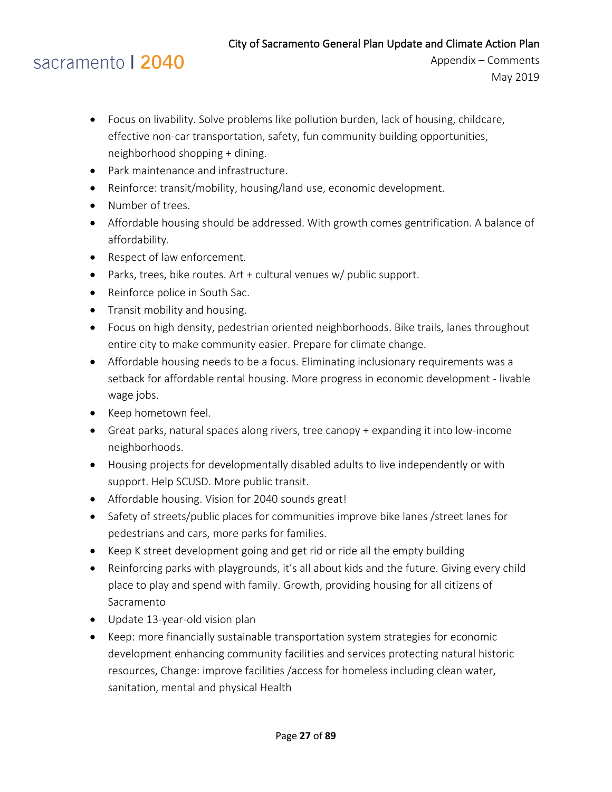- Focus on livability. Solve problems like pollution burden, lack of housing, childcare, effective non-car transportation, safety, fun community building opportunities, neighborhood shopping + dining.
- Park maintenance and infrastructure.
- Reinforce: transit/mobility, housing/land use, economic development.
- Number of trees.
- Affordable housing should be addressed. With growth comes gentrification. A balance of affordability.
- Respect of law enforcement.
- Parks, trees, bike routes. Art + cultural venues w/ public support.
- Reinforce police in South Sac.
- Transit mobility and housing.
- Focus on high density, pedestrian oriented neighborhoods. Bike trails, lanes throughout entire city to make community easier. Prepare for climate change.
- Affordable housing needs to be a focus. Eliminating inclusionary requirements was a setback for affordable rental housing. More progress in economic development - livable wage jobs.
- Keep hometown feel.
- Great parks, natural spaces along rivers, tree canopy + expanding it into low-income neighborhoods.
- Housing projects for developmentally disabled adults to live independently or with support. Help SCUSD. More public transit.
- Affordable housing. Vision for 2040 sounds great!
- Safety of streets/public places for communities improve bike lanes /street lanes for pedestrians and cars, more parks for families.
- Keep K street development going and get rid or ride all the empty building
- Reinforcing parks with playgrounds, it's all about kids and the future. Giving every child place to play and spend with family. Growth, providing housing for all citizens of Sacramento
- Update 13-year-old vision plan
- Keep: more financially sustainable transportation system strategies for economic development enhancing community facilities and services protecting natural historic resources, Change: improve facilities /access for homeless including clean water, sanitation, mental and physical Health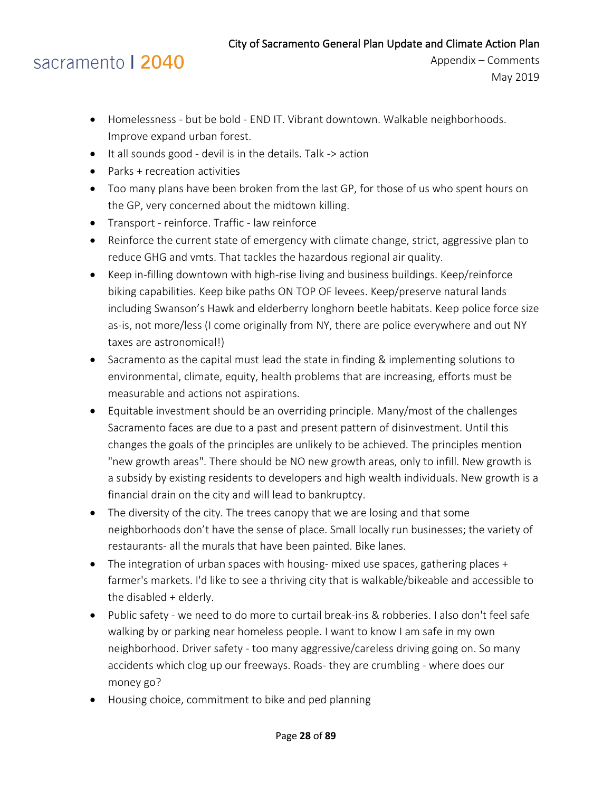- Homelessness but be bold END IT. Vibrant downtown. Walkable neighborhoods. Improve expand urban forest.
- It all sounds good devil is in the details. Talk -> action
- Parks + recreation activities
- Too many plans have been broken from the last GP, for those of us who spent hours on the GP, very concerned about the midtown killing.
- Transport reinforce. Traffic law reinforce
- Reinforce the current state of emergency with climate change, strict, aggressive plan to reduce GHG and vmts. That tackles the hazardous regional air quality.
- Keep in-filling downtown with high-rise living and business buildings. Keep/reinforce biking capabilities. Keep bike paths ON TOP OF levees. Keep/preserve natural lands including Swanson's Hawk and elderberry longhorn beetle habitats. Keep police force size as-is, not more/less (I come originally from NY, there are police everywhere and out NY taxes are astronomical!)
- Sacramento as the capital must lead the state in finding & implementing solutions to environmental, climate, equity, health problems that are increasing, efforts must be measurable and actions not aspirations.
- Equitable investment should be an overriding principle. Many/most of the challenges Sacramento faces are due to a past and present pattern of disinvestment. Until this changes the goals of the principles are unlikely to be achieved. The principles mention "new growth areas". There should be NO new growth areas, only to infill. New growth is a subsidy by existing residents to developers and high wealth individuals. New growth is a financial drain on the city and will lead to bankruptcy.
- The diversity of the city. The trees canopy that we are losing and that some neighborhoods don't have the sense of place. Small locally run businesses; the variety of restaurants- all the murals that have been painted. Bike lanes.
- The integration of urban spaces with housing- mixed use spaces, gathering places + farmer's markets. I'd like to see a thriving city that is walkable/bikeable and accessible to the disabled + elderly.
- Public safety we need to do more to curtail break-ins & robberies. I also don't feel safe walking by or parking near homeless people. I want to know I am safe in my own neighborhood. Driver safety - too many aggressive/careless driving going on. So many accidents which clog up our freeways. Roads- they are crumbling - where does our money go?
- Housing choice, commitment to bike and ped planning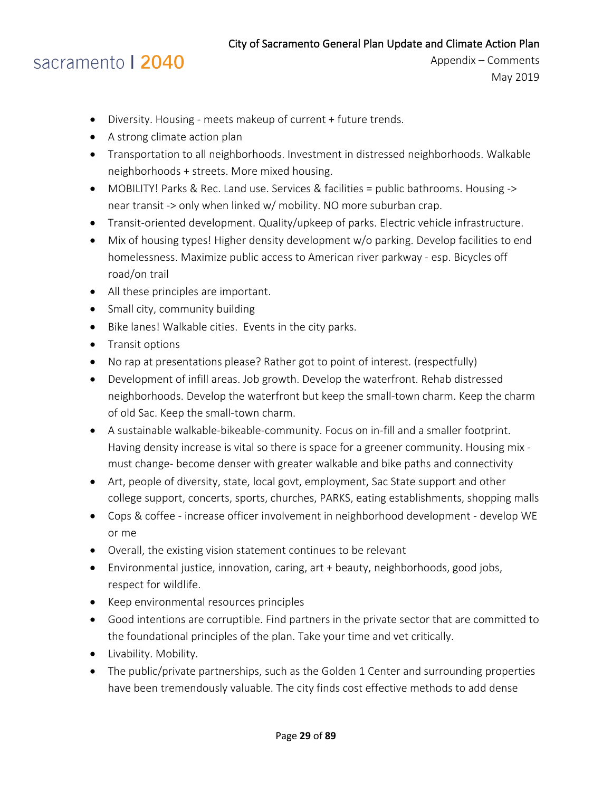- Diversity. Housing meets makeup of current + future trends.
- A strong climate action plan
- Transportation to all neighborhoods. Investment in distressed neighborhoods. Walkable neighborhoods + streets. More mixed housing.
- MOBILITY! Parks & Rec. Land use. Services & facilities = public bathrooms. Housing -> near transit -> only when linked w/ mobility. NO more suburban crap.
- Transit-oriented development. Quality/upkeep of parks. Electric vehicle infrastructure.
- Mix of housing types! Higher density development w/o parking. Develop facilities to end homelessness. Maximize public access to American river parkway - esp. Bicycles off road/on trail
- All these principles are important.
- Small city, community building
- Bike lanes! Walkable cities. Events in the city parks.
- Transit options
- No rap at presentations please? Rather got to point of interest. (respectfully)
- Development of infill areas. Job growth. Develop the waterfront. Rehab distressed neighborhoods. Develop the waterfront but keep the small-town charm. Keep the charm of old Sac. Keep the small-town charm.
- A sustainable walkable-bikeable-community. Focus on in-fill and a smaller footprint. Having density increase is vital so there is space for a greener community. Housing mix must change- become denser with greater walkable and bike paths and connectivity
- Art, people of diversity, state, local govt, employment, Sac State support and other college support, concerts, sports, churches, PARKS, eating establishments, shopping malls
- Cops & coffee increase officer involvement in neighborhood development develop WE or me
- Overall, the existing vision statement continues to be relevant
- Environmental justice, innovation, caring, art + beauty, neighborhoods, good jobs, respect for wildlife.
- Keep environmental resources principles
- Good intentions are corruptible. Find partners in the private sector that are committed to the foundational principles of the plan. Take your time and vet critically.
- Livability. Mobility.
- The public/private partnerships, such as the Golden 1 Center and surrounding properties have been tremendously valuable. The city finds cost effective methods to add dense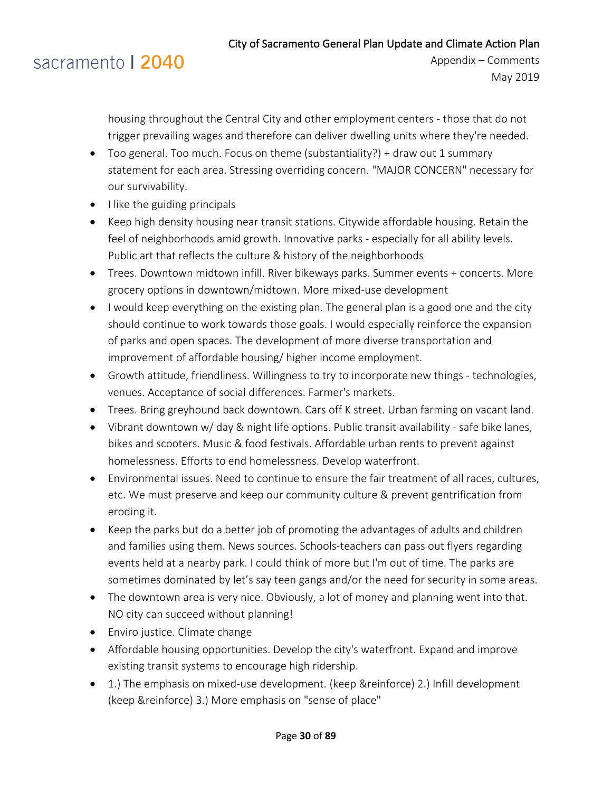# sacramento | 2040

housing throughout the Central City and other employment centers - those that do not trigger prevailing wages and therefore can deliver dwelling units where they're needed.

- Too general. Too much. Focus on theme (substantiality?) + draw out 1 summary statement for each area. Stressing overriding concern. "MAJOR CONCERN" necessary for our survivability.
- I like the guiding principals
- Keep high density housing near transit stations. Citywide affordable housing. Retain the feel of neighborhoods amid growth. Innovative parks - especially for all ability levels. Public art that reflects the culture & history of the neighborhoods
- Trees. Downtown midtown infill. River bikeways parks. Summer events + concerts. More grocery options in downtown/midtown. More mixed-use development
- I would keep everything on the existing plan. The general plan is a good one and the city should continue to work towards those goals. I would especially reinforce the expansion of parks and open spaces. The development of more diverse transportation and improvement of affordable housing/ higher income employment.
- Growth attitude, friendliness. Willingness to try to incorporate new things technologies, venues. Acceptance of social differences. Farmer's markets.
- Trees. Bring greyhound back downtown. Cars off K street. Urban farming on vacant land.
- Vibrant downtown w/ day & night life options. Public transit availability safe bike lanes, bikes and scooters. Music & food festivals. Affordable urban rents to prevent against homelessness. Efforts to end homelessness. Develop waterfront.
- Environmental issues. Need to continue to ensure the fair treatment of all races, cultures, etc. We must preserve and keep our community culture & prevent gentrification from eroding it.
- Keep the parks but do a better job of promoting the advantages of adults and children and families using them. News sources. Schools-teachers can pass out flyers regarding events held at a nearby park. I could think of more but I'm out of time. The parks are sometimes dominated by let's say teen gangs and/or the need for security in some areas.
- The downtown area is very nice. Obviously, a lot of money and planning went into that. NO city can succeed without planning!
- Enviro justice. Climate change
- Affordable housing opportunities. Develop the city's waterfront. Expand and improve existing transit systems to encourage high ridership.
- 1.) The emphasis on mixed-use development. (keep &reinforce) 2.) Infill development (keep &reinforce) 3.) More emphasis on "sense of place"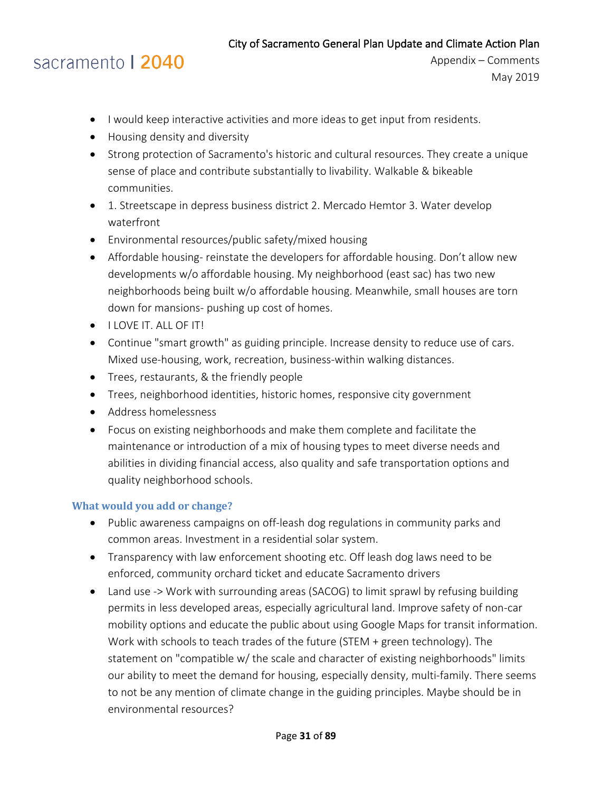## sacramento | 2040

- I would keep interactive activities and more ideas to get input from residents.
- Housing density and diversity
- Strong protection of Sacramento's historic and cultural resources. They create a unique sense of place and contribute substantially to livability. Walkable & bikeable communities.
- 1. Streetscape in depress business district 2. Mercado Hemtor 3. Water develop waterfront
- Environmental resources/public safety/mixed housing
- Affordable housing- reinstate the developers for affordable housing. Don't allow new developments w/o affordable housing. My neighborhood (east sac) has two new neighborhoods being built w/o affordable housing. Meanwhile, small houses are torn down for mansions- pushing up cost of homes.
- **I LOVE IT. ALL OF IT!**
- Continue "smart growth" as guiding principle. Increase density to reduce use of cars. Mixed use-housing, work, recreation, business-within walking distances.
- Trees, restaurants, & the friendly people
- Trees, neighborhood identities, historic homes, responsive city government
- Address homelessness
- Focus on existing neighborhoods and make them complete and facilitate the maintenance or introduction of a mix of housing types to meet diverse needs and abilities in dividing financial access, also quality and safe transportation options and quality neighborhood schools.

#### <span id="page-30-0"></span>**What would you add or change?**

- Public awareness campaigns on off-leash dog regulations in community parks and common areas. Investment in a residential solar system.
- Transparency with law enforcement shooting etc. Off leash dog laws need to be enforced, community orchard ticket and educate Sacramento drivers
- Land use -> Work with surrounding areas (SACOG) to limit sprawl by refusing building permits in less developed areas, especially agricultural land. Improve safety of non-car mobility options and educate the public about using Google Maps for transit information. Work with schools to teach trades of the future (STEM + green technology). The statement on "compatible w/ the scale and character of existing neighborhoods" limits our ability to meet the demand for housing, especially density, multi-family. There seems to not be any mention of climate change in the guiding principles. Maybe should be in environmental resources?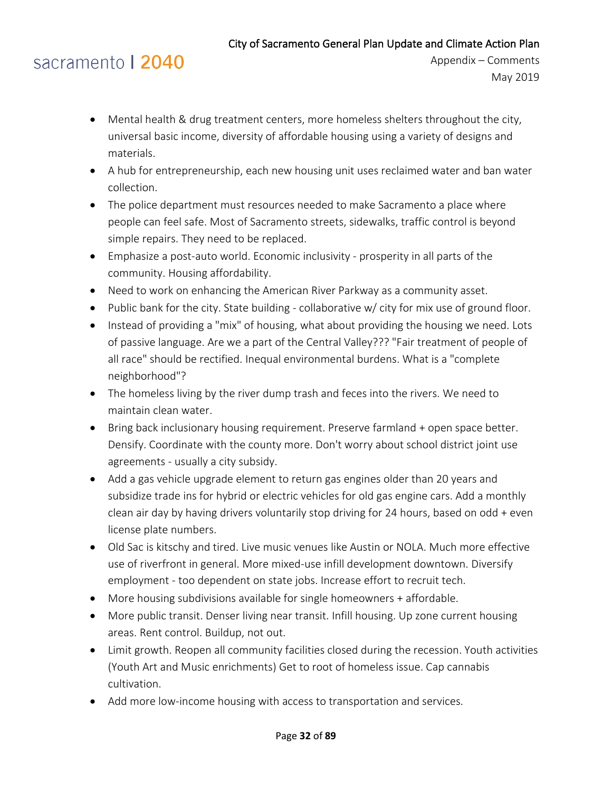- Mental health & drug treatment centers, more homeless shelters throughout the city, universal basic income, diversity of affordable housing using a variety of designs and materials.
- A hub for entrepreneurship, each new housing unit uses reclaimed water and ban water collection.
- The police department must resources needed to make Sacramento a place where people can feel safe. Most of Sacramento streets, sidewalks, traffic control is beyond simple repairs. They need to be replaced.
- Emphasize a post-auto world. Economic inclusivity prosperity in all parts of the community. Housing affordability.
- Need to work on enhancing the American River Parkway as a community asset.
- Public bank for the city. State building collaborative w/ city for mix use of ground floor.
- Instead of providing a "mix" of housing, what about providing the housing we need. Lots of passive language. Are we a part of the Central Valley??? "Fair treatment of people of all race" should be rectified. Inequal environmental burdens. What is a "complete neighborhood"?
- The homeless living by the river dump trash and feces into the rivers. We need to maintain clean water.
- Bring back inclusionary housing requirement. Preserve farmland + open space better. Densify. Coordinate with the county more. Don't worry about school district joint use agreements - usually a city subsidy.
- Add a gas vehicle upgrade element to return gas engines older than 20 years and subsidize trade ins for hybrid or electric vehicles for old gas engine cars. Add a monthly clean air day by having drivers voluntarily stop driving for 24 hours, based on odd + even license plate numbers.
- Old Sac is kitschy and tired. Live music venues like Austin or NOLA. Much more effective use of riverfront in general. More mixed-use infill development downtown. Diversify employment - too dependent on state jobs. Increase effort to recruit tech.
- More housing subdivisions available for single homeowners + affordable.
- More public transit. Denser living near transit. Infill housing. Up zone current housing areas. Rent control. Buildup, not out.
- Limit growth. Reopen all community facilities closed during the recession. Youth activities (Youth Art and Music enrichments) Get to root of homeless issue. Cap cannabis cultivation.
- Add more low-income housing with access to transportation and services.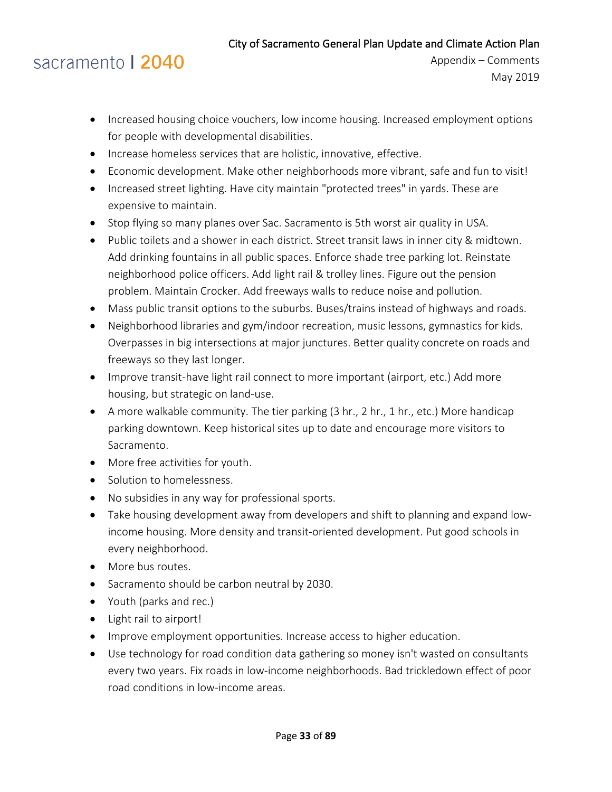- Increased housing choice vouchers, low income housing. Increased employment options for people with developmental disabilities.
- Increase homeless services that are holistic, innovative, effective.
- Economic development. Make other neighborhoods more vibrant, safe and fun to visit!
- Increased street lighting. Have city maintain "protected trees" in yards. These are expensive to maintain.
- Stop flying so many planes over Sac. Sacramento is 5th worst air quality in USA.
- Public toilets and a shower in each district. Street transit laws in inner city & midtown. Add drinking fountains in all public spaces. Enforce shade tree parking lot. Reinstate neighborhood police officers. Add light rail & trolley lines. Figure out the pension problem. Maintain Crocker. Add freeways walls to reduce noise and pollution.
- Mass public transit options to the suburbs. Buses/trains instead of highways and roads.
- Neighborhood libraries and gym/indoor recreation, music lessons, gymnastics for kids. Overpasses in big intersections at major junctures. Better quality concrete on roads and freeways so they last longer.
- Improve transit-have light rail connect to more important (airport, etc.) Add more housing, but strategic on land-use.
- A more walkable community. The tier parking (3 hr., 2 hr., 1 hr., etc.) More handicap parking downtown. Keep historical sites up to date and encourage more visitors to Sacramento.
- More free activities for youth.
- Solution to homelessness.
- No subsidies in any way for professional sports.
- Take housing development away from developers and shift to planning and expand lowincome housing. More density and transit-oriented development. Put good schools in every neighborhood.
- More bus routes.
- Sacramento should be carbon neutral by 2030.
- Youth (parks and rec.)
- Light rail to airport!
- Improve employment opportunities. Increase access to higher education.
- Use technology for road condition data gathering so money isn't wasted on consultants every two years. Fix roads in low-income neighborhoods. Bad trickledown effect of poor road conditions in low-income areas.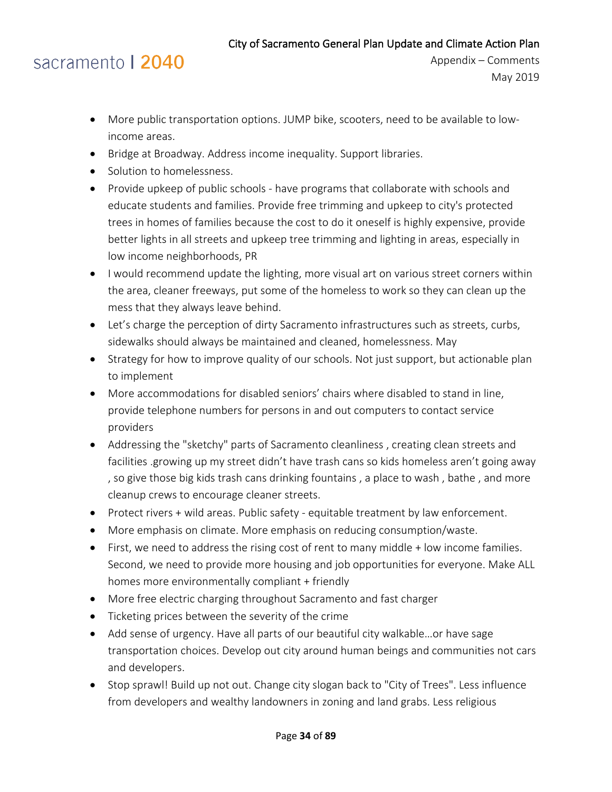- More public transportation options. JUMP bike, scooters, need to be available to lowincome areas.
- Bridge at Broadway. Address income inequality. Support libraries.
- Solution to homelessness.
- Provide upkeep of public schools have programs that collaborate with schools and educate students and families. Provide free trimming and upkeep to city's protected trees in homes of families because the cost to do it oneself is highly expensive, provide better lights in all streets and upkeep tree trimming and lighting in areas, especially in low income neighborhoods, PR
- I would recommend update the lighting, more visual art on various street corners within the area, cleaner freeways, put some of the homeless to work so they can clean up the mess that they always leave behind.
- Let's charge the perception of dirty Sacramento infrastructures such as streets, curbs, sidewalks should always be maintained and cleaned, homelessness. May
- Strategy for how to improve quality of our schools. Not just support, but actionable plan to implement
- More accommodations for disabled seniors' chairs where disabled to stand in line, provide telephone numbers for persons in and out computers to contact service providers
- Addressing the "sketchy" parts of Sacramento cleanliness , creating clean streets and facilities .growing up my street didn't have trash cans so kids homeless aren't going away , so give those big kids trash cans drinking fountains , a place to wash , bathe , and more cleanup crews to encourage cleaner streets.
- Protect rivers + wild areas. Public safety equitable treatment by law enforcement.
- More emphasis on climate. More emphasis on reducing consumption/waste.
- First, we need to address the rising cost of rent to many middle + low income families. Second, we need to provide more housing and job opportunities for everyone. Make ALL homes more environmentally compliant + friendly
- More free electric charging throughout Sacramento and fast charger
- Ticketing prices between the severity of the crime
- Add sense of urgency. Have all parts of our beautiful city walkable...or have sage transportation choices. Develop out city around human beings and communities not cars and developers.
- Stop sprawl! Build up not out. Change city slogan back to "City of Trees". Less influence from developers and wealthy landowners in zoning and land grabs. Less religious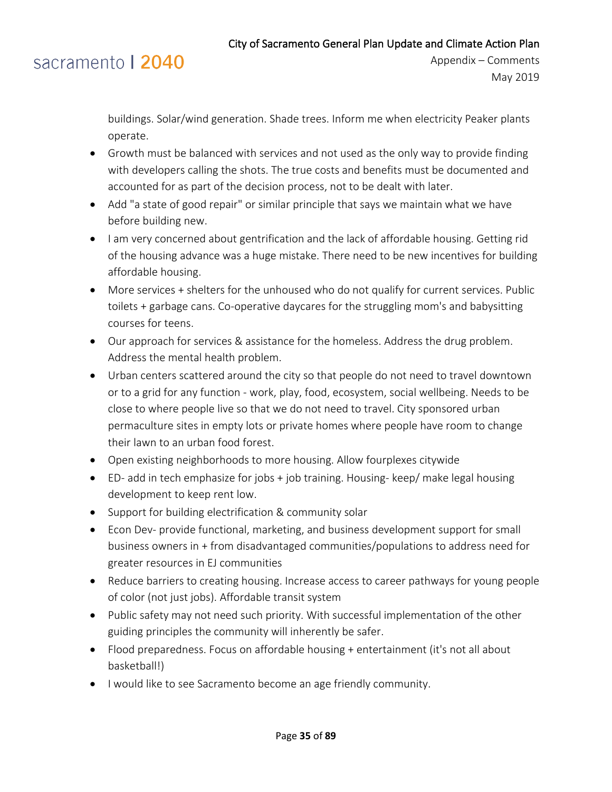### sacramento | 2040

buildings. Solar/wind generation. Shade trees. Inform me when electricity Peaker plants operate.

- Growth must be balanced with services and not used as the only way to provide finding with developers calling the shots. The true costs and benefits must be documented and accounted for as part of the decision process, not to be dealt with later.
- Add "a state of good repair" or similar principle that says we maintain what we have before building new.
- I am very concerned about gentrification and the lack of affordable housing. Getting rid of the housing advance was a huge mistake. There need to be new incentives for building affordable housing.
- More services + shelters for the unhoused who do not qualify for current services. Public toilets + garbage cans. Co-operative daycares for the struggling mom's and babysitting courses for teens.
- Our approach for services & assistance for the homeless. Address the drug problem. Address the mental health problem.
- Urban centers scattered around the city so that people do not need to travel downtown or to a grid for any function - work, play, food, ecosystem, social wellbeing. Needs to be close to where people live so that we do not need to travel. City sponsored urban permaculture sites in empty lots or private homes where people have room to change their lawn to an urban food forest.
- Open existing neighborhoods to more housing. Allow fourplexes citywide
- ED- add in tech emphasize for jobs + job training. Housing- keep/ make legal housing development to keep rent low.
- Support for building electrification & community solar
- Econ Dev- provide functional, marketing, and business development support for small business owners in + from disadvantaged communities/populations to address need for greater resources in EJ communities
- Reduce barriers to creating housing. Increase access to career pathways for young people of color (not just jobs). Affordable transit system
- Public safety may not need such priority. With successful implementation of the other guiding principles the community will inherently be safer.
- Flood preparedness. Focus on affordable housing + entertainment (it's not all about basketball!)
- I would like to see Sacramento become an age friendly community.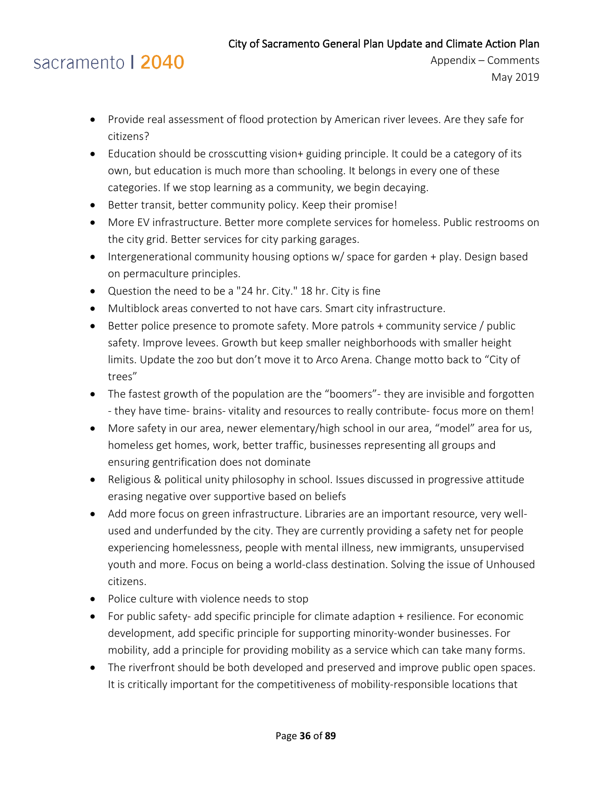- Provide real assessment of flood protection by American river levees. Are they safe for citizens?
- Education should be crosscutting vision+ guiding principle. It could be a category of its own, but education is much more than schooling. It belongs in every one of these categories. If we stop learning as a community, we begin decaying.
- Better transit, better community policy. Keep their promise!
- More EV infrastructure. Better more complete services for homeless. Public restrooms on the city grid. Better services for city parking garages.
- Intergenerational community housing options w/ space for garden + play. Design based on permaculture principles.
- Question the need to be a "24 hr. City." 18 hr. City is fine
- Multiblock areas converted to not have cars. Smart city infrastructure.
- Better police presence to promote safety. More patrols + community service / public safety. Improve levees. Growth but keep smaller neighborhoods with smaller height limits. Update the zoo but don't move it to Arco Arena. Change motto back to "City of trees"
- The fastest growth of the population are the "boomers"- they are invisible and forgotten - they have time- brains- vitality and resources to really contribute- focus more on them!
- More safety in our area, newer elementary/high school in our area, "model" area for us, homeless get homes, work, better traffic, businesses representing all groups and ensuring gentrification does not dominate
- Religious & political unity philosophy in school. Issues discussed in progressive attitude erasing negative over supportive based on beliefs
- Add more focus on green infrastructure. Libraries are an important resource, very wellused and underfunded by the city. They are currently providing a safety net for people experiencing homelessness, people with mental illness, new immigrants, unsupervised youth and more. Focus on being a world-class destination. Solving the issue of Unhoused citizens.
- Police culture with violence needs to stop
- For public safety- add specific principle for climate adaption + resilience. For economic development, add specific principle for supporting minority-wonder businesses. For mobility, add a principle for providing mobility as a service which can take many forms.
- The riverfront should be both developed and preserved and improve public open spaces. It is critically important for the competitiveness of mobility-responsible locations that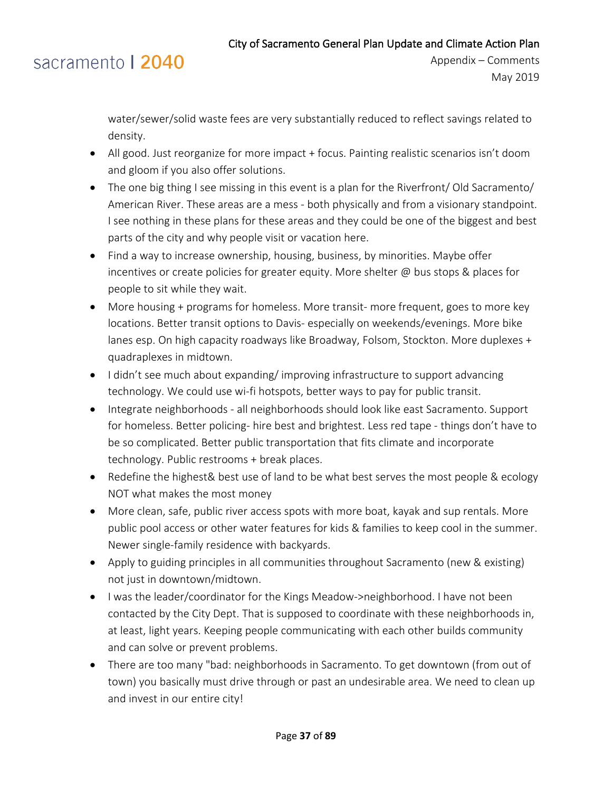### sacramento | 2040

water/sewer/solid waste fees are very substantially reduced to reflect savings related to density.

- All good. Just reorganize for more impact + focus. Painting realistic scenarios isn't doom and gloom if you also offer solutions.
- The one big thing I see missing in this event is a plan for the Riverfront/Old Sacramento/ American River. These areas are a mess - both physically and from a visionary standpoint. I see nothing in these plans for these areas and they could be one of the biggest and best parts of the city and why people visit or vacation here.
- Find a way to increase ownership, housing, business, by minorities. Maybe offer incentives or create policies for greater equity. More shelter @ bus stops & places for people to sit while they wait.
- More housing + programs for homeless. More transit- more frequent, goes to more key locations. Better transit options to Davis- especially on weekends/evenings. More bike lanes esp. On high capacity roadways like Broadway, Folsom, Stockton. More duplexes + quadraplexes in midtown.
- I didn't see much about expanding/ improving infrastructure to support advancing technology. We could use wi-fi hotspots, better ways to pay for public transit.
- Integrate neighborhoods all neighborhoods should look like east Sacramento. Support for homeless. Better policing- hire best and brightest. Less red tape - things don't have to be so complicated. Better public transportation that fits climate and incorporate technology. Public restrooms + break places.
- Redefine the highest& best use of land to be what best serves the most people & ecology NOT what makes the most money
- More clean, safe, public river access spots with more boat, kayak and sup rentals. More public pool access or other water features for kids & families to keep cool in the summer. Newer single-family residence with backyards.
- Apply to guiding principles in all communities throughout Sacramento (new & existing) not just in downtown/midtown.
- I was the leader/coordinator for the Kings Meadow->neighborhood. I have not been contacted by the City Dept. That is supposed to coordinate with these neighborhoods in, at least, light years. Keeping people communicating with each other builds community and can solve or prevent problems.
- There are too many "bad: neighborhoods in Sacramento. To get downtown (from out of town) you basically must drive through or past an undesirable area. We need to clean up and invest in our entire city!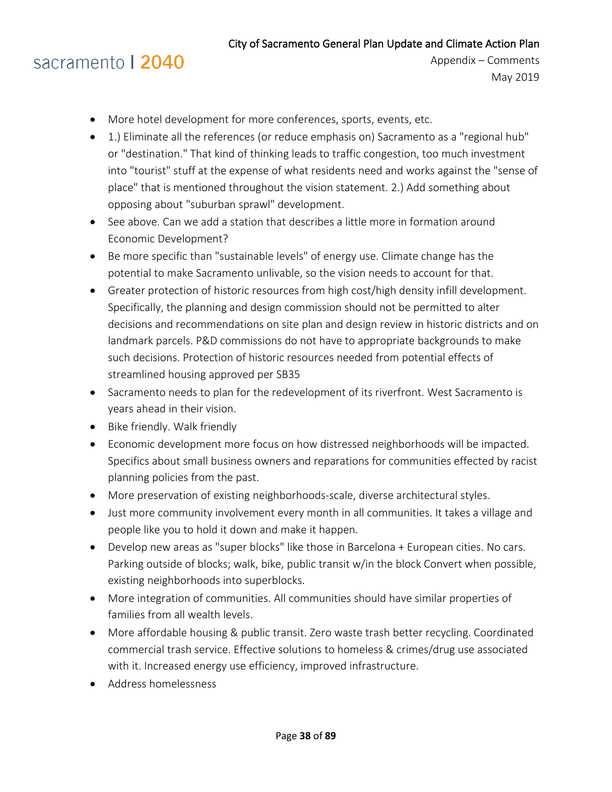# sacramento | 2040

- More hotel development for more conferences, sports, events, etc.
- 1.) Eliminate all the references (or reduce emphasis on) Sacramento as a "regional hub" or "destination." That kind of thinking leads to traffic congestion, too much investment into "tourist" stuff at the expense of what residents need and works against the "sense of place" that is mentioned throughout the vision statement. 2.) Add something about opposing about "suburban sprawl" development.
- See above. Can we add a station that describes a little more in formation around Economic Development?
- Be more specific than "sustainable levels" of energy use. Climate change has the potential to make Sacramento unlivable, so the vision needs to account for that.
- Greater protection of historic resources from high cost/high density infill development. Specifically, the planning and design commission should not be permitted to alter decisions and recommendations on site plan and design review in historic districts and on landmark parcels. P&D commissions do not have to appropriate backgrounds to make such decisions. Protection of historic resources needed from potential effects of streamlined housing approved per SB35
- Sacramento needs to plan for the redevelopment of its riverfront. West Sacramento is years ahead in their vision.
- Bike friendly. Walk friendly
- Economic development more focus on how distressed neighborhoods will be impacted. Specifics about small business owners and reparations for communities effected by racist planning policies from the past.
- More preservation of existing neighborhoods-scale, diverse architectural styles.
- Just more community involvement every month in all communities. It takes a village and people like you to hold it down and make it happen.
- Develop new areas as "super blocks" like those in Barcelona + European cities. No cars. Parking outside of blocks; walk, bike, public transit w/in the block Convert when possible, existing neighborhoods into superblocks.
- More integration of communities. All communities should have similar properties of families from all wealth levels.
- More affordable housing & public transit. Zero waste trash better recycling. Coordinated commercial trash service. Effective solutions to homeless & crimes/drug use associated with it. Increased energy use efficiency, improved infrastructure.
- Address homelessness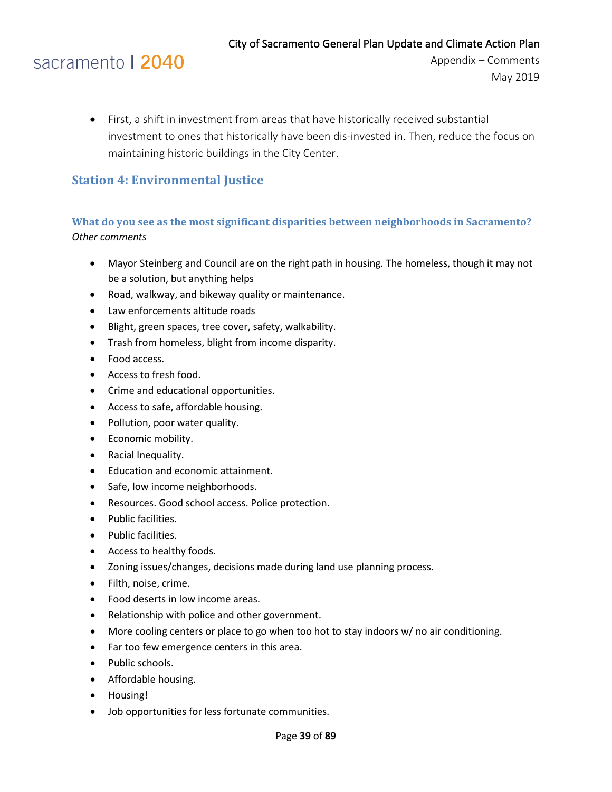### sacramento | 2040

• First, a shift in investment from areas that have historically received substantial investment to ones that historically have been dis-invested in. Then, reduce the focus on maintaining historic buildings in the City Center.

### **Station 4: Environmental Justice**

### **What do you see as the most significant disparities between neighborhoods in Sacramento?** *Other comments*

- Mayor Steinberg and Council are on the right path in housing. The homeless, though it may not be a solution, but anything helps
- Road, walkway, and bikeway quality or maintenance.
- Law enforcements altitude roads
- Blight, green spaces, tree cover, safety, walkability.
- Trash from homeless, blight from income disparity.
- Food access.
- Access to fresh food.
- Crime and educational opportunities.
- Access to safe, affordable housing.
- Pollution, poor water quality.
- Economic mobility.
- Racial Inequality.
- Education and economic attainment.
- Safe, low income neighborhoods.
- Resources. Good school access. Police protection.
- Public facilities.
- Public facilities.
- Access to healthy foods.
- Zoning issues/changes, decisions made during land use planning process.
- Filth, noise, crime.
- Food deserts in low income areas.
- Relationship with police and other government.
- More cooling centers or place to go when too hot to stay indoors w/ no air conditioning.
- Far too few emergence centers in this area.
- Public schools.
- Affordable housing.
- Housing!
- Job opportunities for less fortunate communities.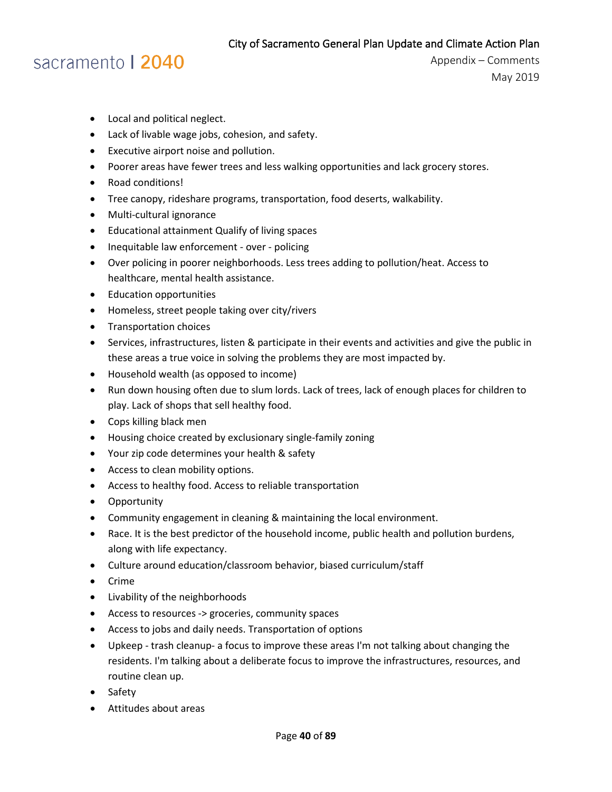### sacramento | 2040

- Local and political neglect.
- Lack of livable wage jobs, cohesion, and safety.
- Executive airport noise and pollution.
- Poorer areas have fewer trees and less walking opportunities and lack grocery stores.
- Road conditions!
- Tree canopy, rideshare programs, transportation, food deserts, walkability.
- Multi-cultural ignorance
- Educational attainment Qualify of living spaces
- Inequitable law enforcement over policing
- Over policing in poorer neighborhoods. Less trees adding to pollution/heat. Access to healthcare, mental health assistance.
- Education opportunities
- Homeless, street people taking over city/rivers
- Transportation choices
- Services, infrastructures, listen & participate in their events and activities and give the public in these areas a true voice in solving the problems they are most impacted by.
- Household wealth (as opposed to income)
- Run down housing often due to slum lords. Lack of trees, lack of enough places for children to play. Lack of shops that sell healthy food.
- Cops killing black men
- Housing choice created by exclusionary single-family zoning
- Your zip code determines your health & safety
- Access to clean mobility options.
- Access to healthy food. Access to reliable transportation
- Opportunity
- Community engagement in cleaning & maintaining the local environment.
- Race. It is the best predictor of the household income, public health and pollution burdens, along with life expectancy.
- Culture around education/classroom behavior, biased curriculum/staff
- Crime
- Livability of the neighborhoods
- Access to resources -> groceries, community spaces
- Access to jobs and daily needs. Transportation of options
- Upkeep trash cleanup- a focus to improve these areas I'm not talking about changing the residents. I'm talking about a deliberate focus to improve the infrastructures, resources, and routine clean up.
- Safety
- Attitudes about areas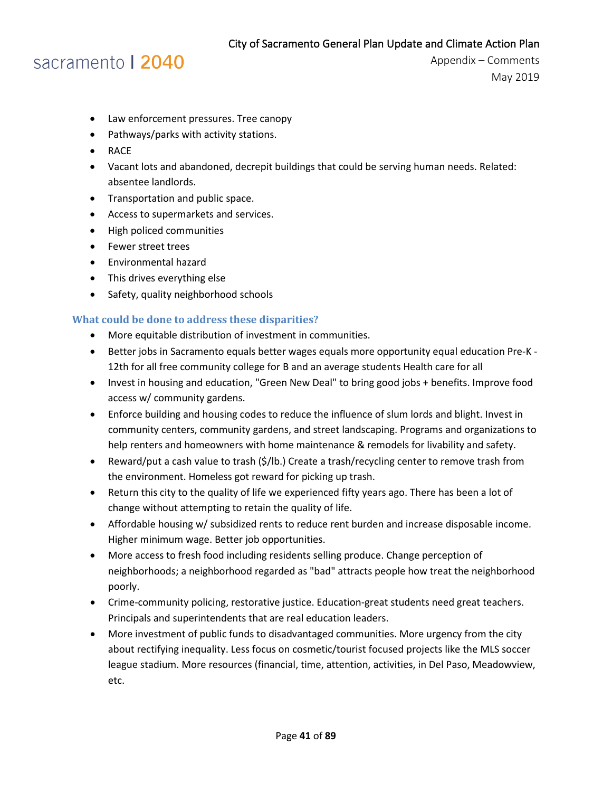### sacramento | 2040

Appendix – Comments May 2019

- Law enforcement pressures. Tree canopy
- Pathways/parks with activity stations.
- RACE
- Vacant lots and abandoned, decrepit buildings that could be serving human needs. Related: absentee landlords.
- Transportation and public space.
- Access to supermarkets and services.
- High policed communities
- Fewer street trees
- Environmental hazard
- This drives everything else
- Safety, quality neighborhood schools

#### **What could be done to address these disparities?**

- More equitable distribution of investment in communities.
- Better jobs in Sacramento equals better wages equals more opportunity equal education Pre-K 12th for all free community college for B and an average students Health care for all
- Invest in housing and education, "Green New Deal" to bring good jobs + benefits. Improve food access w/ community gardens.
- Enforce building and housing codes to reduce the influence of slum lords and blight. Invest in community centers, community gardens, and street landscaping. Programs and organizations to help renters and homeowners with home maintenance & remodels for livability and safety.
- Reward/put a cash value to trash (\$/lb.) Create a trash/recycling center to remove trash from the environment. Homeless got reward for picking up trash.
- Return this city to the quality of life we experienced fifty years ago. There has been a lot of change without attempting to retain the quality of life.
- Affordable housing w/ subsidized rents to reduce rent burden and increase disposable income. Higher minimum wage. Better job opportunities.
- More access to fresh food including residents selling produce. Change perception of neighborhoods; a neighborhood regarded as "bad" attracts people how treat the neighborhood poorly.
- Crime-community policing, restorative justice. Education-great students need great teachers. Principals and superintendents that are real education leaders.
- More investment of public funds to disadvantaged communities. More urgency from the city about rectifying inequality. Less focus on cosmetic/tourist focused projects like the MLS soccer league stadium. More resources (financial, time, attention, activities, in Del Paso, Meadowview, etc.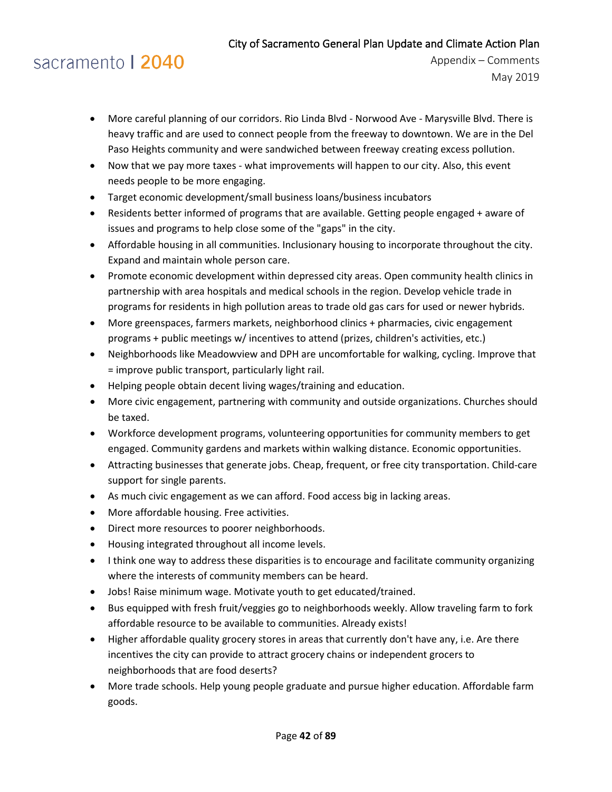# sacramento | 2040

- More careful planning of our corridors. Rio Linda Blvd Norwood Ave Marysville Blvd. There is heavy traffic and are used to connect people from the freeway to downtown. We are in the Del Paso Heights community and were sandwiched between freeway creating excess pollution.
- Now that we pay more taxes what improvements will happen to our city. Also, this event needs people to be more engaging.
- Target economic development/small business loans/business incubators
- Residents better informed of programs that are available. Getting people engaged + aware of issues and programs to help close some of the "gaps" in the city.
- Affordable housing in all communities. Inclusionary housing to incorporate throughout the city. Expand and maintain whole person care.
- Promote economic development within depressed city areas. Open community health clinics in partnership with area hospitals and medical schools in the region. Develop vehicle trade in programs for residents in high pollution areas to trade old gas cars for used or newer hybrids.
- More greenspaces, farmers markets, neighborhood clinics + pharmacies, civic engagement programs + public meetings w/ incentives to attend (prizes, children's activities, etc.)
- Neighborhoods like Meadowview and DPH are uncomfortable for walking, cycling. Improve that = improve public transport, particularly light rail.
- Helping people obtain decent living wages/training and education.
- More civic engagement, partnering with community and outside organizations. Churches should be taxed.
- Workforce development programs, volunteering opportunities for community members to get engaged. Community gardens and markets within walking distance. Economic opportunities.
- Attracting businesses that generate jobs. Cheap, frequent, or free city transportation. Child-care support for single parents.
- As much civic engagement as we can afford. Food access big in lacking areas.
- More affordable housing. Free activities.
- Direct more resources to poorer neighborhoods.
- Housing integrated throughout all income levels.
- I think one way to address these disparities is to encourage and facilitate community organizing where the interests of community members can be heard.
- Jobs! Raise minimum wage. Motivate youth to get educated/trained.
- Bus equipped with fresh fruit/veggies go to neighborhoods weekly. Allow traveling farm to fork affordable resource to be available to communities. Already exists!
- Higher affordable quality grocery stores in areas that currently don't have any, i.e. Are there incentives the city can provide to attract grocery chains or independent grocers to neighborhoods that are food deserts?
- More trade schools. Help young people graduate and pursue higher education. Affordable farm goods.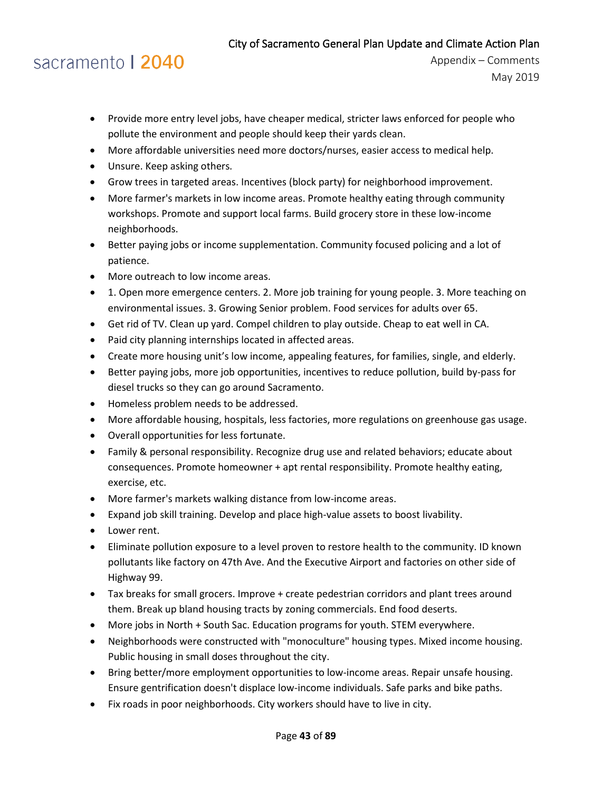# sacramento | 2040

- Provide more entry level jobs, have cheaper medical, stricter laws enforced for people who pollute the environment and people should keep their yards clean.
- More affordable universities need more doctors/nurses, easier access to medical help.
- Unsure. Keep asking others.
- Grow trees in targeted areas. Incentives (block party) for neighborhood improvement.
- More farmer's markets in low income areas. Promote healthy eating through community workshops. Promote and support local farms. Build grocery store in these low-income neighborhoods.
- Better paying jobs or income supplementation. Community focused policing and a lot of patience.
- More outreach to low income areas.
- 1. Open more emergence centers. 2. More job training for young people. 3. More teaching on environmental issues. 3. Growing Senior problem. Food services for adults over 65.
- Get rid of TV. Clean up yard. Compel children to play outside. Cheap to eat well in CA.
- Paid city planning internships located in affected areas.
- Create more housing unit's low income, appealing features, for families, single, and elderly.
- Better paying jobs, more job opportunities, incentives to reduce pollution, build by-pass for diesel trucks so they can go around Sacramento.
- Homeless problem needs to be addressed.
- More affordable housing, hospitals, less factories, more regulations on greenhouse gas usage.
- Overall opportunities for less fortunate.
- Family & personal responsibility. Recognize drug use and related behaviors; educate about consequences. Promote homeowner + apt rental responsibility. Promote healthy eating, exercise, etc.
- More farmer's markets walking distance from low-income areas.
- Expand job skill training. Develop and place high-value assets to boost livability.
- Lower rent.
- Eliminate pollution exposure to a level proven to restore health to the community. ID known pollutants like factory on 47th Ave. And the Executive Airport and factories on other side of Highway 99.
- Tax breaks for small grocers. Improve + create pedestrian corridors and plant trees around them. Break up bland housing tracts by zoning commercials. End food deserts.
- More jobs in North + South Sac. Education programs for youth. STEM everywhere.
- Neighborhoods were constructed with "monoculture" housing types. Mixed income housing. Public housing in small doses throughout the city.
- Bring better/more employment opportunities to low-income areas. Repair unsafe housing. Ensure gentrification doesn't displace low-income individuals. Safe parks and bike paths.
- Fix roads in poor neighborhoods. City workers should have to live in city.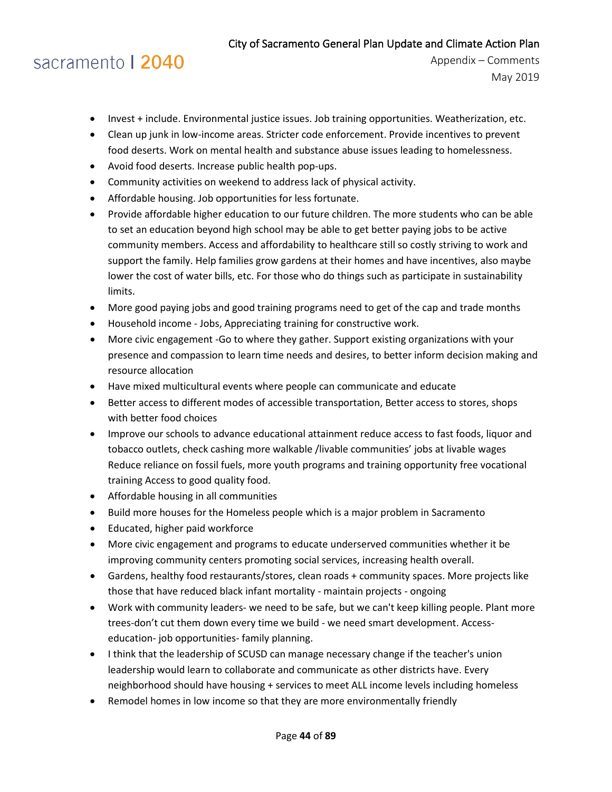## sacramento | 2040

- Invest + include. Environmental justice issues. Job training opportunities. Weatherization, etc.
- Clean up junk in low-income areas. Stricter code enforcement. Provide incentives to prevent food deserts. Work on mental health and substance abuse issues leading to homelessness.
- Avoid food deserts. Increase public health pop-ups.
- Community activities on weekend to address lack of physical activity.
- Affordable housing. Job opportunities for less fortunate.
- Provide affordable higher education to our future children. The more students who can be able to set an education beyond high school may be able to get better paying jobs to be active community members. Access and affordability to healthcare still so costly striving to work and support the family. Help families grow gardens at their homes and have incentives, also maybe lower the cost of water bills, etc. For those who do things such as participate in sustainability limits.
- More good paying jobs and good training programs need to get of the cap and trade months
- Household income Jobs, Appreciating training for constructive work.
- More civic engagement -Go to where they gather. Support existing organizations with your presence and compassion to learn time needs and desires, to better inform decision making and resource allocation
- Have mixed multicultural events where people can communicate and educate
- Better access to different modes of accessible transportation, Better access to stores, shops with better food choices
- Improve our schools to advance educational attainment reduce access to fast foods, liquor and tobacco outlets, check cashing more walkable /livable communities' jobs at livable wages Reduce reliance on fossil fuels, more youth programs and training opportunity free vocational training Access to good quality food.
- Affordable housing in all communities
- Build more houses for the Homeless people which is a major problem in Sacramento
- Educated, higher paid workforce
- More civic engagement and programs to educate underserved communities whether it be improving community centers promoting social services, increasing health overall.
- Gardens, healthy food restaurants/stores, clean roads + community spaces. More projects like those that have reduced black infant mortality - maintain projects - ongoing
- Work with community leaders- we need to be safe, but we can't keep killing people. Plant more trees-don't cut them down every time we build - we need smart development. Accesseducation- job opportunities- family planning.
- I think that the leadership of SCUSD can manage necessary change if the teacher's union leadership would learn to collaborate and communicate as other districts have. Every neighborhood should have housing + services to meet ALL income levels including homeless
- Remodel homes in low income so that they are more environmentally friendly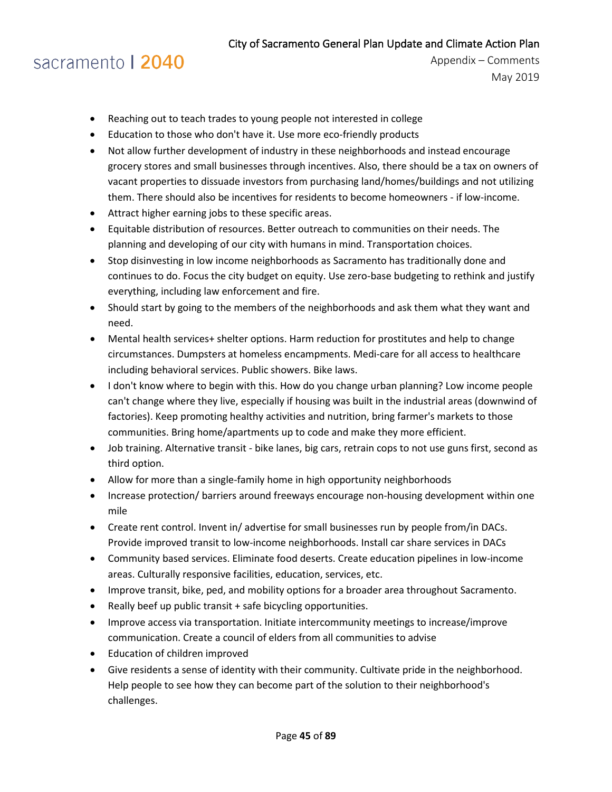# sacramento | 2040

- Reaching out to teach trades to young people not interested in college
- Education to those who don't have it. Use more eco-friendly products
- Not allow further development of industry in these neighborhoods and instead encourage grocery stores and small businesses through incentives. Also, there should be a tax on owners of vacant properties to dissuade investors from purchasing land/homes/buildings and not utilizing them. There should also be incentives for residents to become homeowners - if low-income.
- Attract higher earning jobs to these specific areas.
- Equitable distribution of resources. Better outreach to communities on their needs. The planning and developing of our city with humans in mind. Transportation choices.
- Stop disinvesting in low income neighborhoods as Sacramento has traditionally done and continues to do. Focus the city budget on equity. Use zero-base budgeting to rethink and justify everything, including law enforcement and fire.
- Should start by going to the members of the neighborhoods and ask them what they want and need.
- Mental health services+ shelter options. Harm reduction for prostitutes and help to change circumstances. Dumpsters at homeless encampments. Medi-care for all access to healthcare including behavioral services. Public showers. Bike laws.
- I don't know where to begin with this. How do you change urban planning? Low income people can't change where they live, especially if housing was built in the industrial areas (downwind of factories). Keep promoting healthy activities and nutrition, bring farmer's markets to those communities. Bring home/apartments up to code and make they more efficient.
- Job training. Alternative transit bike lanes, big cars, retrain cops to not use guns first, second as third option.
- Allow for more than a single-family home in high opportunity neighborhoods
- Increase protection/ barriers around freeways encourage non-housing development within one mile
- Create rent control. Invent in/ advertise for small businesses run by people from/in DACs. Provide improved transit to low-income neighborhoods. Install car share services in DACs
- Community based services. Eliminate food deserts. Create education pipelines in low-income areas. Culturally responsive facilities, education, services, etc.
- Improve transit, bike, ped, and mobility options for a broader area throughout Sacramento.
- Really beef up public transit + safe bicycling opportunities.
- Improve access via transportation. Initiate intercommunity meetings to increase/improve communication. Create a council of elders from all communities to advise
- Education of children improved
- Give residents a sense of identity with their community. Cultivate pride in the neighborhood. Help people to see how they can become part of the solution to their neighborhood's challenges.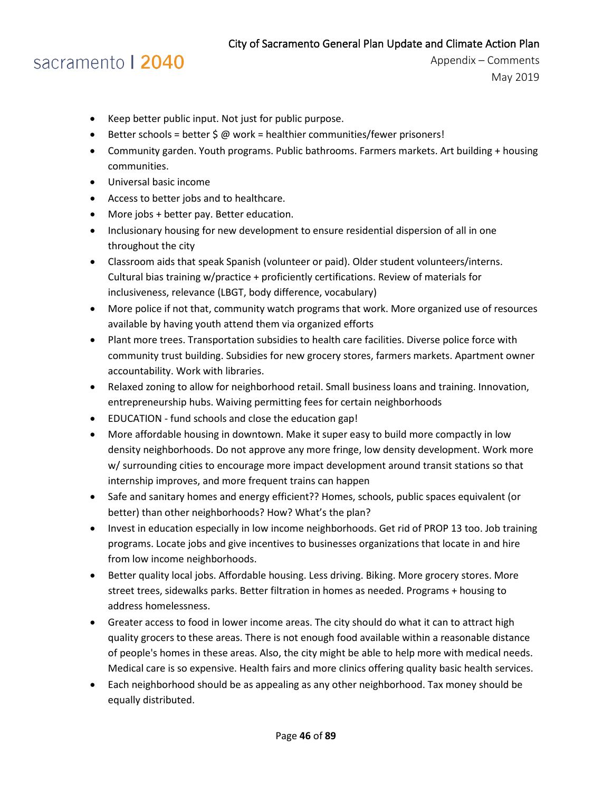# sacramento | 2040

- Keep better public input. Not just for public purpose.
- Better schools = better  $\sin \omega$  work = healthier communities/fewer prisoners!
- Community garden. Youth programs. Public bathrooms. Farmers markets. Art building + housing communities.
- Universal basic income
- Access to better jobs and to healthcare.
- More jobs + better pay. Better education.
- Inclusionary housing for new development to ensure residential dispersion of all in one throughout the city
- Classroom aids that speak Spanish (volunteer or paid). Older student volunteers/interns. Cultural bias training w/practice + proficiently certifications. Review of materials for inclusiveness, relevance (LBGT, body difference, vocabulary)
- More police if not that, community watch programs that work. More organized use of resources available by having youth attend them via organized efforts
- Plant more trees. Transportation subsidies to health care facilities. Diverse police force with community trust building. Subsidies for new grocery stores, farmers markets. Apartment owner accountability. Work with libraries.
- Relaxed zoning to allow for neighborhood retail. Small business loans and training. Innovation, entrepreneurship hubs. Waiving permitting fees for certain neighborhoods
- EDUCATION fund schools and close the education gap!
- More affordable housing in downtown. Make it super easy to build more compactly in low density neighborhoods. Do not approve any more fringe, low density development. Work more w/ surrounding cities to encourage more impact development around transit stations so that internship improves, and more frequent trains can happen
- Safe and sanitary homes and energy efficient?? Homes, schools, public spaces equivalent (or better) than other neighborhoods? How? What's the plan?
- Invest in education especially in low income neighborhoods. Get rid of PROP 13 too. Job training programs. Locate jobs and give incentives to businesses organizations that locate in and hire from low income neighborhoods.
- Better quality local jobs. Affordable housing. Less driving. Biking. More grocery stores. More street trees, sidewalks parks. Better filtration in homes as needed. Programs + housing to address homelessness.
- Greater access to food in lower income areas. The city should do what it can to attract high quality grocers to these areas. There is not enough food available within a reasonable distance of people's homes in these areas. Also, the city might be able to help more with medical needs. Medical care is so expensive. Health fairs and more clinics offering quality basic health services.
- Each neighborhood should be as appealing as any other neighborhood. Tax money should be equally distributed.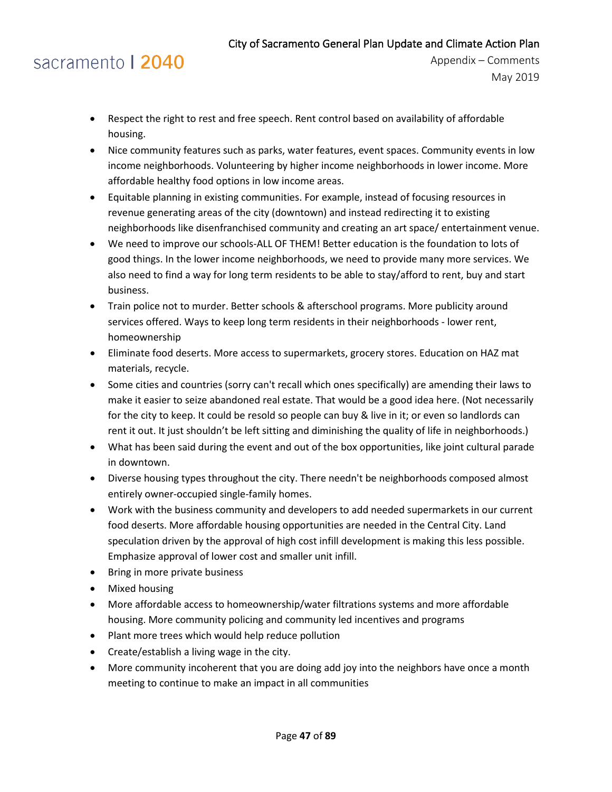### sacramento | 2040

- Respect the right to rest and free speech. Rent control based on availability of affordable housing.
- Nice community features such as parks, water features, event spaces. Community events in low income neighborhoods. Volunteering by higher income neighborhoods in lower income. More affordable healthy food options in low income areas.
- Equitable planning in existing communities. For example, instead of focusing resources in revenue generating areas of the city (downtown) and instead redirecting it to existing neighborhoods like disenfranchised community and creating an art space/ entertainment venue.
- We need to improve our schools-ALL OF THEM! Better education is the foundation to lots of good things. In the lower income neighborhoods, we need to provide many more services. We also need to find a way for long term residents to be able to stay/afford to rent, buy and start business.
- Train police not to murder. Better schools & afterschool programs. More publicity around services offered. Ways to keep long term residents in their neighborhoods - lower rent, homeownership
- Eliminate food deserts. More access to supermarkets, grocery stores. Education on HAZ mat materials, recycle.
- Some cities and countries (sorry can't recall which ones specifically) are amending their laws to make it easier to seize abandoned real estate. That would be a good idea here. (Not necessarily for the city to keep. It could be resold so people can buy & live in it; or even so landlords can rent it out. It just shouldn't be left sitting and diminishing the quality of life in neighborhoods.)
- What has been said during the event and out of the box opportunities, like joint cultural parade in downtown.
- Diverse housing types throughout the city. There needn't be neighborhoods composed almost entirely owner-occupied single-family homes.
- Work with the business community and developers to add needed supermarkets in our current food deserts. More affordable housing opportunities are needed in the Central City. Land speculation driven by the approval of high cost infill development is making this less possible. Emphasize approval of lower cost and smaller unit infill.
- Bring in more private business
- Mixed housing
- More affordable access to homeownership/water filtrations systems and more affordable housing. More community policing and community led incentives and programs
- Plant more trees which would help reduce pollution
- Create/establish a living wage in the city.
- More community incoherent that you are doing add joy into the neighbors have once a month meeting to continue to make an impact in all communities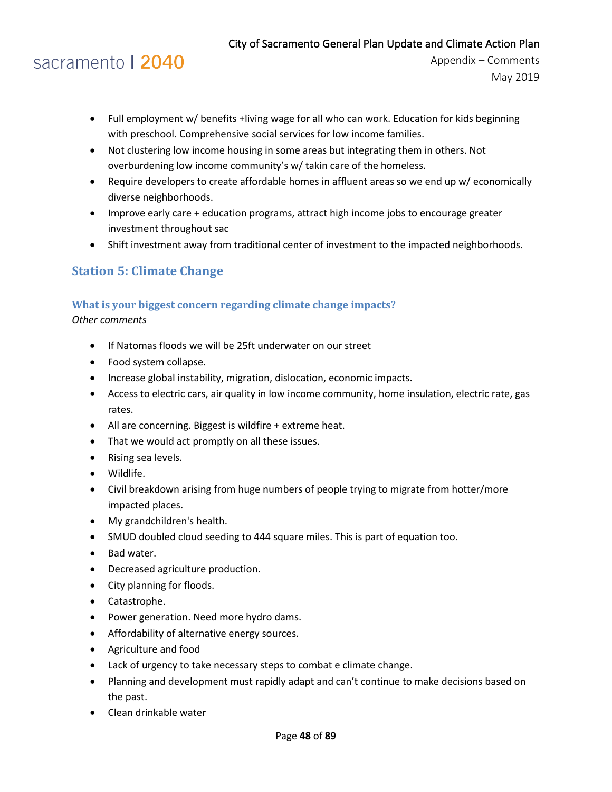# sacramento | 2040

Appendix – Comments May 2019

- Full employment w/ benefits +living wage for all who can work. Education for kids beginning with preschool. Comprehensive social services for low income families.
- Not clustering low income housing in some areas but integrating them in others. Not overburdening low income community's w/ takin care of the homeless.
- Require developers to create affordable homes in affluent areas so we end up w/ economically diverse neighborhoods.
- Improve early care + education programs, attract high income jobs to encourage greater investment throughout sac
- Shift investment away from traditional center of investment to the impacted neighborhoods.

### **Station 5: Climate Change**

#### **What is your biggest concern regarding climate change impacts?**

*Other comments*

- If Natomas floods we will be 25ft underwater on our street
- Food system collapse.
- Increase global instability, migration, dislocation, economic impacts.
- Access to electric cars, air quality in low income community, home insulation, electric rate, gas rates.
- All are concerning. Biggest is wildfire + extreme heat.
- That we would act promptly on all these issues.
- Rising sea levels.
- Wildlife.
- Civil breakdown arising from huge numbers of people trying to migrate from hotter/more impacted places.
- My grandchildren's health.
- SMUD doubled cloud seeding to 444 square miles. This is part of equation too.
- Bad water.
- Decreased agriculture production.
- City planning for floods.
- Catastrophe.
- Power generation. Need more hydro dams.
- Affordability of alternative energy sources.
- Agriculture and food
- Lack of urgency to take necessary steps to combat e climate change.
- Planning and development must rapidly adapt and can't continue to make decisions based on the past.
- Clean drinkable water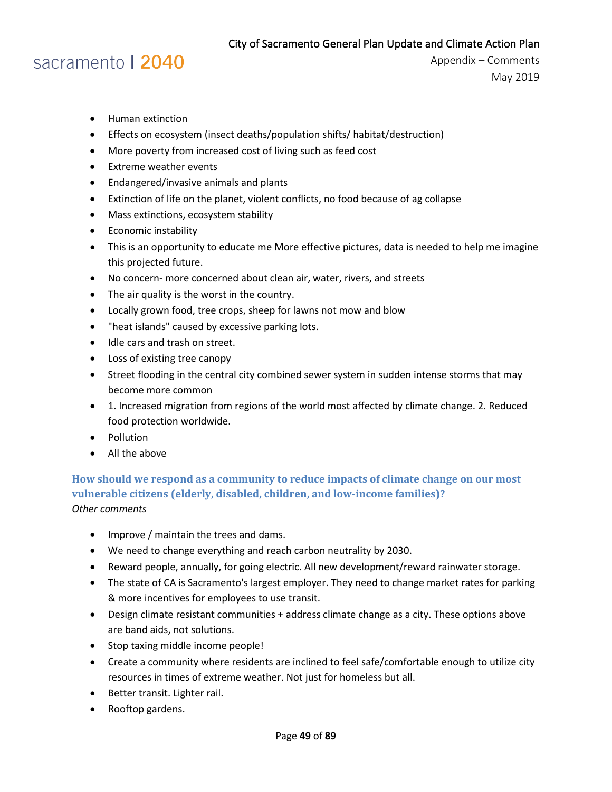### sacramento | 2040

Appendix – Comments May 2019

- Human extinction
- Effects on ecosystem (insect deaths/population shifts/ habitat/destruction)
- More poverty from increased cost of living such as feed cost
- Extreme weather events
- Endangered/invasive animals and plants
- Extinction of life on the planet, violent conflicts, no food because of ag collapse
- Mass extinctions, ecosystem stability
- Economic instability
- This is an opportunity to educate me More effective pictures, data is needed to help me imagine this projected future.
- No concern- more concerned about clean air, water, rivers, and streets
- The air quality is the worst in the country.
- Locally grown food, tree crops, sheep for lawns not mow and blow
- "heat islands" caused by excessive parking lots.
- Idle cars and trash on street.
- Loss of existing tree canopy
- Street flooding in the central city combined sewer system in sudden intense storms that may become more common
- 1. Increased migration from regions of the world most affected by climate change. 2. Reduced food protection worldwide.
- Pollution
- All the above

**How should we respond as a community to reduce impacts of climate change on our most vulnerable citizens (elderly, disabled, children, and low-income families)?** *Other comments*

- Improve / maintain the trees and dams.
- We need to change everything and reach carbon neutrality by 2030.
- Reward people, annually, for going electric. All new development/reward rainwater storage.
- The state of CA is Sacramento's largest employer. They need to change market rates for parking & more incentives for employees to use transit.
- Design climate resistant communities + address climate change as a city. These options above are band aids, not solutions.
- Stop taxing middle income people!
- Create a community where residents are inclined to feel safe/comfortable enough to utilize city resources in times of extreme weather. Not just for homeless but all.
- Better transit. Lighter rail.
- Rooftop gardens.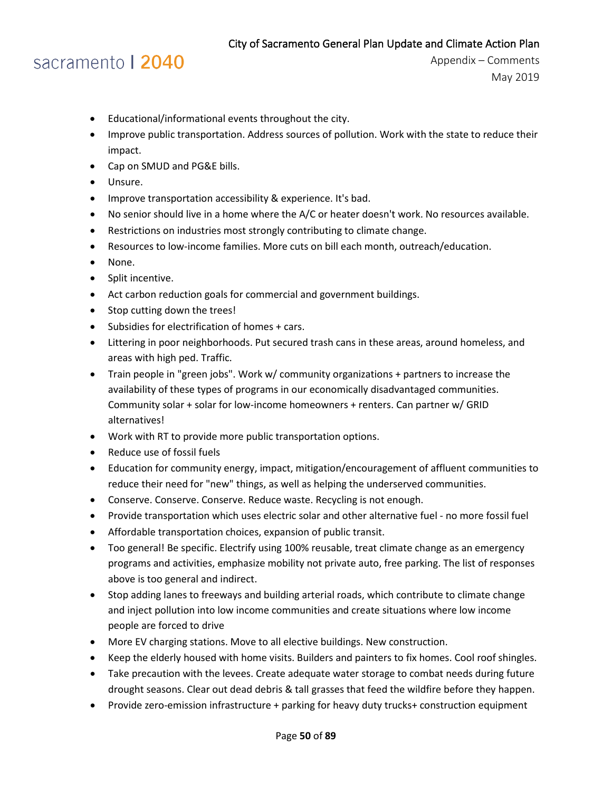# sacramento | 2040

- Educational/informational events throughout the city.
- Improve public transportation. Address sources of pollution. Work with the state to reduce their impact.
- Cap on SMUD and PG&E bills.
- Unsure.
- Improve transportation accessibility & experience. It's bad.
- No senior should live in a home where the A/C or heater doesn't work. No resources available.
- Restrictions on industries most strongly contributing to climate change.
- Resources to low-income families. More cuts on bill each month, outreach/education.
- None.
- Split incentive.
- Act carbon reduction goals for commercial and government buildings.
- Stop cutting down the trees!
- Subsidies for electrification of homes + cars.
- Littering in poor neighborhoods. Put secured trash cans in these areas, around homeless, and areas with high ped. Traffic.
- Train people in "green jobs". Work w/ community organizations + partners to increase the availability of these types of programs in our economically disadvantaged communities. Community solar + solar for low-income homeowners + renters. Can partner w/ GRID alternatives!
- Work with RT to provide more public transportation options.
- Reduce use of fossil fuels
- Education for community energy, impact, mitigation/encouragement of affluent communities to reduce their need for "new" things, as well as helping the underserved communities.
- Conserve. Conserve. Conserve. Reduce waste. Recycling is not enough.
- Provide transportation which uses electric solar and other alternative fuel no more fossil fuel
- Affordable transportation choices, expansion of public transit.
- Too general! Be specific. Electrify using 100% reusable, treat climate change as an emergency programs and activities, emphasize mobility not private auto, free parking. The list of responses above is too general and indirect.
- Stop adding lanes to freeways and building arterial roads, which contribute to climate change and inject pollution into low income communities and create situations where low income people are forced to drive
- More EV charging stations. Move to all elective buildings. New construction.
- Keep the elderly housed with home visits. Builders and painters to fix homes. Cool roof shingles.
- Take precaution with the levees. Create adequate water storage to combat needs during future drought seasons. Clear out dead debris & tall grasses that feed the wildfire before they happen.
- Provide zero-emission infrastructure + parking for heavy duty trucks+ construction equipment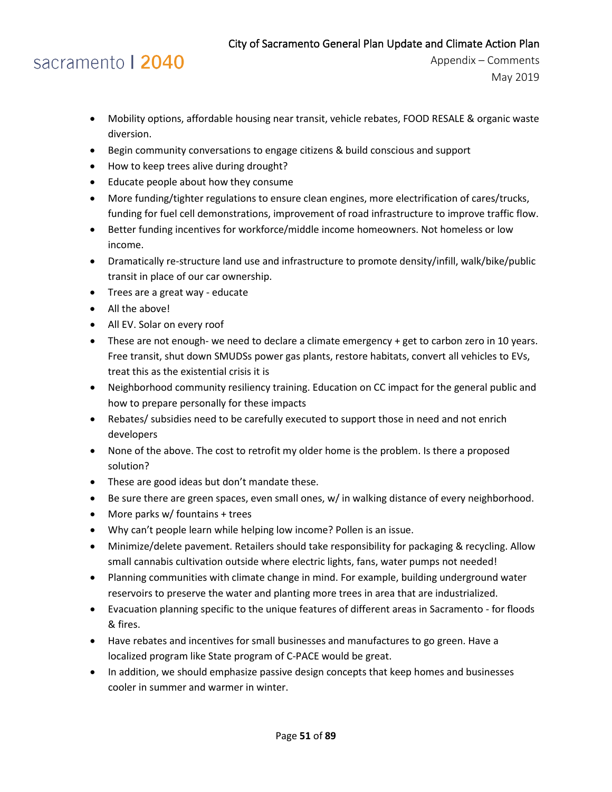# sacramento | 2040

- Mobility options, affordable housing near transit, vehicle rebates, FOOD RESALE & organic waste diversion.
- Begin community conversations to engage citizens & build conscious and support
- How to keep trees alive during drought?
- Educate people about how they consume
- More funding/tighter regulations to ensure clean engines, more electrification of cares/trucks, funding for fuel cell demonstrations, improvement of road infrastructure to improve traffic flow.
- Better funding incentives for workforce/middle income homeowners. Not homeless or low income.
- Dramatically re-structure land use and infrastructure to promote density/infill, walk/bike/public transit in place of our car ownership.
- Trees are a great way educate
- All the above!
- All EV. Solar on every roof
- These are not enough- we need to declare a climate emergency + get to carbon zero in 10 years. Free transit, shut down SMUDSs power gas plants, restore habitats, convert all vehicles to EVs, treat this as the existential crisis it is
- Neighborhood community resiliency training. Education on CC impact for the general public and how to prepare personally for these impacts
- Rebates/ subsidies need to be carefully executed to support those in need and not enrich developers
- None of the above. The cost to retrofit my older home is the problem. Is there a proposed solution?
- These are good ideas but don't mandate these.
- Be sure there are green spaces, even small ones, w/ in walking distance of every neighborhood.
- More parks w/ fountains + trees
- Why can't people learn while helping low income? Pollen is an issue.
- Minimize/delete pavement. Retailers should take responsibility for packaging & recycling. Allow small cannabis cultivation outside where electric lights, fans, water pumps not needed!
- Planning communities with climate change in mind. For example, building underground water reservoirs to preserve the water and planting more trees in area that are industrialized.
- Evacuation planning specific to the unique features of different areas in Sacramento for floods & fires.
- Have rebates and incentives for small businesses and manufactures to go green. Have a localized program like State program of C-PACE would be great.
- In addition, we should emphasize passive design concepts that keep homes and businesses cooler in summer and warmer in winter.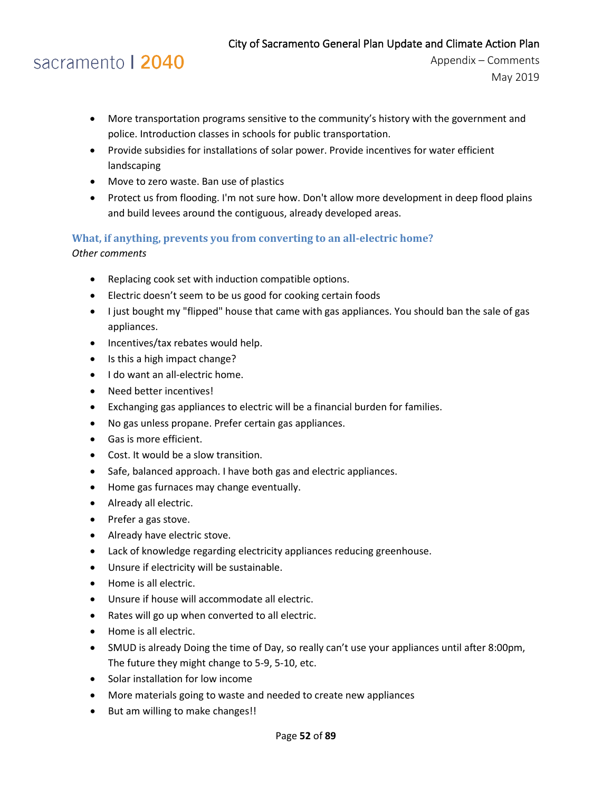# sacramento | 2040

Appendix – Comments May 2019

- More transportation programs sensitive to the community's history with the government and police. Introduction classes in schools for public transportation.
- Provide subsidies for installations of solar power. Provide incentives for water efficient landscaping
- Move to zero waste. Ban use of plastics
- Protect us from flooding. I'm not sure how. Don't allow more development in deep flood plains and build levees around the contiguous, already developed areas.

### **What, if anything, prevents you from converting to an all-electric home?**

*Other comments*

- Replacing cook set with induction compatible options.
- Electric doesn't seem to be us good for cooking certain foods
- I just bought my "flipped" house that came with gas appliances. You should ban the sale of gas appliances.
- Incentives/tax rebates would help.
- Is this a high impact change?
- I do want an all-electric home.
- Need better incentives!
- Exchanging gas appliances to electric will be a financial burden for families.
- No gas unless propane. Prefer certain gas appliances.
- Gas is more efficient.
- Cost. It would be a slow transition.
- Safe, balanced approach. I have both gas and electric appliances.
- Home gas furnaces may change eventually.
- Already all electric.
- Prefer a gas stove.
- Already have electric stove.
- Lack of knowledge regarding electricity appliances reducing greenhouse.
- Unsure if electricity will be sustainable.
- Home is all electric.
- Unsure if house will accommodate all electric.
- Rates will go up when converted to all electric.
- Home is all electric.
- SMUD is already Doing the time of Day, so really can't use your appliances until after 8:00pm, The future they might change to 5-9, 5-10, etc.
- Solar installation for low income
- More materials going to waste and needed to create new appliances
- But am willing to make changes!!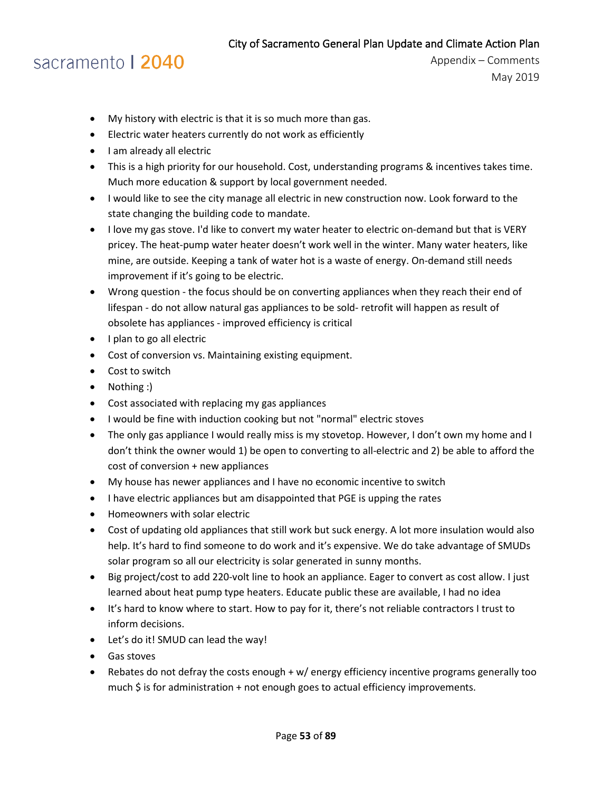# sacramento | 2040

- My history with electric is that it is so much more than gas.
- Electric water heaters currently do not work as efficiently
- I am already all electric
- This is a high priority for our household. Cost, understanding programs & incentives takes time. Much more education & support by local government needed.
- I would like to see the city manage all electric in new construction now. Look forward to the state changing the building code to mandate.
- I love my gas stove. I'd like to convert my water heater to electric on-demand but that is VERY pricey. The heat-pump water heater doesn't work well in the winter. Many water heaters, like mine, are outside. Keeping a tank of water hot is a waste of energy. On-demand still needs improvement if it's going to be electric.
- Wrong question the focus should be on converting appliances when they reach their end of lifespan - do not allow natural gas appliances to be sold- retrofit will happen as result of obsolete has appliances - improved efficiency is critical
- I plan to go all electric
- Cost of conversion vs. Maintaining existing equipment.
- Cost to switch
- Nothing :)
- Cost associated with replacing my gas appliances
- I would be fine with induction cooking but not "normal" electric stoves
- The only gas appliance I would really miss is my stovetop. However, I don't own my home and I don't think the owner would 1) be open to converting to all-electric and 2) be able to afford the cost of conversion + new appliances
- My house has newer appliances and I have no economic incentive to switch
- I have electric appliances but am disappointed that PGE is upping the rates
- Homeowners with solar electric
- Cost of updating old appliances that still work but suck energy. A lot more insulation would also help. It's hard to find someone to do work and it's expensive. We do take advantage of SMUDs solar program so all our electricity is solar generated in sunny months.
- Big project/cost to add 220-volt line to hook an appliance. Eager to convert as cost allow. I just learned about heat pump type heaters. Educate public these are available, I had no idea
- It's hard to know where to start. How to pay for it, there's not reliable contractors I trust to inform decisions.
- Let's do it! SMUD can lead the way!
- Gas stoves
- Rebates do not defray the costs enough + w/ energy efficiency incentive programs generally too much \$ is for administration + not enough goes to actual efficiency improvements.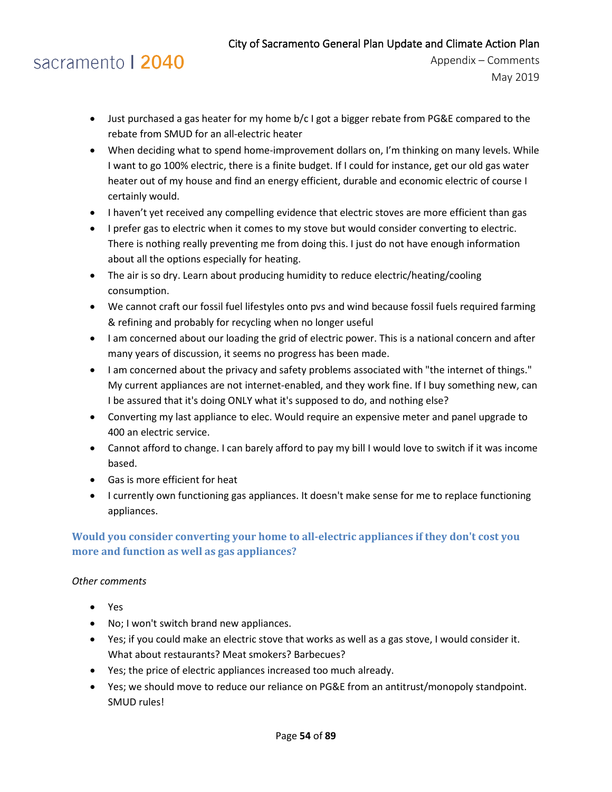### sacramento | 2040

Appendix – Comments May 2019

- Just purchased a gas heater for my home b/c I got a bigger rebate from PG&E compared to the rebate from SMUD for an all-electric heater
- When deciding what to spend home-improvement dollars on, I'm thinking on many levels. While I want to go 100% electric, there is a finite budget. If I could for instance, get our old gas water heater out of my house and find an energy efficient, durable and economic electric of course I certainly would.
- I haven't yet received any compelling evidence that electric stoves are more efficient than gas
- I prefer gas to electric when it comes to my stove but would consider converting to electric. There is nothing really preventing me from doing this. I just do not have enough information about all the options especially for heating.
- The air is so dry. Learn about producing humidity to reduce electric/heating/cooling consumption.
- We cannot craft our fossil fuel lifestyles onto pvs and wind because fossil fuels required farming & refining and probably for recycling when no longer useful
- I am concerned about our loading the grid of electric power. This is a national concern and after many years of discussion, it seems no progress has been made.
- I am concerned about the privacy and safety problems associated with "the internet of things." My current appliances are not internet-enabled, and they work fine. If I buy something new, can I be assured that it's doing ONLY what it's supposed to do, and nothing else?
- Converting my last appliance to elec. Would require an expensive meter and panel upgrade to 400 an electric service.
- Cannot afford to change. I can barely afford to pay my bill I would love to switch if it was income based.
- Gas is more efficient for heat
- I currently own functioning gas appliances. It doesn't make sense for me to replace functioning appliances.

### **Would you consider converting your home to all-electric appliances if they don't cost you more and function as well as gas appliances?**

#### *Other comments*

- Yes
- No; I won't switch brand new appliances.
- Yes; if you could make an electric stove that works as well as a gas stove, I would consider it. What about restaurants? Meat smokers? Barbecues?
- Yes; the price of electric appliances increased too much already.
- Yes; we should move to reduce our reliance on PG&E from an antitrust/monopoly standpoint. SMUD rules!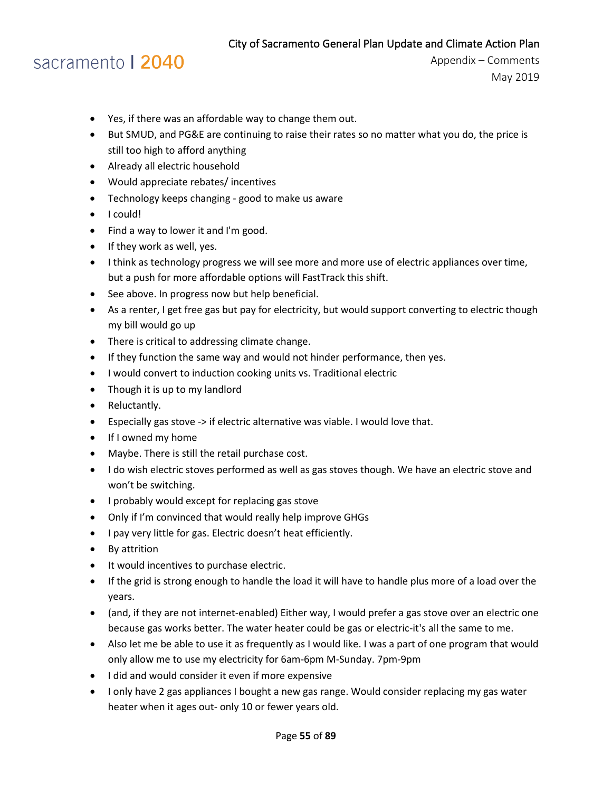### sacramento | 2040

- Yes, if there was an affordable way to change them out.
- But SMUD, and PG&E are continuing to raise their rates so no matter what you do, the price is still too high to afford anything
- Already all electric household
- Would appreciate rebates/ incentives
- Technology keeps changing good to make us aware
- I could!
- Find a way to lower it and I'm good.
- If they work as well, yes.
- I think as technology progress we will see more and more use of electric appliances over time, but a push for more affordable options will FastTrack this shift.
- See above. In progress now but help beneficial.
- As a renter, I get free gas but pay for electricity, but would support converting to electric though my bill would go up
- There is critical to addressing climate change.
- If they function the same way and would not hinder performance, then yes.
- I would convert to induction cooking units vs. Traditional electric
- Though it is up to my landlord
- Reluctantly.
- Especially gas stove -> if electric alternative was viable. I would love that.
- If I owned my home
- Maybe. There is still the retail purchase cost.
- I do wish electric stoves performed as well as gas stoves though. We have an electric stove and won't be switching.
- I probably would except for replacing gas stove
- Only if I'm convinced that would really help improve GHGs
- I pay very little for gas. Electric doesn't heat efficiently.
- By attrition
- It would incentives to purchase electric.
- If the grid is strong enough to handle the load it will have to handle plus more of a load over the years.
- (and, if they are not internet-enabled) Either way, I would prefer a gas stove over an electric one because gas works better. The water heater could be gas or electric-it's all the same to me.
- Also let me be able to use it as frequently as I would like. I was a part of one program that would only allow me to use my electricity for 6am-6pm M-Sunday. 7pm-9pm
- I did and would consider it even if more expensive
- I only have 2 gas appliances I bought a new gas range. Would consider replacing my gas water heater when it ages out- only 10 or fewer years old.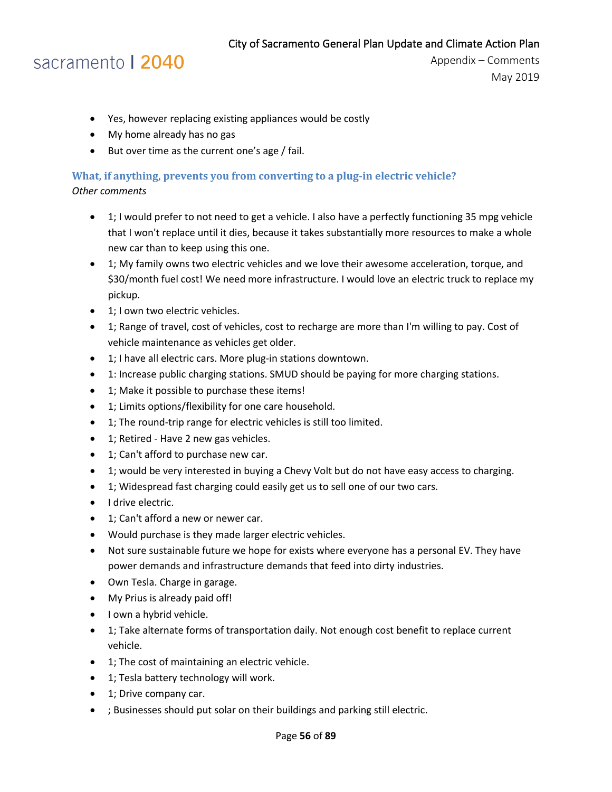### sacramento | 2040

- Yes, however replacing existing appliances would be costly
- My home already has no gas
- But over time as the current one's age / fail.

#### **What, if anything, prevents you from converting to a plug-in electric vehicle?**  *Other comments*

- 1; I would prefer to not need to get a vehicle. I also have a perfectly functioning 35 mpg vehicle that I won't replace until it dies, because it takes substantially more resources to make a whole new car than to keep using this one.
- 1; My family owns two electric vehicles and we love their awesome acceleration, torque, and \$30/month fuel cost! We need more infrastructure. I would love an electric truck to replace my pickup.
- 1; I own two electric vehicles.
- 1; Range of travel, cost of vehicles, cost to recharge are more than I'm willing to pay. Cost of vehicle maintenance as vehicles get older.
- 1; I have all electric cars. More plug-in stations downtown.
- 1: Increase public charging stations. SMUD should be paying for more charging stations.
- 1; Make it possible to purchase these items!
- 1; Limits options/flexibility for one care household.
- 1; The round-trip range for electric vehicles is still too limited.
- 1; Retired Have 2 new gas vehicles.
- 1; Can't afford to purchase new car.
- 1; would be very interested in buying a Chevy Volt but do not have easy access to charging.
- 1; Widespread fast charging could easily get us to sell one of our two cars.
- I drive electric.
- 1; Can't afford a new or newer car.
- Would purchase is they made larger electric vehicles.
- Not sure sustainable future we hope for exists where everyone has a personal EV. They have power demands and infrastructure demands that feed into dirty industries.
- Own Tesla. Charge in garage.
- My Prius is already paid off!
- I own a hybrid vehicle.
- 1; Take alternate forms of transportation daily. Not enough cost benefit to replace current vehicle.
- 1; The cost of maintaining an electric vehicle.
- 1; Tesla battery technology will work.
- 1; Drive company car.
- ; Businesses should put solar on their buildings and parking still electric.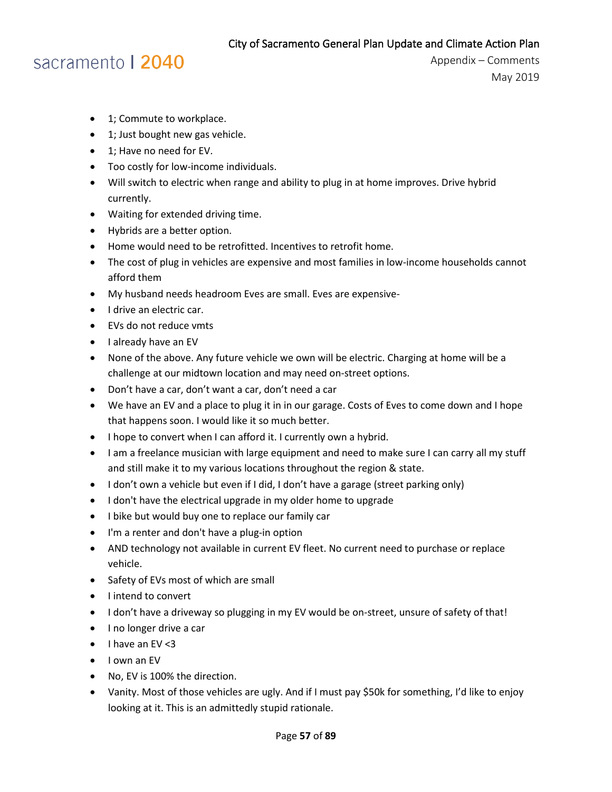### sacramento | 2040

- 1; Commute to workplace.
- 1; Just bought new gas vehicle.
- 1; Have no need for EV.
- Too costly for low-income individuals.
- Will switch to electric when range and ability to plug in at home improves. Drive hybrid currently.
- Waiting for extended driving time.
- Hybrids are a better option.
- Home would need to be retrofitted. Incentives to retrofit home.
- The cost of plug in vehicles are expensive and most families in low-income households cannot afford them
- My husband needs headroom Eves are small. Eves are expensive-
- I drive an electric car.
- EVs do not reduce vmts
- I already have an EV
- None of the above. Any future vehicle we own will be electric. Charging at home will be a challenge at our midtown location and may need on-street options.
- Don't have a car, don't want a car, don't need a car
- We have an EV and a place to plug it in in our garage. Costs of Eves to come down and I hope that happens soon. I would like it so much better.
- I hope to convert when I can afford it. I currently own a hybrid.
- I am a freelance musician with large equipment and need to make sure I can carry all my stuff and still make it to my various locations throughout the region & state.
- I don't own a vehicle but even if I did, I don't have a garage (street parking only)
- I don't have the electrical upgrade in my older home to upgrade
- I bike but would buy one to replace our family car
- I'm a renter and don't have a plug-in option
- AND technology not available in current EV fleet. No current need to purchase or replace vehicle.
- Safety of EVs most of which are small
- I intend to convert
- I don't have a driveway so plugging in my EV would be on-street, unsure of safety of that!
- I no longer drive a car
- I have an EV <3
- I own an EV
- No, EV is 100% the direction.
- Vanity. Most of those vehicles are ugly. And if I must pay \$50k for something, I'd like to enjoy looking at it. This is an admittedly stupid rationale.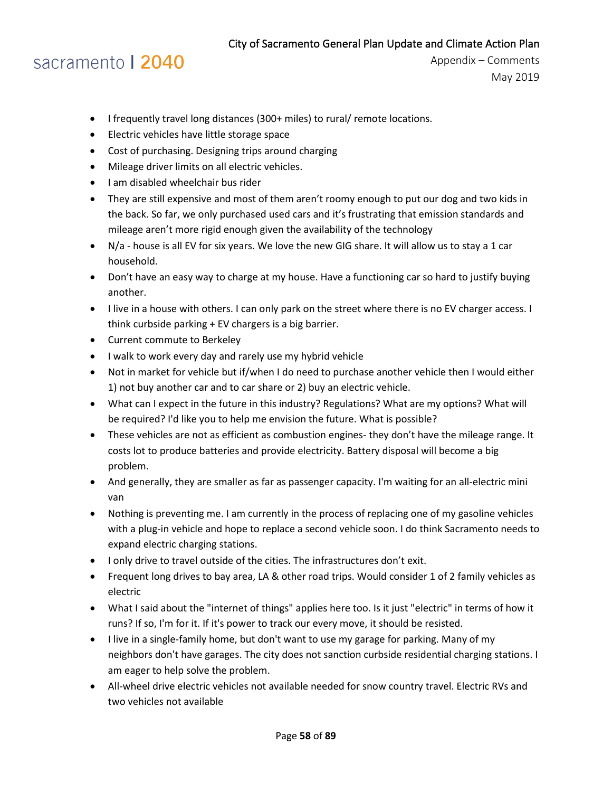# sacramento | 2040

- I frequently travel long distances (300+ miles) to rural/ remote locations.
- Electric vehicles have little storage space
- Cost of purchasing. Designing trips around charging
- Mileage driver limits on all electric vehicles.
- I am disabled wheelchair bus rider
- They are still expensive and most of them aren't roomy enough to put our dog and two kids in the back. So far, we only purchased used cars and it's frustrating that emission standards and mileage aren't more rigid enough given the availability of the technology
- N/a house is all EV for six years. We love the new GIG share. It will allow us to stay a 1 car household.
- Don't have an easy way to charge at my house. Have a functioning car so hard to justify buying another.
- I live in a house with others. I can only park on the street where there is no EV charger access. I think curbside parking + EV chargers is a big barrier.
- Current commute to Berkeley
- I walk to work every day and rarely use my hybrid vehicle
- Not in market for vehicle but if/when I do need to purchase another vehicle then I would either 1) not buy another car and to car share or 2) buy an electric vehicle.
- What can I expect in the future in this industry? Regulations? What are my options? What will be required? I'd like you to help me envision the future. What is possible?
- These vehicles are not as efficient as combustion engines- they don't have the mileage range. It costs lot to produce batteries and provide electricity. Battery disposal will become a big problem.
- And generally, they are smaller as far as passenger capacity. I'm waiting for an all-electric mini van
- Nothing is preventing me. I am currently in the process of replacing one of my gasoline vehicles with a plug-in vehicle and hope to replace a second vehicle soon. I do think Sacramento needs to expand electric charging stations.
- I only drive to travel outside of the cities. The infrastructures don't exit.
- Frequent long drives to bay area, LA & other road trips. Would consider 1 of 2 family vehicles as electric
- What I said about the "internet of things" applies here too. Is it just "electric" in terms of how it runs? If so, I'm for it. If it's power to track our every move, it should be resisted.
- I live in a single-family home, but don't want to use my garage for parking. Many of my neighbors don't have garages. The city does not sanction curbside residential charging stations. I am eager to help solve the problem.
- All-wheel drive electric vehicles not available needed for snow country travel. Electric RVs and two vehicles not available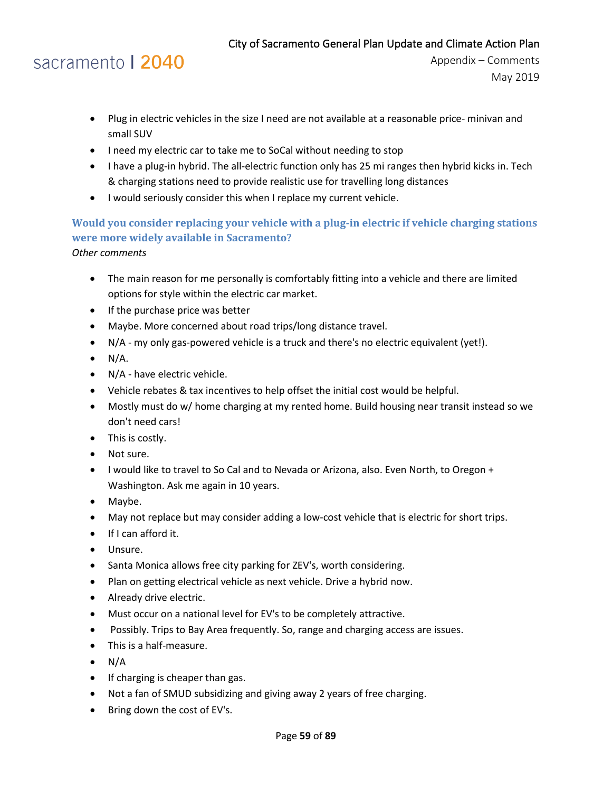# sacramento | 2040

Appendix – Comments May 2019

- Plug in electric vehicles in the size I need are not available at a reasonable price- minivan and small SUV
- I need my electric car to take me to SoCal without needing to stop
- I have a plug-in hybrid. The all-electric function only has 25 mi ranges then hybrid kicks in. Tech & charging stations need to provide realistic use for travelling long distances
- I would seriously consider this when I replace my current vehicle.

### **Would you consider replacing your vehicle with a plug-in electric if vehicle charging stations were more widely available in Sacramento?**

*Other comments*

- The main reason for me personally is comfortably fitting into a vehicle and there are limited options for style within the electric car market.
- If the purchase price was better
- Maybe. More concerned about road trips/long distance travel.
- N/A my only gas-powered vehicle is a truck and there's no electric equivalent (yet!).
- $\bullet$  N/A.
- N/A have electric vehicle.
- Vehicle rebates & tax incentives to help offset the initial cost would be helpful.
- Mostly must do w/ home charging at my rented home. Build housing near transit instead so we don't need cars!
- This is costly.
- Not sure.
- I would like to travel to So Cal and to Nevada or Arizona, also. Even North, to Oregon + Washington. Ask me again in 10 years.
- Maybe.
- May not replace but may consider adding a low-cost vehicle that is electric for short trips.
- If I can afford it.
- Unsure.
- Santa Monica allows free city parking for ZEV's, worth considering.
- Plan on getting electrical vehicle as next vehicle. Drive a hybrid now.
- Already drive electric.
- Must occur on a national level for EV's to be completely attractive.
- Possibly. Trips to Bay Area frequently. So, range and charging access are issues.
- This is a half-measure.
- $\bullet$  N/A
- If charging is cheaper than gas.
- Not a fan of SMUD subsidizing and giving away 2 years of free charging.
- Bring down the cost of EV's.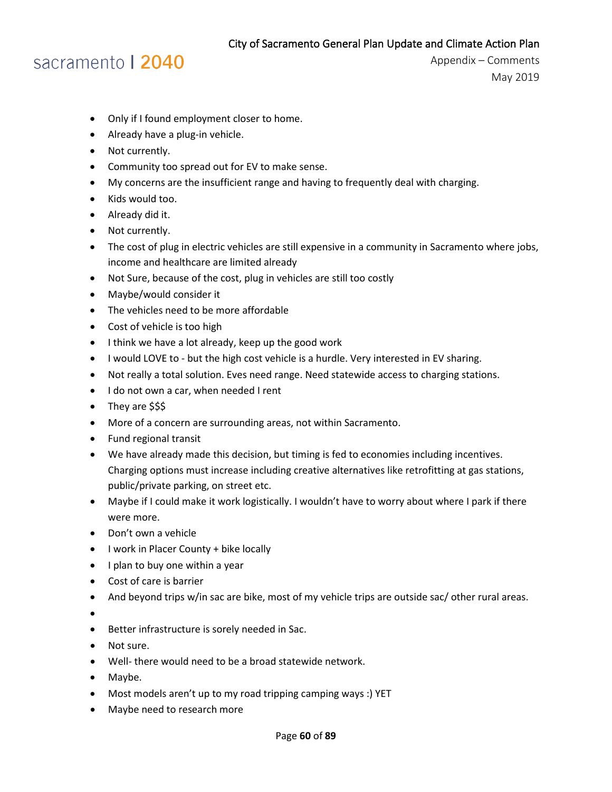### sacramento | 2040

- Only if I found employment closer to home.
- Already have a plug-in vehicle.
- Not currently.
- Community too spread out for EV to make sense.
- My concerns are the insufficient range and having to frequently deal with charging.
- Kids would too.
- Already did it.
- Not currently.
- The cost of plug in electric vehicles are still expensive in a community in Sacramento where jobs, income and healthcare are limited already
- Not Sure, because of the cost, plug in vehicles are still too costly
- Maybe/would consider it
- The vehicles need to be more affordable
- Cost of vehicle is too high
- I think we have a lot already, keep up the good work
- I would LOVE to but the high cost vehicle is a hurdle. Very interested in EV sharing.
- Not really a total solution. Eves need range. Need statewide access to charging stations.
- I do not own a car, when needed I rent
- They are \$\$\$
- More of a concern are surrounding areas, not within Sacramento.
- Fund regional transit
- We have already made this decision, but timing is fed to economies including incentives. Charging options must increase including creative alternatives like retrofitting at gas stations, public/private parking, on street etc.
- Maybe if I could make it work logistically. I wouldn't have to worry about where I park if there were more.
- Don't own a vehicle
- I work in Placer County + bike locally
- I plan to buy one within a year
- Cost of care is barrier
- And beyond trips w/in sac are bike, most of my vehicle trips are outside sac/ other rural areas.
- •
- Better infrastructure is sorely needed in Sac.
- Not sure.
- Well- there would need to be a broad statewide network.
- Maybe.
- Most models aren't up to my road tripping camping ways :) YET
- Maybe need to research more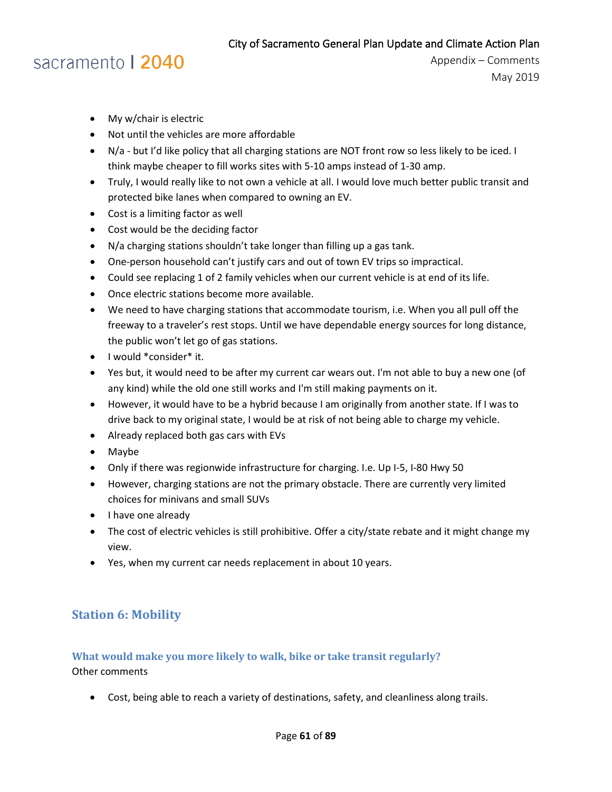# sacramento | 2040

- My w/chair is electric
- Not until the vehicles are more affordable
- N/a but I'd like policy that all charging stations are NOT front row so less likely to be iced. I think maybe cheaper to fill works sites with 5-10 amps instead of 1-30 amp.
- Truly, I would really like to not own a vehicle at all. I would love much better public transit and protected bike lanes when compared to owning an EV.
- Cost is a limiting factor as well
- Cost would be the deciding factor
- N/a charging stations shouldn't take longer than filling up a gas tank.
- One-person household can't justify cars and out of town EV trips so impractical.
- Could see replacing 1 of 2 family vehicles when our current vehicle is at end of its life.
- Once electric stations become more available.
- We need to have charging stations that accommodate tourism, i.e. When you all pull off the freeway to a traveler's rest stops. Until we have dependable energy sources for long distance, the public won't let go of gas stations.
- I would \*consider\* it.
- Yes but, it would need to be after my current car wears out. I'm not able to buy a new one (of any kind) while the old one still works and I'm still making payments on it.
- However, it would have to be a hybrid because I am originally from another state. If I was to drive back to my original state, I would be at risk of not being able to charge my vehicle.
- Already replaced both gas cars with EVs
- Maybe
- Only if there was regionwide infrastructure for charging. I.e. Up I-5, I-80 Hwy 50
- However, charging stations are not the primary obstacle. There are currently very limited choices for minivans and small SUVs
- I have one already
- The cost of electric vehicles is still prohibitive. Offer a city/state rebate and it might change my view.
- Yes, when my current car needs replacement in about 10 years.

### **Station 6: Mobility**

### **What would make you more likely to walk, bike or take transit regularly?** Other comments

• Cost, being able to reach a variety of destinations, safety, and cleanliness along trails.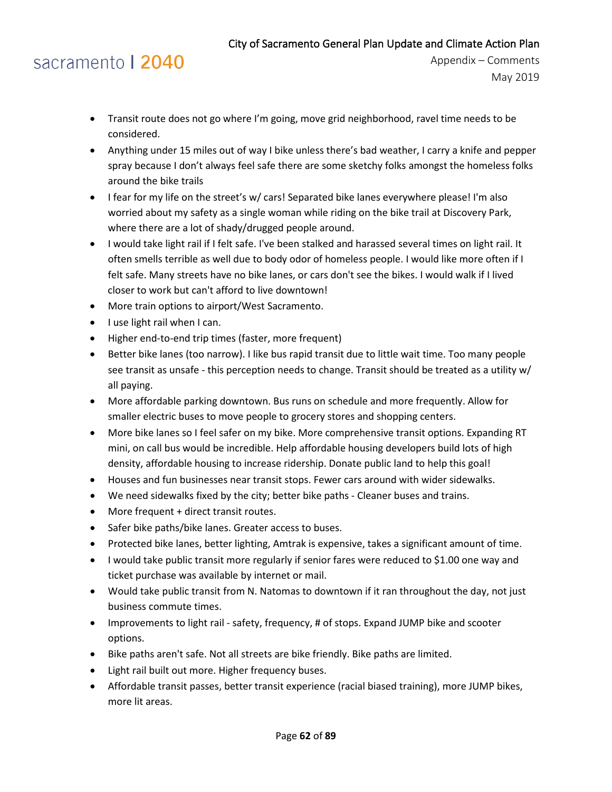### sacramento | 2040

- Transit route does not go where I'm going, move grid neighborhood, ravel time needs to be considered.
- Anything under 15 miles out of way I bike unless there's bad weather, I carry a knife and pepper spray because I don't always feel safe there are some sketchy folks amongst the homeless folks around the bike trails
- I fear for my life on the street's w/ cars! Separated bike lanes everywhere please! I'm also worried about my safety as a single woman while riding on the bike trail at Discovery Park, where there are a lot of shady/drugged people around.
- I would take light rail if I felt safe. I've been stalked and harassed several times on light rail. It often smells terrible as well due to body odor of homeless people. I would like more often if I felt safe. Many streets have no bike lanes, or cars don't see the bikes. I would walk if I lived closer to work but can't afford to live downtown!
- More train options to airport/West Sacramento.
- I use light rail when I can.
- Higher end-to-end trip times (faster, more frequent)
- Better bike lanes (too narrow). I like bus rapid transit due to little wait time. Too many people see transit as unsafe - this perception needs to change. Transit should be treated as a utility w/ all paying.
- More affordable parking downtown. Bus runs on schedule and more frequently. Allow for smaller electric buses to move people to grocery stores and shopping centers.
- More bike lanes so I feel safer on my bike. More comprehensive transit options. Expanding RT mini, on call bus would be incredible. Help affordable housing developers build lots of high density, affordable housing to increase ridership. Donate public land to help this goal!
- Houses and fun businesses near transit stops. Fewer cars around with wider sidewalks.
- We need sidewalks fixed by the city; better bike paths Cleaner buses and trains.
- More frequent + direct transit routes.
- Safer bike paths/bike lanes. Greater access to buses.
- Protected bike lanes, better lighting, Amtrak is expensive, takes a significant amount of time.
- I would take public transit more regularly if senior fares were reduced to \$1.00 one way and ticket purchase was available by internet or mail.
- Would take public transit from N. Natomas to downtown if it ran throughout the day, not just business commute times.
- Improvements to light rail safety, frequency, # of stops. Expand JUMP bike and scooter options.
- Bike paths aren't safe. Not all streets are bike friendly. Bike paths are limited.
- Light rail built out more. Higher frequency buses.
- Affordable transit passes, better transit experience (racial biased training), more JUMP bikes, more lit areas.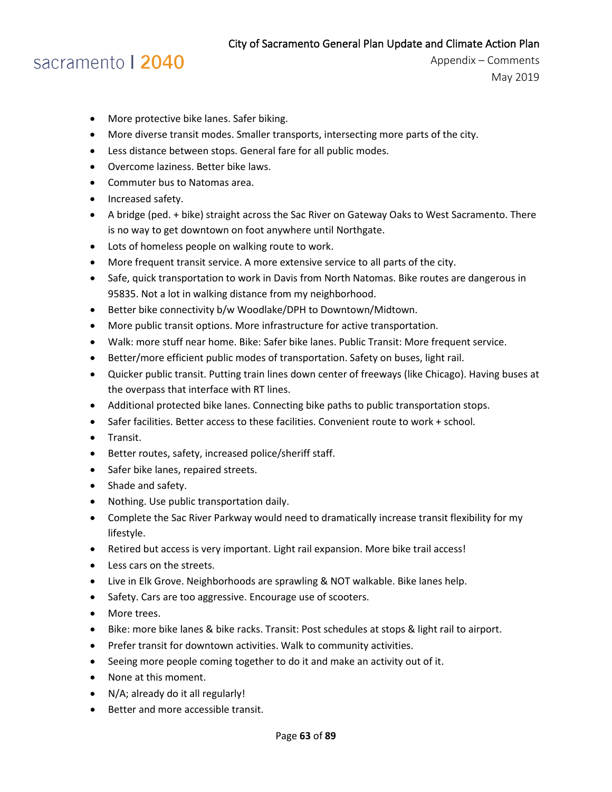# sacramento | 2040

- More protective bike lanes. Safer biking.
- More diverse transit modes. Smaller transports, intersecting more parts of the city.
- Less distance between stops. General fare for all public modes.
- Overcome laziness. Better bike laws.
- Commuter bus to Natomas area.
- Increased safety.
- A bridge (ped. + bike) straight across the Sac River on Gateway Oaks to West Sacramento. There is no way to get downtown on foot anywhere until Northgate.
- Lots of homeless people on walking route to work.
- More frequent transit service. A more extensive service to all parts of the city.
- Safe, quick transportation to work in Davis from North Natomas. Bike routes are dangerous in 95835. Not a lot in walking distance from my neighborhood.
- Better bike connectivity b/w Woodlake/DPH to Downtown/Midtown.
- More public transit options. More infrastructure for active transportation.
- Walk: more stuff near home. Bike: Safer bike lanes. Public Transit: More frequent service.
- Better/more efficient public modes of transportation. Safety on buses, light rail.
- Quicker public transit. Putting train lines down center of freeways (like Chicago). Having buses at the overpass that interface with RT lines.
- Additional protected bike lanes. Connecting bike paths to public transportation stops.
- Safer facilities. Better access to these facilities. Convenient route to work + school.
- Transit.
- Better routes, safety, increased police/sheriff staff.
- Safer bike lanes, repaired streets.
- Shade and safety.
- Nothing. Use public transportation daily.
- Complete the Sac River Parkway would need to dramatically increase transit flexibility for my lifestyle.
- Retired but access is very important. Light rail expansion. More bike trail access!
- Less cars on the streets.
- Live in Elk Grove. Neighborhoods are sprawling & NOT walkable. Bike lanes help.
- Safety. Cars are too aggressive. Encourage use of scooters.
- More trees.
- Bike: more bike lanes & bike racks. Transit: Post schedules at stops & light rail to airport.
- Prefer transit for downtown activities. Walk to community activities.
- Seeing more people coming together to do it and make an activity out of it.
- None at this moment.
- N/A; already do it all regularly!
- Better and more accessible transit.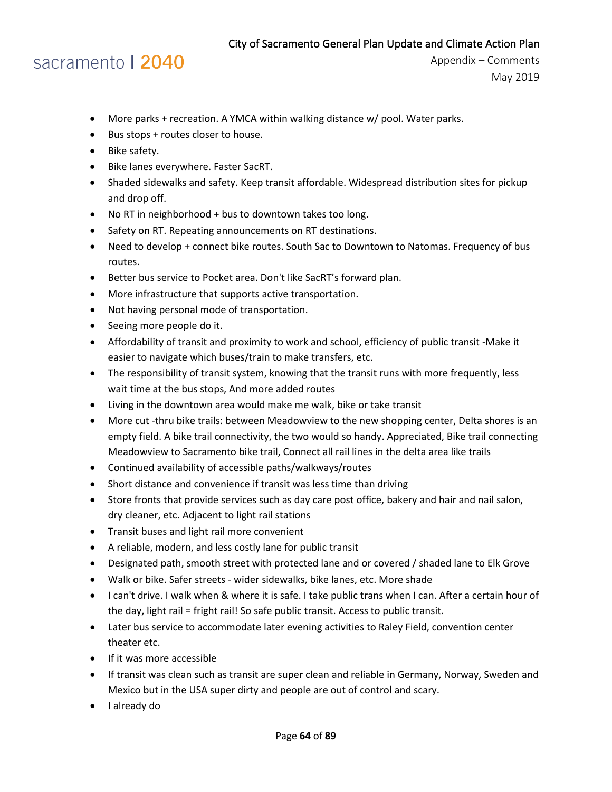### sacramento | 2040

- More parks + recreation. A YMCA within walking distance w/ pool. Water parks.
- Bus stops + routes closer to house.
- Bike safety.
- Bike lanes everywhere. Faster SacRT.
- Shaded sidewalks and safety. Keep transit affordable. Widespread distribution sites for pickup and drop off.
- No RT in neighborhood + bus to downtown takes too long.
- Safety on RT. Repeating announcements on RT destinations.
- Need to develop + connect bike routes. South Sac to Downtown to Natomas. Frequency of bus routes.
- Better bus service to Pocket area. Don't like SacRT's forward plan.
- More infrastructure that supports active transportation.
- Not having personal mode of transportation.
- Seeing more people do it.
- Affordability of transit and proximity to work and school, efficiency of public transit -Make it easier to navigate which buses/train to make transfers, etc.
- The responsibility of transit system, knowing that the transit runs with more frequently, less wait time at the bus stops, And more added routes
- Living in the downtown area would make me walk, bike or take transit
- More cut -thru bike trails: between Meadowview to the new shopping center, Delta shores is an empty field. A bike trail connectivity, the two would so handy. Appreciated, Bike trail connecting Meadowview to Sacramento bike trail, Connect all rail lines in the delta area like trails
- Continued availability of accessible paths/walkways/routes
- Short distance and convenience if transit was less time than driving
- Store fronts that provide services such as day care post office, bakery and hair and nail salon, dry cleaner, etc. Adjacent to light rail stations
- Transit buses and light rail more convenient
- A reliable, modern, and less costly lane for public transit
- Designated path, smooth street with protected lane and or covered / shaded lane to Elk Grove
- Walk or bike. Safer streets wider sidewalks, bike lanes, etc. More shade
- I can't drive. I walk when & where it is safe. I take public trans when I can. After a certain hour of the day, light rail = fright rail! So safe public transit. Access to public transit.
- Later bus service to accommodate later evening activities to Raley Field, convention center theater etc.
- If it was more accessible
- If transit was clean such as transit are super clean and reliable in Germany, Norway, Sweden and Mexico but in the USA super dirty and people are out of control and scary.
- I already do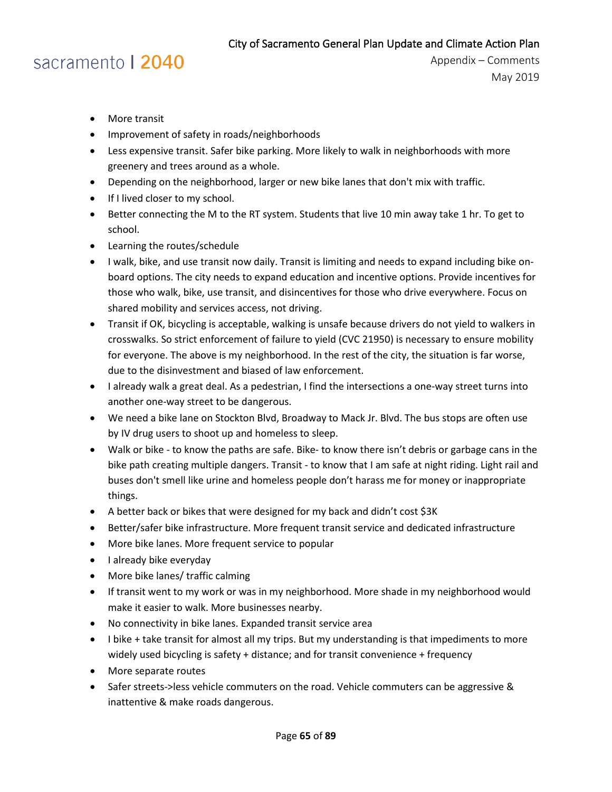# sacramento | 2040

- More transit
- Improvement of safety in roads/neighborhoods
- Less expensive transit. Safer bike parking. More likely to walk in neighborhoods with more greenery and trees around as a whole.
- Depending on the neighborhood, larger or new bike lanes that don't mix with traffic.
- If I lived closer to my school.
- Better connecting the M to the RT system. Students that live 10 min away take 1 hr. To get to school.
- Learning the routes/schedule
- I walk, bike, and use transit now daily. Transit is limiting and needs to expand including bike onboard options. The city needs to expand education and incentive options. Provide incentives for those who walk, bike, use transit, and disincentives for those who drive everywhere. Focus on shared mobility and services access, not driving.
- Transit if OK, bicycling is acceptable, walking is unsafe because drivers do not yield to walkers in crosswalks. So strict enforcement of failure to yield (CVC 21950) is necessary to ensure mobility for everyone. The above is my neighborhood. In the rest of the city, the situation is far worse, due to the disinvestment and biased of law enforcement.
- I already walk a great deal. As a pedestrian, I find the intersections a one-way street turns into another one-way street to be dangerous.
- We need a bike lane on Stockton Blvd, Broadway to Mack Jr. Blvd. The bus stops are often use by IV drug users to shoot up and homeless to sleep.
- Walk or bike to know the paths are safe. Bike- to know there isn't debris or garbage cans in the bike path creating multiple dangers. Transit - to know that I am safe at night riding. Light rail and buses don't smell like urine and homeless people don't harass me for money or inappropriate things.
- A better back or bikes that were designed for my back and didn't cost \$3K
- Better/safer bike infrastructure. More frequent transit service and dedicated infrastructure
- More bike lanes. More frequent service to popular
- I already bike everyday
- More bike lanes/ traffic calming
- If transit went to my work or was in my neighborhood. More shade in my neighborhood would make it easier to walk. More businesses nearby.
- No connectivity in bike lanes. Expanded transit service area
- I bike + take transit for almost all my trips. But my understanding is that impediments to more widely used bicycling is safety + distance; and for transit convenience + frequency
- More separate routes
- Safer streets->less vehicle commuters on the road. Vehicle commuters can be aggressive & inattentive & make roads dangerous.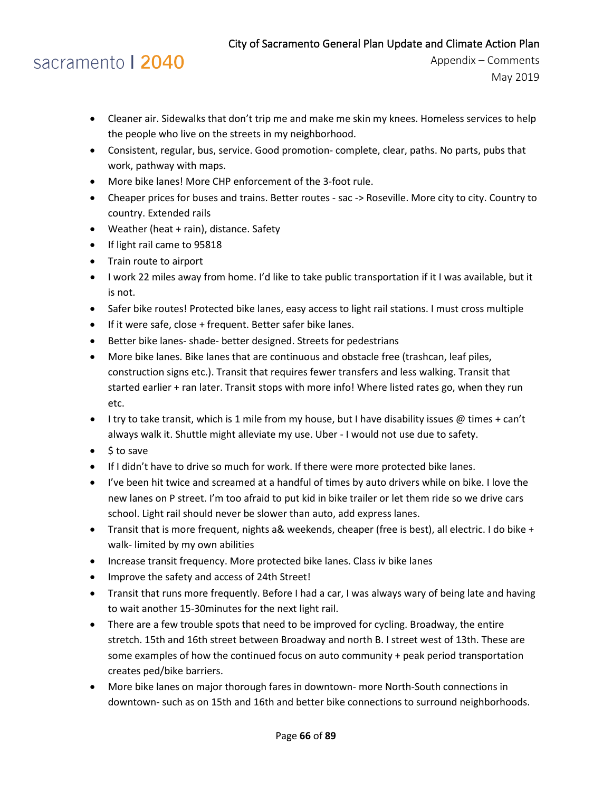# sacramento | 2040

- Cleaner air. Sidewalks that don't trip me and make me skin my knees. Homeless services to help the people who live on the streets in my neighborhood.
- Consistent, regular, bus, service. Good promotion- complete, clear, paths. No parts, pubs that work, pathway with maps.
- More bike lanes! More CHP enforcement of the 3-foot rule.
- Cheaper prices for buses and trains. Better routes sac -> Roseville. More city to city. Country to country. Extended rails
- Weather (heat + rain), distance. Safety
- If light rail came to 95818
- Train route to airport
- I work 22 miles away from home. I'd like to take public transportation if it I was available, but it is not.
- Safer bike routes! Protected bike lanes, easy access to light rail stations. I must cross multiple
- If it were safe, close + frequent. Better safer bike lanes.
- Better bike lanes- shade- better designed. Streets for pedestrians
- More bike lanes. Bike lanes that are continuous and obstacle free (trashcan, leaf piles, construction signs etc.). Transit that requires fewer transfers and less walking. Transit that started earlier + ran later. Transit stops with more info! Where listed rates go, when they run etc.
- I try to take transit, which is 1 mile from my house, but I have disability issues  $\omega$  times + can't always walk it. Shuttle might alleviate my use. Uber - I would not use due to safety.
- \$ to save
- If I didn't have to drive so much for work. If there were more protected bike lanes.
- I've been hit twice and screamed at a handful of times by auto drivers while on bike. I love the new lanes on P street. I'm too afraid to put kid in bike trailer or let them ride so we drive cars school. Light rail should never be slower than auto, add express lanes.
- Transit that is more frequent, nights a& weekends, cheaper (free is best), all electric. I do bike + walk- limited by my own abilities
- Increase transit frequency. More protected bike lanes. Class iv bike lanes
- Improve the safety and access of 24th Street!
- Transit that runs more frequently. Before I had a car, I was always wary of being late and having to wait another 15-30minutes for the next light rail.
- There are a few trouble spots that need to be improved for cycling. Broadway, the entire stretch. 15th and 16th street between Broadway and north B. I street west of 13th. These are some examples of how the continued focus on auto community + peak period transportation creates ped/bike barriers.
- More bike lanes on major thorough fares in downtown- more North-South connections in downtown- such as on 15th and 16th and better bike connections to surround neighborhoods.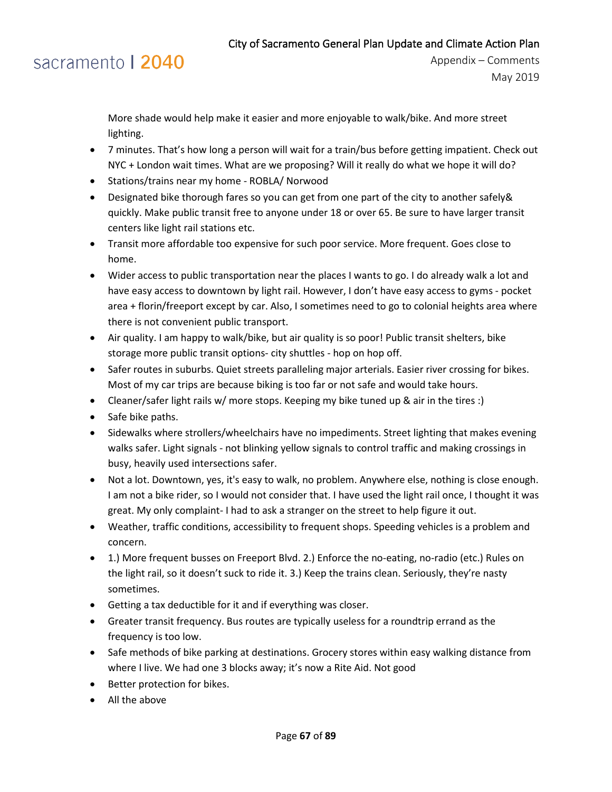### sacramento | 2040

More shade would help make it easier and more enjoyable to walk/bike. And more street lighting.

- 7 minutes. That's how long a person will wait for a train/bus before getting impatient. Check out NYC + London wait times. What are we proposing? Will it really do what we hope it will do?
- Stations/trains near my home ROBLA/ Norwood
- Designated bike thorough fares so you can get from one part of the city to another safely& quickly. Make public transit free to anyone under 18 or over 65. Be sure to have larger transit centers like light rail stations etc.
- Transit more affordable too expensive for such poor service. More frequent. Goes close to home.
- Wider access to public transportation near the places I wants to go. I do already walk a lot and have easy access to downtown by light rail. However, I don't have easy access to gyms - pocket area + florin/freeport except by car. Also, I sometimes need to go to colonial heights area where there is not convenient public transport.
- Air quality. I am happy to walk/bike, but air quality is so poor! Public transit shelters, bike storage more public transit options- city shuttles - hop on hop off.
- Safer routes in suburbs. Quiet streets paralleling major arterials. Easier river crossing for bikes. Most of my car trips are because biking is too far or not safe and would take hours.
- Cleaner/safer light rails w/ more stops. Keeping my bike tuned up & air in the tires :)
- Safe bike paths.
- Sidewalks where strollers/wheelchairs have no impediments. Street lighting that makes evening walks safer. Light signals - not blinking yellow signals to control traffic and making crossings in busy, heavily used intersections safer.
- Not a lot. Downtown, yes, it's easy to walk, no problem. Anywhere else, nothing is close enough. I am not a bike rider, so I would not consider that. I have used the light rail once, I thought it was great. My only complaint- I had to ask a stranger on the street to help figure it out.
- Weather, traffic conditions, accessibility to frequent shops. Speeding vehicles is a problem and concern.
- 1.) More frequent busses on Freeport Blvd. 2.) Enforce the no-eating, no-radio (etc.) Rules on the light rail, so it doesn't suck to ride it. 3.) Keep the trains clean. Seriously, they're nasty sometimes.
- Getting a tax deductible for it and if everything was closer.
- Greater transit frequency. Bus routes are typically useless for a roundtrip errand as the frequency is too low.
- Safe methods of bike parking at destinations. Grocery stores within easy walking distance from where I live. We had one 3 blocks away; it's now a Rite Aid. Not good
- Better protection for bikes.
- All the above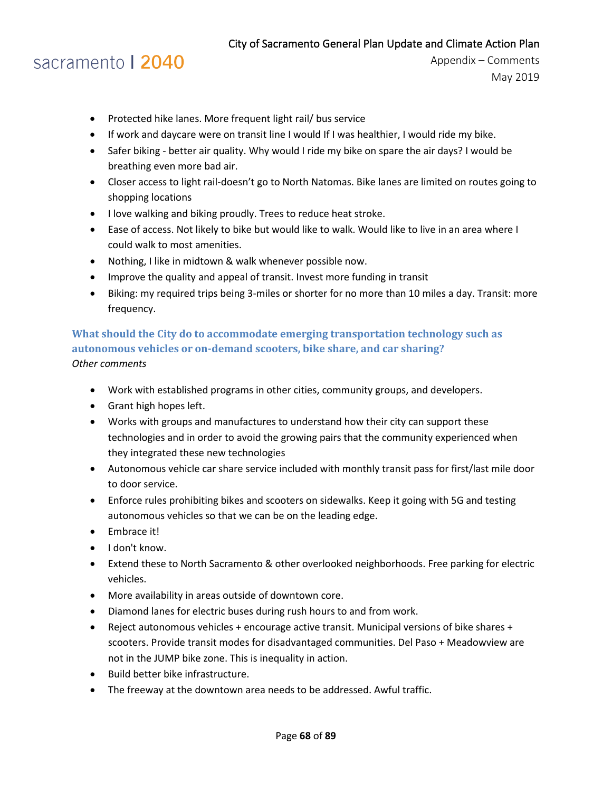### sacramento | 2040

Appendix – Comments May 2019

- Protected hike lanes. More frequent light rail/ bus service
- If work and daycare were on transit line I would If I was healthier, I would ride my bike.
- Safer biking better air quality. Why would I ride my bike on spare the air days? I would be breathing even more bad air.
- Closer access to light rail-doesn't go to North Natomas. Bike lanes are limited on routes going to shopping locations
- I love walking and biking proudly. Trees to reduce heat stroke.
- Ease of access. Not likely to bike but would like to walk. Would like to live in an area where I could walk to most amenities.
- Nothing, I like in midtown & walk whenever possible now.
- Improve the quality and appeal of transit. Invest more funding in transit
- Biking: my required trips being 3-miles or shorter for no more than 10 miles a day. Transit: more frequency.

### **What should the City do to accommodate emerging transportation technology such as autonomous vehicles or on-demand scooters, bike share, and car sharing?** *Other comments*

- Work with established programs in other cities, community groups, and developers.
- Grant high hopes left.
- Works with groups and manufactures to understand how their city can support these technologies and in order to avoid the growing pairs that the community experienced when they integrated these new technologies
- Autonomous vehicle car share service included with monthly transit pass for first/last mile door to door service.
- Enforce rules prohibiting bikes and scooters on sidewalks. Keep it going with 5G and testing autonomous vehicles so that we can be on the leading edge.
- Embrace it!
- I don't know.
- Extend these to North Sacramento & other overlooked neighborhoods. Free parking for electric vehicles.
- More availability in areas outside of downtown core.
- Diamond lanes for electric buses during rush hours to and from work.
- Reject autonomous vehicles + encourage active transit. Municipal versions of bike shares + scooters. Provide transit modes for disadvantaged communities. Del Paso + Meadowview are not in the JUMP bike zone. This is inequality in action.
- Build better bike infrastructure.
- The freeway at the downtown area needs to be addressed. Awful traffic.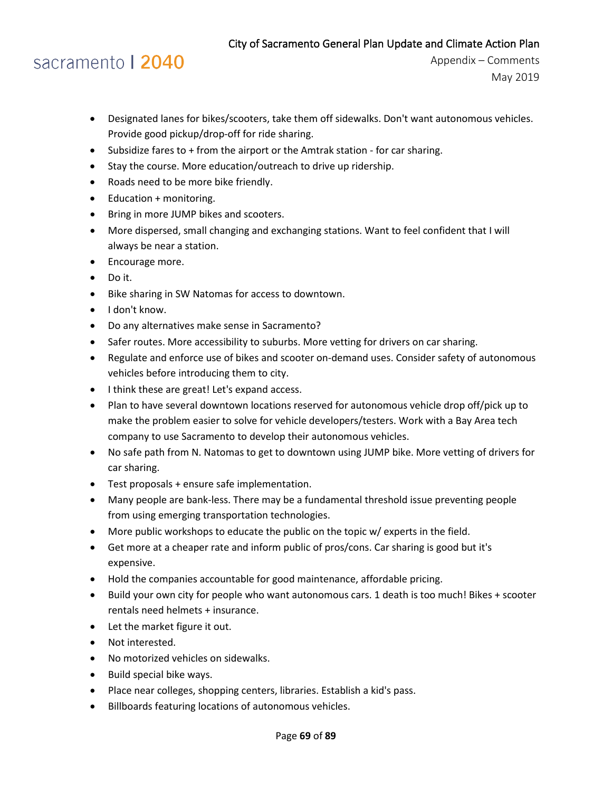### sacramento | 2040

- Designated lanes for bikes/scooters, take them off sidewalks. Don't want autonomous vehicles. Provide good pickup/drop-off for ride sharing.
- Subsidize fares to + from the airport or the Amtrak station for car sharing.
- Stay the course. More education/outreach to drive up ridership.
- Roads need to be more bike friendly.
- Education + monitoring.
- Bring in more JUMP bikes and scooters.
- More dispersed, small changing and exchanging stations. Want to feel confident that I will always be near a station.
- Encourage more.
- Do it.
- Bike sharing in SW Natomas for access to downtown.
- I don't know.
- Do any alternatives make sense in Sacramento?
- Safer routes. More accessibility to suburbs. More vetting for drivers on car sharing.
- Regulate and enforce use of bikes and scooter on-demand uses. Consider safety of autonomous vehicles before introducing them to city.
- I think these are great! Let's expand access.
- Plan to have several downtown locations reserved for autonomous vehicle drop off/pick up to make the problem easier to solve for vehicle developers/testers. Work with a Bay Area tech company to use Sacramento to develop their autonomous vehicles.
- No safe path from N. Natomas to get to downtown using JUMP bike. More vetting of drivers for car sharing.
- Test proposals + ensure safe implementation.
- Many people are bank-less. There may be a fundamental threshold issue preventing people from using emerging transportation technologies.
- More public workshops to educate the public on the topic w/ experts in the field.
- Get more at a cheaper rate and inform public of pros/cons. Car sharing is good but it's expensive.
- Hold the companies accountable for good maintenance, affordable pricing.
- Build your own city for people who want autonomous cars. 1 death is too much! Bikes + scooter rentals need helmets + insurance.
- Let the market figure it out.
- Not interested.
- No motorized vehicles on sidewalks.
- Build special bike ways.
- Place near colleges, shopping centers, libraries. Establish a kid's pass.
- Billboards featuring locations of autonomous vehicles.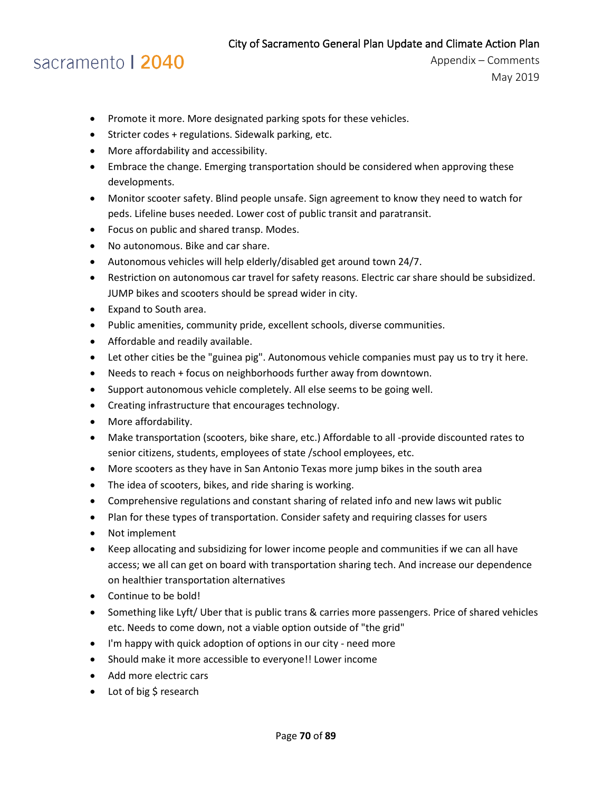### sacramento | 2040

- Promote it more. More designated parking spots for these vehicles.
- Stricter codes + regulations. Sidewalk parking, etc.
- More affordability and accessibility.
- Embrace the change. Emerging transportation should be considered when approving these developments.
- Monitor scooter safety. Blind people unsafe. Sign agreement to know they need to watch for peds. Lifeline buses needed. Lower cost of public transit and paratransit.
- Focus on public and shared transp. Modes.
- No autonomous. Bike and car share.
- Autonomous vehicles will help elderly/disabled get around town 24/7.
- Restriction on autonomous car travel for safety reasons. Electric car share should be subsidized. JUMP bikes and scooters should be spread wider in city.
- Expand to South area.
- Public amenities, community pride, excellent schools, diverse communities.
- Affordable and readily available.
- Let other cities be the "guinea pig". Autonomous vehicle companies must pay us to try it here.
- Needs to reach + focus on neighborhoods further away from downtown.
- Support autonomous vehicle completely. All else seems to be going well.
- Creating infrastructure that encourages technology.
- More affordability.
- Make transportation (scooters, bike share, etc.) Affordable to all -provide discounted rates to senior citizens, students, employees of state /school employees, etc.
- More scooters as they have in San Antonio Texas more jump bikes in the south area
- The idea of scooters, bikes, and ride sharing is working.
- Comprehensive regulations and constant sharing of related info and new laws wit public
- Plan for these types of transportation. Consider safety and requiring classes for users
- Not implement
- Keep allocating and subsidizing for lower income people and communities if we can all have access; we all can get on board with transportation sharing tech. And increase our dependence on healthier transportation alternatives
- Continue to be bold!
- Something like Lyft/ Uber that is public trans & carries more passengers. Price of shared vehicles etc. Needs to come down, not a viable option outside of "the grid"
- I'm happy with quick adoption of options in our city need more
- Should make it more accessible to everyone!! Lower income
- Add more electric cars
- Lot of big \$ research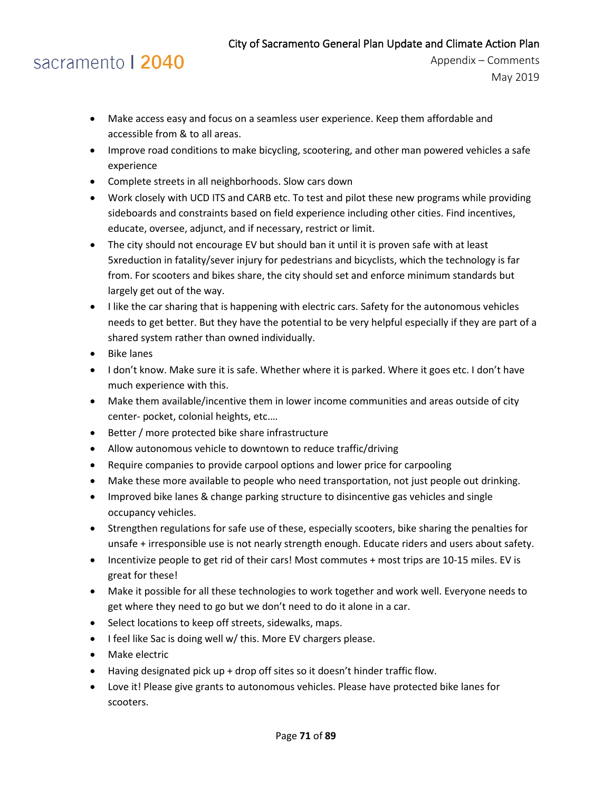# sacramento | 2040

- Make access easy and focus on a seamless user experience. Keep them affordable and accessible from & to all areas.
- Improve road conditions to make bicycling, scootering, and other man powered vehicles a safe experience
- Complete streets in all neighborhoods. Slow cars down
- Work closely with UCD ITS and CARB etc. To test and pilot these new programs while providing sideboards and constraints based on field experience including other cities. Find incentives, educate, oversee, adjunct, and if necessary, restrict or limit.
- The city should not encourage EV but should ban it until it is proven safe with at least 5xreduction in fatality/sever injury for pedestrians and bicyclists, which the technology is far from. For scooters and bikes share, the city should set and enforce minimum standards but largely get out of the way.
- I like the car sharing that is happening with electric cars. Safety for the autonomous vehicles needs to get better. But they have the potential to be very helpful especially if they are part of a shared system rather than owned individually.
- Bike lanes
- I don't know. Make sure it is safe. Whether where it is parked. Where it goes etc. I don't have much experience with this.
- Make them available/incentive them in lower income communities and areas outside of city center- pocket, colonial heights, etc.…
- Better / more protected bike share infrastructure
- Allow autonomous vehicle to downtown to reduce traffic/driving
- Require companies to provide carpool options and lower price for carpooling
- Make these more available to people who need transportation, not just people out drinking.
- Improved bike lanes & change parking structure to disincentive gas vehicles and single occupancy vehicles.
- Strengthen regulations for safe use of these, especially scooters, bike sharing the penalties for unsafe + irresponsible use is not nearly strength enough. Educate riders and users about safety.
- Incentivize people to get rid of their cars! Most commutes + most trips are 10-15 miles. EV is great for these!
- Make it possible for all these technologies to work together and work well. Everyone needs to get where they need to go but we don't need to do it alone in a car.
- Select locations to keep off streets, sidewalks, maps.
- I feel like Sac is doing well w/ this. More EV chargers please.
- Make electric
- Having designated pick up + drop off sites so it doesn't hinder traffic flow.
- Love it! Please give grants to autonomous vehicles. Please have protected bike lanes for scooters.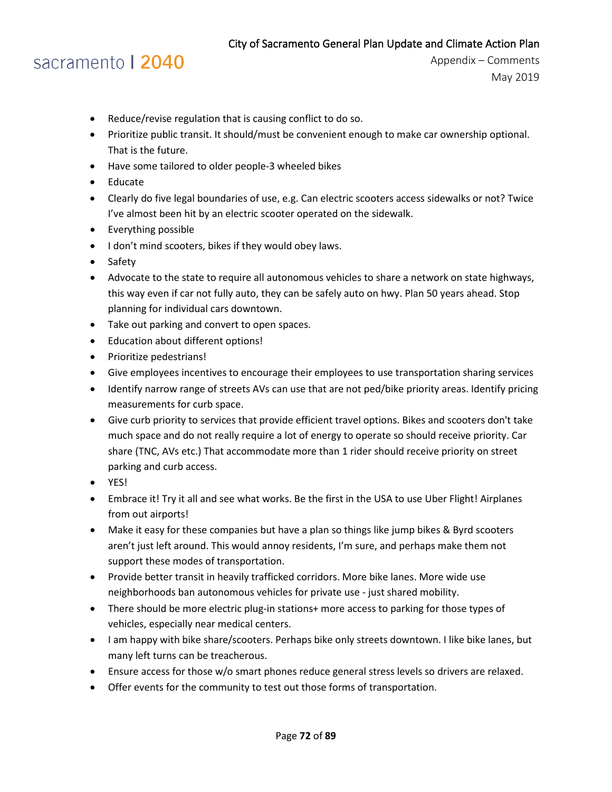### sacramento | 2040

- Reduce/revise regulation that is causing conflict to do so.
- Prioritize public transit. It should/must be convenient enough to make car ownership optional. That is the future.
- Have some tailored to older people-3 wheeled bikes
- Educate
- Clearly do five legal boundaries of use, e.g. Can electric scooters access sidewalks or not? Twice I've almost been hit by an electric scooter operated on the sidewalk.
- Everything possible
- I don't mind scooters, bikes if they would obey laws.
- Safety
- Advocate to the state to require all autonomous vehicles to share a network on state highways, this way even if car not fully auto, they can be safely auto on hwy. Plan 50 years ahead. Stop planning for individual cars downtown.
- Take out parking and convert to open spaces.
- Education about different options!
- Prioritize pedestrians!
- Give employees incentives to encourage their employees to use transportation sharing services
- Identify narrow range of streets AVs can use that are not ped/bike priority areas. Identify pricing measurements for curb space.
- Give curb priority to services that provide efficient travel options. Bikes and scooters don't take much space and do not really require a lot of energy to operate so should receive priority. Car share (TNC, AVs etc.) That accommodate more than 1 rider should receive priority on street parking and curb access.
- YES!
- Embrace it! Try it all and see what works. Be the first in the USA to use Uber Flight! Airplanes from out airports!
- Make it easy for these companies but have a plan so things like jump bikes & Byrd scooters aren't just left around. This would annoy residents, I'm sure, and perhaps make them not support these modes of transportation.
- Provide better transit in heavily trafficked corridors. More bike lanes. More wide use neighborhoods ban autonomous vehicles for private use - just shared mobility.
- There should be more electric plug-in stations+ more access to parking for those types of vehicles, especially near medical centers.
- I am happy with bike share/scooters. Perhaps bike only streets downtown. I like bike lanes, but many left turns can be treacherous.
- Ensure access for those w/o smart phones reduce general stress levels so drivers are relaxed.
- Offer events for the community to test out those forms of transportation.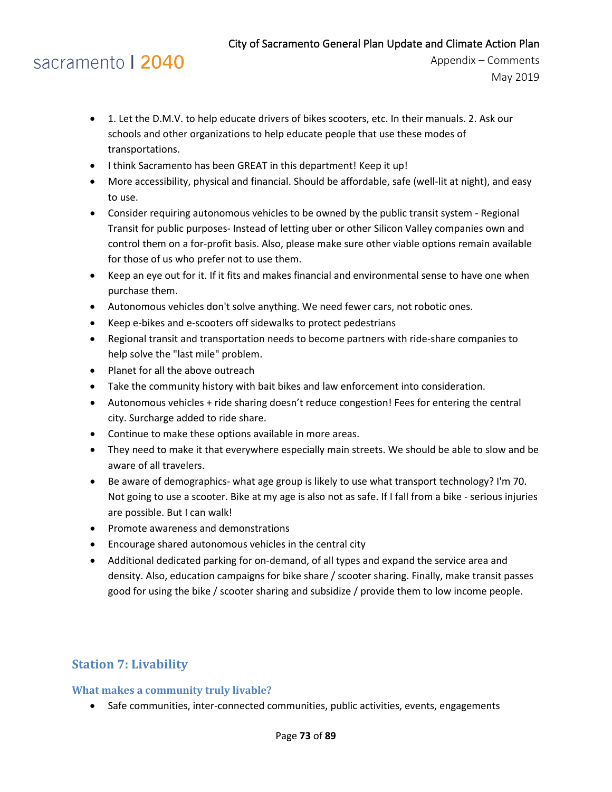# sacramento | 2040

Appendix – Comments May 2019

- 1. Let the D.M.V. to help educate drivers of bikes scooters, etc. In their manuals. 2. Ask our schools and other organizations to help educate people that use these modes of transportations.
- I think Sacramento has been GREAT in this department! Keep it up!
- More accessibility, physical and financial. Should be affordable, safe (well-lit at night), and easy to use.
- Consider requiring autonomous vehicles to be owned by the public transit system Regional Transit for public purposes- Instead of letting uber or other Silicon Valley companies own and control them on a for-profit basis. Also, please make sure other viable options remain available for those of us who prefer not to use them.
- Keep an eye out for it. If it fits and makes financial and environmental sense to have one when purchase them.
- Autonomous vehicles don't solve anything. We need fewer cars, not robotic ones.
- Keep e-bikes and e-scooters off sidewalks to protect pedestrians
- Regional transit and transportation needs to become partners with ride-share companies to help solve the "last mile" problem.
- Planet for all the above outreach
- Take the community history with bait bikes and law enforcement into consideration.
- Autonomous vehicles + ride sharing doesn't reduce congestion! Fees for entering the central city. Surcharge added to ride share.
- Continue to make these options available in more areas.
- They need to make it that everywhere especially main streets. We should be able to slow and be aware of all travelers.
- Be aware of demographics- what age group is likely to use what transport technology? I'm 70. Not going to use a scooter. Bike at my age is also not as safe. If I fall from a bike - serious injuries are possible. But I can walk!
- Promote awareness and demonstrations
- Encourage shared autonomous vehicles in the central city
- Additional dedicated parking for on-demand, of all types and expand the service area and density. Also, education campaigns for bike share / scooter sharing. Finally, make transit passes good for using the bike / scooter sharing and subsidize / provide them to low income people.

### **Station 7: Livability**

#### **What makes a community truly livable?**

• Safe communities, inter-connected communities, public activities, events, engagements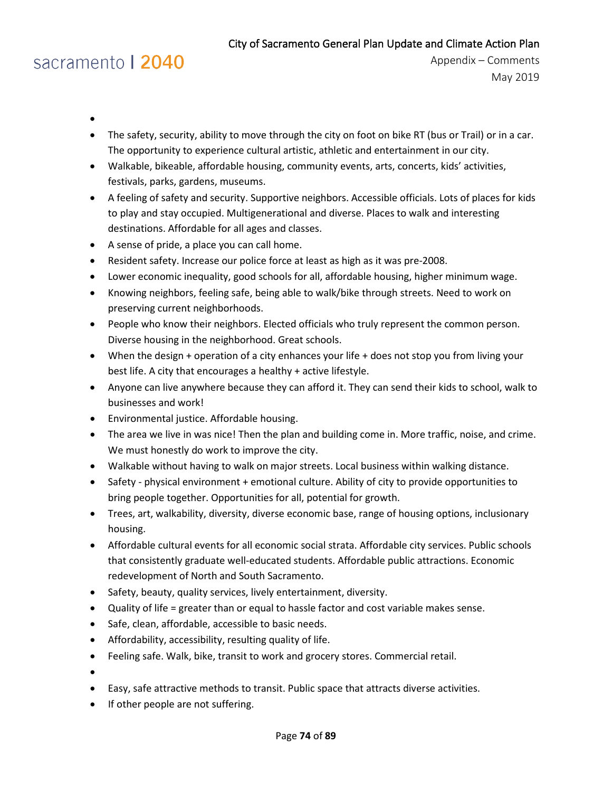# sacramento | 2040

- •
- The safety, security, ability to move through the city on foot on bike RT (bus or Trail) or in a car. The opportunity to experience cultural artistic, athletic and entertainment in our city.
- Walkable, bikeable, affordable housing, community events, arts, concerts, kids' activities, festivals, parks, gardens, museums.
- A feeling of safety and security. Supportive neighbors. Accessible officials. Lots of places for kids to play and stay occupied. Multigenerational and diverse. Places to walk and interesting destinations. Affordable for all ages and classes.
- A sense of pride, a place you can call home.
- Resident safety. Increase our police force at least as high as it was pre-2008.
- Lower economic inequality, good schools for all, affordable housing, higher minimum wage.
- Knowing neighbors, feeling safe, being able to walk/bike through streets. Need to work on preserving current neighborhoods.
- People who know their neighbors. Elected officials who truly represent the common person. Diverse housing in the neighborhood. Great schools.
- When the design + operation of a city enhances your life + does not stop you from living your best life. A city that encourages a healthy + active lifestyle.
- Anyone can live anywhere because they can afford it. They can send their kids to school, walk to businesses and work!
- Environmental justice. Affordable housing.
- The area we live in was nice! Then the plan and building come in. More traffic, noise, and crime. We must honestly do work to improve the city.
- Walkable without having to walk on major streets. Local business within walking distance.
- Safety physical environment + emotional culture. Ability of city to provide opportunities to bring people together. Opportunities for all, potential for growth.
- Trees, art, walkability, diversity, diverse economic base, range of housing options, inclusionary housing.
- Affordable cultural events for all economic social strata. Affordable city services. Public schools that consistently graduate well-educated students. Affordable public attractions. Economic redevelopment of North and South Sacramento.
- Safety, beauty, quality services, lively entertainment, diversity.
- Quality of life = greater than or equal to hassle factor and cost variable makes sense.
- Safe, clean, affordable, accessible to basic needs.
- Affordability, accessibility, resulting quality of life.
- Feeling safe. Walk, bike, transit to work and grocery stores. Commercial retail.
- •
- Easy, safe attractive methods to transit. Public space that attracts diverse activities.
- If other people are not suffering.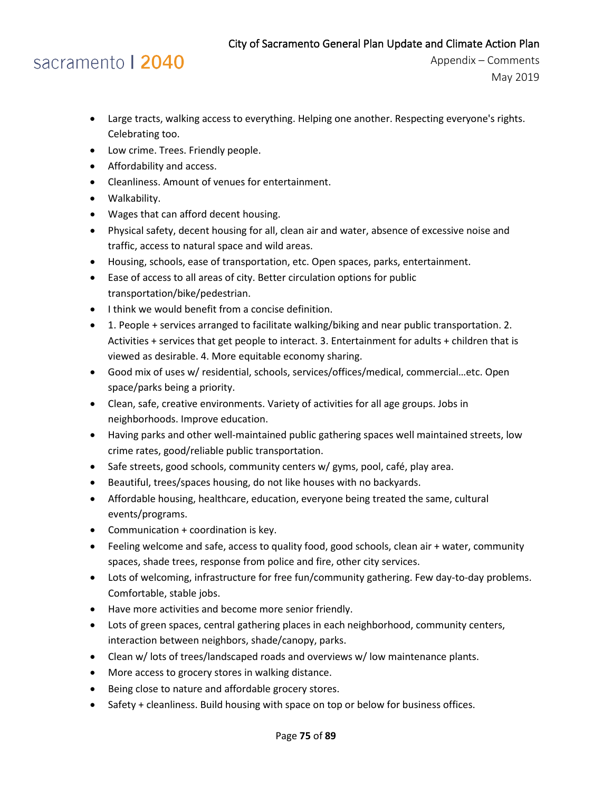- Large tracts, walking access to everything. Helping one another. Respecting everyone's rights. Celebrating too.
- Low crime. Trees. Friendly people.
- Affordability and access.
- Cleanliness. Amount of venues for entertainment.
- Walkability.
- Wages that can afford decent housing.
- Physical safety, decent housing for all, clean air and water, absence of excessive noise and traffic, access to natural space and wild areas.
- Housing, schools, ease of transportation, etc. Open spaces, parks, entertainment.
- Ease of access to all areas of city. Better circulation options for public transportation/bike/pedestrian.
- I think we would benefit from a concise definition.
- 1. People + services arranged to facilitate walking/biking and near public transportation. 2. Activities + services that get people to interact. 3. Entertainment for adults + children that is viewed as desirable. 4. More equitable economy sharing.
- Good mix of uses w/ residential, schools, services/offices/medical, commercial…etc. Open space/parks being a priority.
- Clean, safe, creative environments. Variety of activities for all age groups. Jobs in neighborhoods. Improve education.
- Having parks and other well-maintained public gathering spaces well maintained streets, low crime rates, good/reliable public transportation.
- Safe streets, good schools, community centers w/ gyms, pool, café, play area.
- Beautiful, trees/spaces housing, do not like houses with no backyards.
- Affordable housing, healthcare, education, everyone being treated the same, cultural events/programs.
- Communication + coordination is key.
- Feeling welcome and safe, access to quality food, good schools, clean air + water, community spaces, shade trees, response from police and fire, other city services.
- Lots of welcoming, infrastructure for free fun/community gathering. Few day-to-day problems. Comfortable, stable jobs.
- Have more activities and become more senior friendly.
- Lots of green spaces, central gathering places in each neighborhood, community centers, interaction between neighbors, shade/canopy, parks.
- Clean w/ lots of trees/landscaped roads and overviews w/ low maintenance plants.
- More access to grocery stores in walking distance.
- Being close to nature and affordable grocery stores.
- Safety + cleanliness. Build housing with space on top or below for business offices.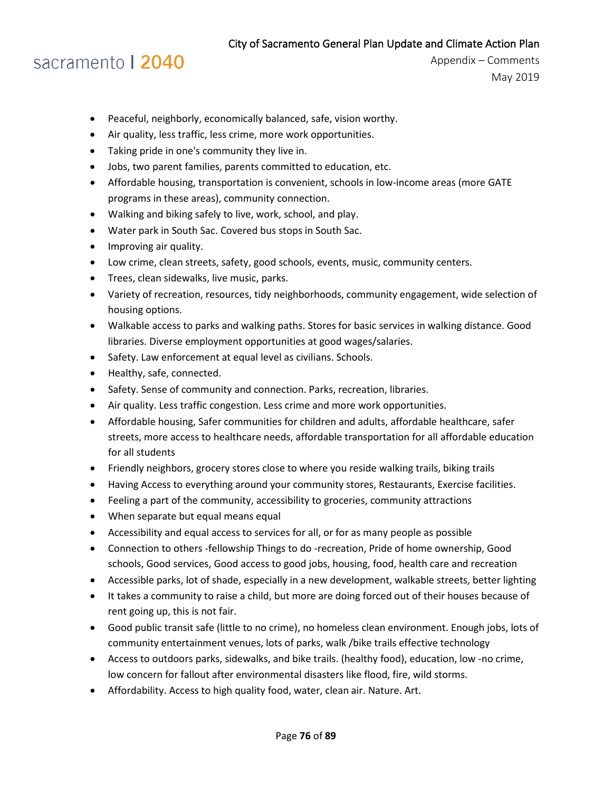## sacramento | 2040

- Peaceful, neighborly, economically balanced, safe, vision worthy.
- Air quality, less traffic, less crime, more work opportunities.
- Taking pride in one's community they live in.
- Jobs, two parent families, parents committed to education, etc.
- Affordable housing, transportation is convenient, schools in low-income areas (more GATE programs in these areas), community connection.
- Walking and biking safely to live, work, school, and play.
- Water park in South Sac. Covered bus stops in South Sac.
- Improving air quality.
- Low crime, clean streets, safety, good schools, events, music, community centers.
- Trees, clean sidewalks, live music, parks.
- Variety of recreation, resources, tidy neighborhoods, community engagement, wide selection of housing options.
- Walkable access to parks and walking paths. Stores for basic services in walking distance. Good libraries. Diverse employment opportunities at good wages/salaries.
- Safety. Law enforcement at equal level as civilians. Schools.
- Healthy, safe, connected.
- Safety. Sense of community and connection. Parks, recreation, libraries.
- Air quality. Less traffic congestion. Less crime and more work opportunities.
- Affordable housing, Safer communities for children and adults, affordable healthcare, safer streets, more access to healthcare needs, affordable transportation for all affordable education for all students
- Friendly neighbors, grocery stores close to where you reside walking trails, biking trails
- Having Access to everything around your community stores, Restaurants, Exercise facilities.
- Feeling a part of the community, accessibility to groceries, community attractions
- When separate but equal means equal
- Accessibility and equal access to services for all, or for as many people as possible
- Connection to others -fellowship Things to do -recreation, Pride of home ownership, Good schools, Good services, Good access to good jobs, housing, food, health care and recreation
- Accessible parks, lot of shade, especially in a new development, walkable streets, better lighting
- It takes a community to raise a child, but more are doing forced out of their houses because of rent going up, this is not fair.
- Good public transit safe (little to no crime), no homeless clean environment. Enough jobs, lots of community entertainment venues, lots of parks, walk /bike trails effective technology
- Access to outdoors parks, sidewalks, and bike trails. (healthy food), education, low -no crime, low concern for fallout after environmental disasters like flood, fire, wild storms.
- Affordability. Access to high quality food, water, clean air. Nature. Art.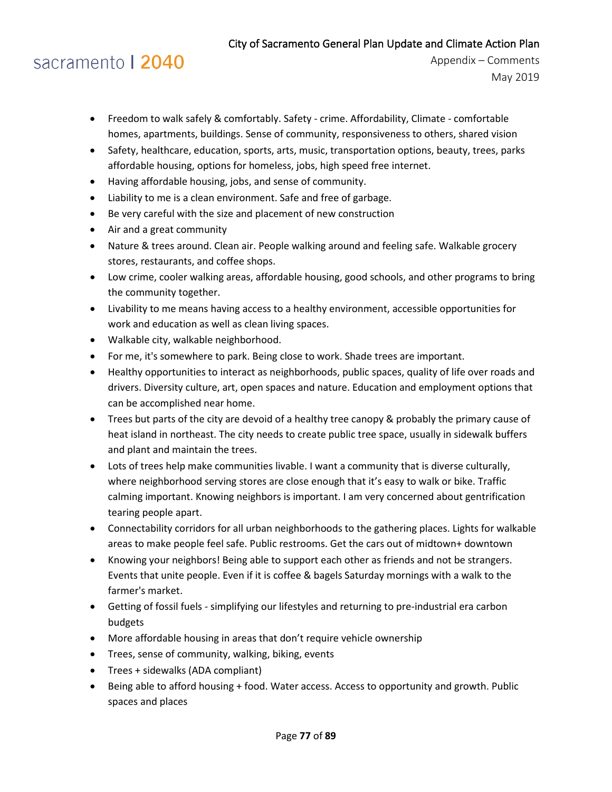# sacramento | 2040

- Freedom to walk safely & comfortably. Safety crime. Affordability, Climate comfortable homes, apartments, buildings. Sense of community, responsiveness to others, shared vision
- Safety, healthcare, education, sports, arts, music, transportation options, beauty, trees, parks affordable housing, options for homeless, jobs, high speed free internet.
- Having affordable housing, jobs, and sense of community.
- Liability to me is a clean environment. Safe and free of garbage.
- Be very careful with the size and placement of new construction
- Air and a great community
- Nature & trees around. Clean air. People walking around and feeling safe. Walkable grocery stores, restaurants, and coffee shops.
- Low crime, cooler walking areas, affordable housing, good schools, and other programs to bring the community together.
- Livability to me means having access to a healthy environment, accessible opportunities for work and education as well as clean living spaces.
- Walkable city, walkable neighborhood.
- For me, it's somewhere to park. Being close to work. Shade trees are important.
- Healthy opportunities to interact as neighborhoods, public spaces, quality of life over roads and drivers. Diversity culture, art, open spaces and nature. Education and employment options that can be accomplished near home.
- Trees but parts of the city are devoid of a healthy tree canopy & probably the primary cause of heat island in northeast. The city needs to create public tree space, usually in sidewalk buffers and plant and maintain the trees.
- Lots of trees help make communities livable. I want a community that is diverse culturally, where neighborhood serving stores are close enough that it's easy to walk or bike. Traffic calming important. Knowing neighbors is important. I am very concerned about gentrification tearing people apart.
- Connectability corridors for all urban neighborhoods to the gathering places. Lights for walkable areas to make people feel safe. Public restrooms. Get the cars out of midtown+ downtown
- Knowing your neighbors! Being able to support each other as friends and not be strangers. Events that unite people. Even if it is coffee & bagels Saturday mornings with a walk to the farmer's market.
- Getting of fossil fuels simplifying our lifestyles and returning to pre-industrial era carbon budgets
- More affordable housing in areas that don't require vehicle ownership
- Trees, sense of community, walking, biking, events
- Trees + sidewalks (ADA compliant)
- Being able to afford housing + food. Water access. Access to opportunity and growth. Public spaces and places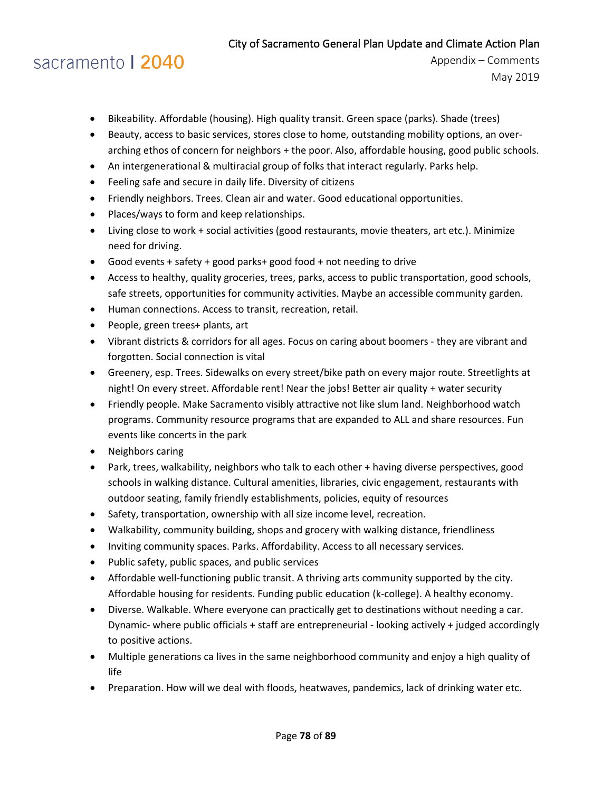# sacramento | 2040

- Bikeability. Affordable (housing). High quality transit. Green space (parks). Shade (trees)
- Beauty, access to basic services, stores close to home, outstanding mobility options, an overarching ethos of concern for neighbors + the poor. Also, affordable housing, good public schools.
- An intergenerational & multiracial group of folks that interact regularly. Parks help.
- Feeling safe and secure in daily life. Diversity of citizens
- Friendly neighbors. Trees. Clean air and water. Good educational opportunities.
- Places/ways to form and keep relationships.
- Living close to work + social activities (good restaurants, movie theaters, art etc.). Minimize need for driving.
- Good events + safety + good parks+ good food + not needing to drive
- Access to healthy, quality groceries, trees, parks, access to public transportation, good schools, safe streets, opportunities for community activities. Maybe an accessible community garden.
- Human connections. Access to transit, recreation, retail.
- People, green trees+ plants, art
- Vibrant districts & corridors for all ages. Focus on caring about boomers they are vibrant and forgotten. Social connection is vital
- Greenery, esp. Trees. Sidewalks on every street/bike path on every major route. Streetlights at night! On every street. Affordable rent! Near the jobs! Better air quality + water security
- Friendly people. Make Sacramento visibly attractive not like slum land. Neighborhood watch programs. Community resource programs that are expanded to ALL and share resources. Fun events like concerts in the park
- Neighbors caring
- Park, trees, walkability, neighbors who talk to each other + having diverse perspectives, good schools in walking distance. Cultural amenities, libraries, civic engagement, restaurants with outdoor seating, family friendly establishments, policies, equity of resources
- Safety, transportation, ownership with all size income level, recreation.
- Walkability, community building, shops and grocery with walking distance, friendliness
- Inviting community spaces. Parks. Affordability. Access to all necessary services.
- Public safety, public spaces, and public services
- Affordable well-functioning public transit. A thriving arts community supported by the city. Affordable housing for residents. Funding public education (k-college). A healthy economy.
- Diverse. Walkable. Where everyone can practically get to destinations without needing a car. Dynamic- where public officials + staff are entrepreneurial - looking actively + judged accordingly to positive actions.
- Multiple generations ca lives in the same neighborhood community and enjoy a high quality of life
- Preparation. How will we deal with floods, heatwaves, pandemics, lack of drinking water etc.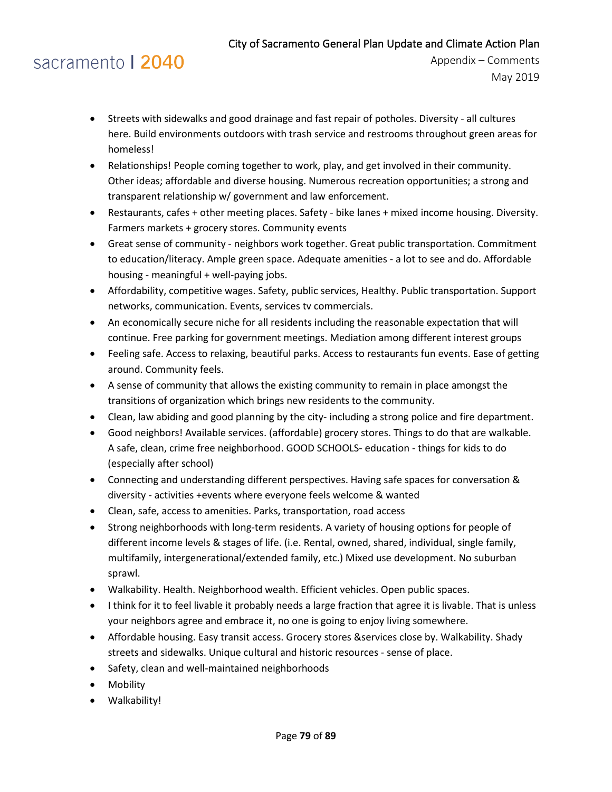- Streets with sidewalks and good drainage and fast repair of potholes. Diversity all cultures here. Build environments outdoors with trash service and restrooms throughout green areas for homeless!
- Relationships! People coming together to work, play, and get involved in their community. Other ideas; affordable and diverse housing. Numerous recreation opportunities; a strong and transparent relationship w/ government and law enforcement.
- Restaurants, cafes + other meeting places. Safety bike lanes + mixed income housing. Diversity. Farmers markets + grocery stores. Community events
- Great sense of community neighbors work together. Great public transportation. Commitment to education/literacy. Ample green space. Adequate amenities - a lot to see and do. Affordable housing - meaningful + well-paying jobs.
- Affordability, competitive wages. Safety, public services, Healthy. Public transportation. Support networks, communication. Events, services tv commercials.
- An economically secure niche for all residents including the reasonable expectation that will continue. Free parking for government meetings. Mediation among different interest groups
- Feeling safe. Access to relaxing, beautiful parks. Access to restaurants fun events. Ease of getting around. Community feels.
- A sense of community that allows the existing community to remain in place amongst the transitions of organization which brings new residents to the community.
- Clean, law abiding and good planning by the city- including a strong police and fire department.
- Good neighbors! Available services. (affordable) grocery stores. Things to do that are walkable. A safe, clean, crime free neighborhood. GOOD SCHOOLS- education - things for kids to do (especially after school)
- Connecting and understanding different perspectives. Having safe spaces for conversation & diversity - activities +events where everyone feels welcome & wanted
- Clean, safe, access to amenities. Parks, transportation, road access
- Strong neighborhoods with long-term residents. A variety of housing options for people of different income levels & stages of life. (i.e. Rental, owned, shared, individual, single family, multifamily, intergenerational/extended family, etc.) Mixed use development. No suburban sprawl.
- Walkability. Health. Neighborhood wealth. Efficient vehicles. Open public spaces.
- I think for it to feel livable it probably needs a large fraction that agree it is livable. That is unless your neighbors agree and embrace it, no one is going to enjoy living somewhere.
- Affordable housing. Easy transit access. Grocery stores &services close by. Walkability. Shady streets and sidewalks. Unique cultural and historic resources - sense of place.
- Safety, clean and well-maintained neighborhoods
- Mobility
- Walkability!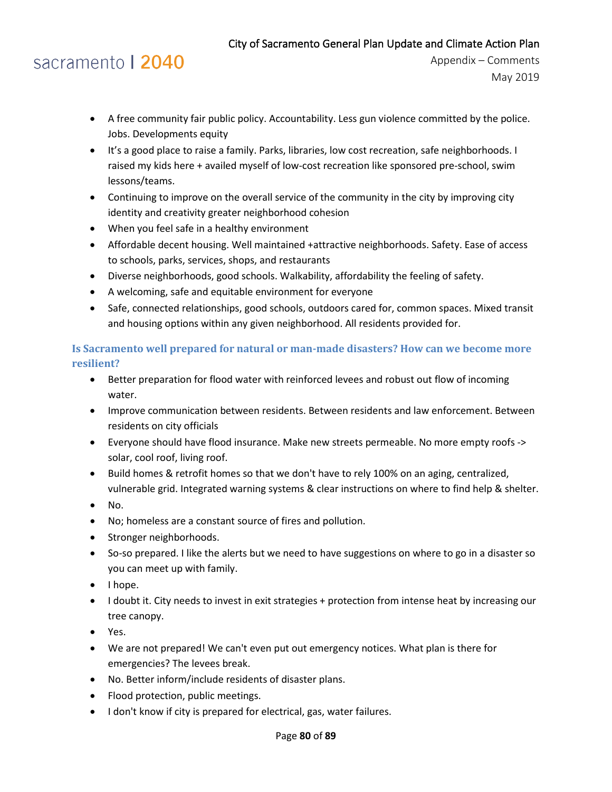# sacramento | 2040

- A free community fair public policy. Accountability. Less gun violence committed by the police. Jobs. Developments equity
- It's a good place to raise a family. Parks, libraries, low cost recreation, safe neighborhoods. I raised my kids here + availed myself of low-cost recreation like sponsored pre-school, swim lessons/teams.
- Continuing to improve on the overall service of the community in the city by improving city identity and creativity greater neighborhood cohesion
- When you feel safe in a healthy environment
- Affordable decent housing. Well maintained +attractive neighborhoods. Safety. Ease of access to schools, parks, services, shops, and restaurants
- Diverse neighborhoods, good schools. Walkability, affordability the feeling of safety.
- A welcoming, safe and equitable environment for everyone
- Safe, connected relationships, good schools, outdoors cared for, common spaces. Mixed transit and housing options within any given neighborhood. All residents provided for.

### **Is Sacramento well prepared for natural or man-made disasters? How can we become more resilient?**

- Better preparation for flood water with reinforced levees and robust out flow of incoming water.
- Improve communication between residents. Between residents and law enforcement. Between residents on city officials
- Everyone should have flood insurance. Make new streets permeable. No more empty roofs -> solar, cool roof, living roof.
- Build homes & retrofit homes so that we don't have to rely 100% on an aging, centralized, vulnerable grid. Integrated warning systems & clear instructions on where to find help & shelter.
- No.
- No; homeless are a constant source of fires and pollution.
- Stronger neighborhoods.
- So-so prepared. I like the alerts but we need to have suggestions on where to go in a disaster so you can meet up with family.
- I hope.
- I doubt it. City needs to invest in exit strategies + protection from intense heat by increasing our tree canopy.
- Yes.
- We are not prepared! We can't even put out emergency notices. What plan is there for emergencies? The levees break.
- No. Better inform/include residents of disaster plans.
- Flood protection, public meetings.
- I don't know if city is prepared for electrical, gas, water failures.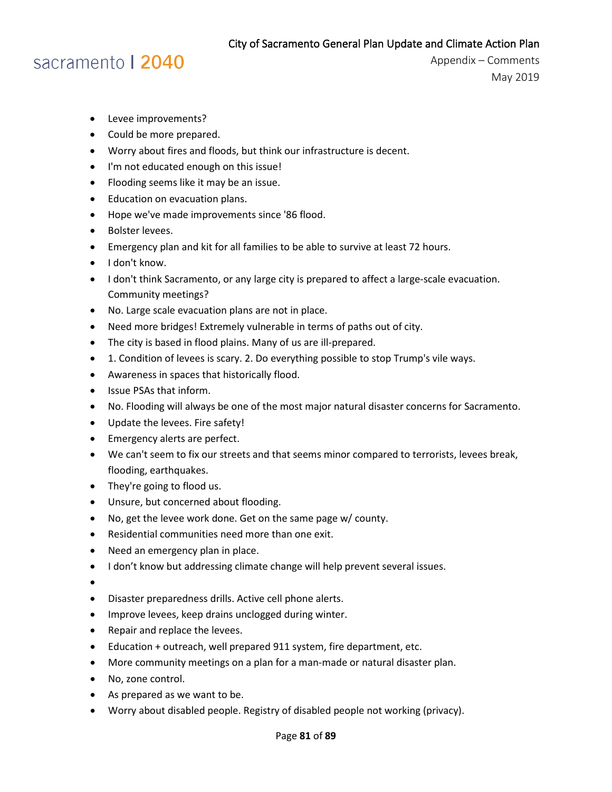## sacramento | 2040

- Levee improvements?
- Could be more prepared.
- Worry about fires and floods, but think our infrastructure is decent.
- I'm not educated enough on this issue!
- Flooding seems like it may be an issue.
- Education on evacuation plans.
- Hope we've made improvements since '86 flood.
- Bolster levees.
- Emergency plan and kit for all families to be able to survive at least 72 hours.
- I don't know.
- I don't think Sacramento, or any large city is prepared to affect a large-scale evacuation. Community meetings?
- No. Large scale evacuation plans are not in place.
- Need more bridges! Extremely vulnerable in terms of paths out of city.
- The city is based in flood plains. Many of us are ill-prepared.
- 1. Condition of levees is scary. 2. Do everything possible to stop Trump's vile ways.
- Awareness in spaces that historically flood.
- Issue PSAs that inform.
- No. Flooding will always be one of the most major natural disaster concerns for Sacramento.
- Update the levees. Fire safety!
- Emergency alerts are perfect.
- We can't seem to fix our streets and that seems minor compared to terrorists, levees break, flooding, earthquakes.
- They're going to flood us.
- Unsure, but concerned about flooding.
- No, get the levee work done. Get on the same page w/ county.
- Residential communities need more than one exit.
- Need an emergency plan in place.
- I don't know but addressing climate change will help prevent several issues.
- •
- Disaster preparedness drills. Active cell phone alerts.
- Improve levees, keep drains unclogged during winter.
- Repair and replace the levees.
- Education + outreach, well prepared 911 system, fire department, etc.
- More community meetings on a plan for a man-made or natural disaster plan.
- No, zone control.
- As prepared as we want to be.
- Worry about disabled people. Registry of disabled people not working (privacy).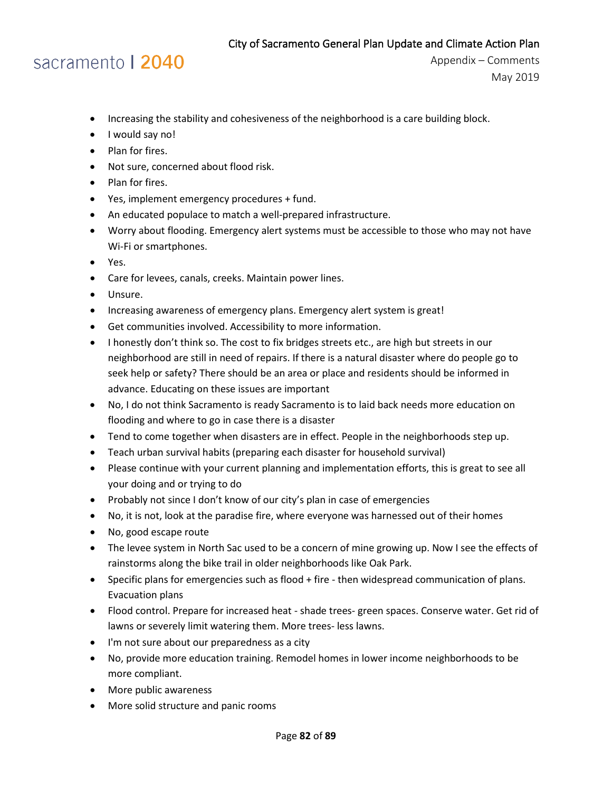- Increasing the stability and cohesiveness of the neighborhood is a care building block.
- I would say no!
- Plan for fires.
- Not sure, concerned about flood risk.
- Plan for fires.
- Yes, implement emergency procedures + fund.
- An educated populace to match a well-prepared infrastructure.
- Worry about flooding. Emergency alert systems must be accessible to those who may not have Wi-Fi or smartphones.
- Yes.
- Care for levees, canals, creeks. Maintain power lines.
- Unsure.
- Increasing awareness of emergency plans. Emergency alert system is great!
- Get communities involved. Accessibility to more information.
- I honestly don't think so. The cost to fix bridges streets etc., are high but streets in our neighborhood are still in need of repairs. If there is a natural disaster where do people go to seek help or safety? There should be an area or place and residents should be informed in advance. Educating on these issues are important
- No, I do not think Sacramento is ready Sacramento is to laid back needs more education on flooding and where to go in case there is a disaster
- Tend to come together when disasters are in effect. People in the neighborhoods step up.
- Teach urban survival habits (preparing each disaster for household survival)
- Please continue with your current planning and implementation efforts, this is great to see all your doing and or trying to do
- Probably not since I don't know of our city's plan in case of emergencies
- No, it is not, look at the paradise fire, where everyone was harnessed out of their homes
- No, good escape route
- The levee system in North Sac used to be a concern of mine growing up. Now I see the effects of rainstorms along the bike trail in older neighborhoods like Oak Park.
- Specific plans for emergencies such as flood + fire then widespread communication of plans. Evacuation plans
- Flood control. Prepare for increased heat shade trees- green spaces. Conserve water. Get rid of lawns or severely limit watering them. More trees- less lawns.
- I'm not sure about our preparedness as a city
- No, provide more education training. Remodel homes in lower income neighborhoods to be more compliant.
- More public awareness
- More solid structure and panic rooms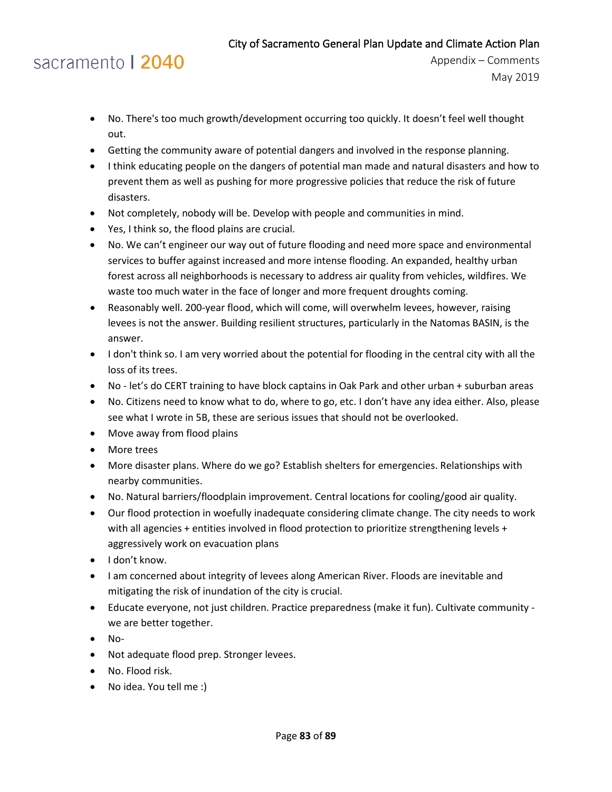- No. There's too much growth/development occurring too quickly. It doesn't feel well thought out.
- Getting the community aware of potential dangers and involved in the response planning.
- I think educating people on the dangers of potential man made and natural disasters and how to prevent them as well as pushing for more progressive policies that reduce the risk of future disasters.
- Not completely, nobody will be. Develop with people and communities in mind.
- Yes, I think so, the flood plains are crucial.
- No. We can't engineer our way out of future flooding and need more space and environmental services to buffer against increased and more intense flooding. An expanded, healthy urban forest across all neighborhoods is necessary to address air quality from vehicles, wildfires. We waste too much water in the face of longer and more frequent droughts coming.
- Reasonably well. 200-year flood, which will come, will overwhelm levees, however, raising levees is not the answer. Building resilient structures, particularly in the Natomas BASIN, is the answer.
- I don't think so. I am very worried about the potential for flooding in the central city with all the loss of its trees.
- No let's do CERT training to have block captains in Oak Park and other urban + suburban areas
- No. Citizens need to know what to do, where to go, etc. I don't have any idea either. Also, please see what I wrote in 5B, these are serious issues that should not be overlooked.
- Move away from flood plains
- More trees
- More disaster plans. Where do we go? Establish shelters for emergencies. Relationships with nearby communities.
- No. Natural barriers/floodplain improvement. Central locations for cooling/good air quality.
- Our flood protection in woefully inadequate considering climate change. The city needs to work with all agencies + entities involved in flood protection to prioritize strengthening levels + aggressively work on evacuation plans
- I don't know.
- I am concerned about integrity of levees along American River. Floods are inevitable and mitigating the risk of inundation of the city is crucial.
- Educate everyone, not just children. Practice preparedness (make it fun). Cultivate community we are better together.
- No-
- Not adequate flood prep. Stronger levees.
- No. Flood risk.
- No idea. You tell me :)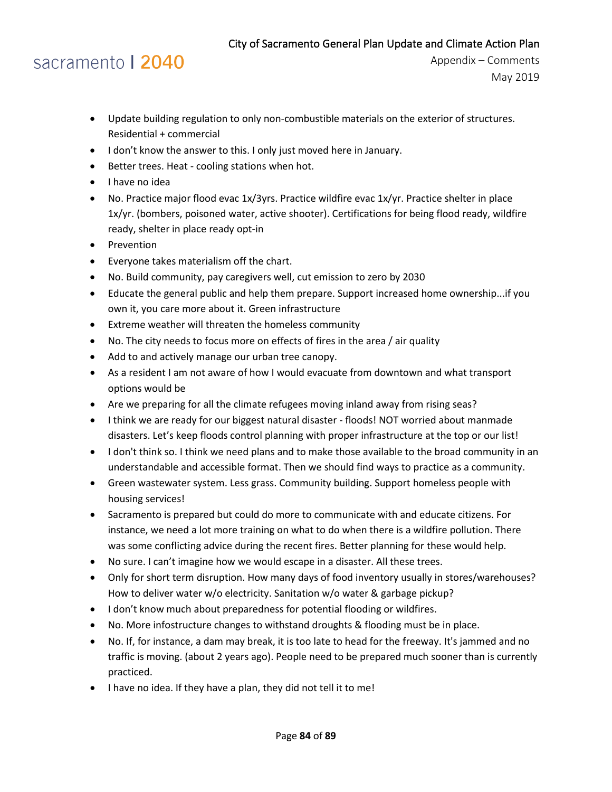# sacramento | 2040

- Update building regulation to only non-combustible materials on the exterior of structures. Residential + commercial
- I don't know the answer to this. I only just moved here in January.
- Better trees. Heat cooling stations when hot.
- I have no idea
- No. Practice major flood evac 1x/3yrs. Practice wildfire evac 1x/yr. Practice shelter in place 1x/yr. (bombers, poisoned water, active shooter). Certifications for being flood ready, wildfire ready, shelter in place ready opt-in
- Prevention
- Everyone takes materialism off the chart.
- No. Build community, pay caregivers well, cut emission to zero by 2030
- Educate the general public and help them prepare. Support increased home ownership...if you own it, you care more about it. Green infrastructure
- Extreme weather will threaten the homeless community
- No. The city needs to focus more on effects of fires in the area / air quality
- Add to and actively manage our urban tree canopy.
- As a resident I am not aware of how I would evacuate from downtown and what transport options would be
- Are we preparing for all the climate refugees moving inland away from rising seas?
- I think we are ready for our biggest natural disaster floods! NOT worried about manmade disasters. Let's keep floods control planning with proper infrastructure at the top or our list!
- I don't think so. I think we need plans and to make those available to the broad community in an understandable and accessible format. Then we should find ways to practice as a community.
- Green wastewater system. Less grass. Community building. Support homeless people with housing services!
- Sacramento is prepared but could do more to communicate with and educate citizens. For instance, we need a lot more training on what to do when there is a wildfire pollution. There was some conflicting advice during the recent fires. Better planning for these would help.
- No sure. I can't imagine how we would escape in a disaster. All these trees.
- Only for short term disruption. How many days of food inventory usually in stores/warehouses? How to deliver water w/o electricity. Sanitation w/o water & garbage pickup?
- I don't know much about preparedness for potential flooding or wildfires.
- No. More infostructure changes to withstand droughts & flooding must be in place.
- No. If, for instance, a dam may break, it is too late to head for the freeway. It's jammed and no traffic is moving. (about 2 years ago). People need to be prepared much sooner than is currently practiced.
- I have no idea. If they have a plan, they did not tell it to me!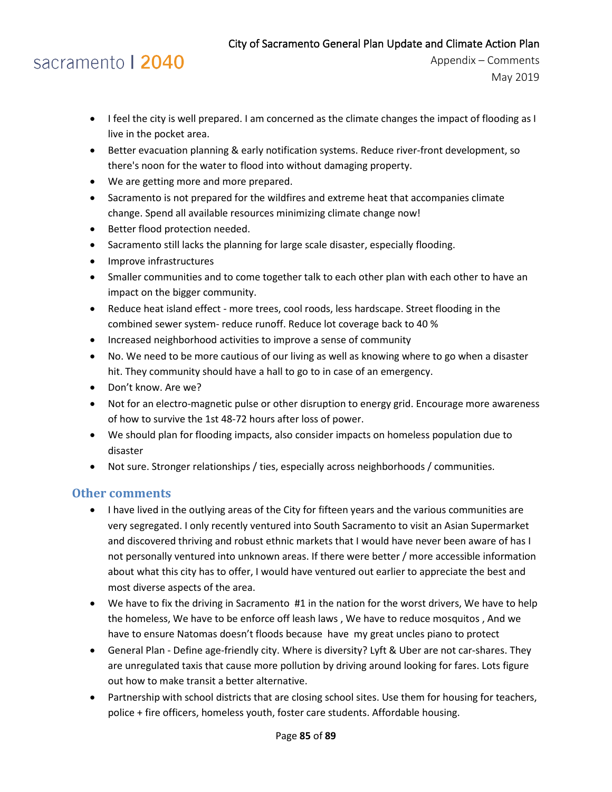# sacramento | 2040

- I feel the city is well prepared. I am concerned as the climate changes the impact of flooding as I live in the pocket area.
- Better evacuation planning & early notification systems. Reduce river-front development, so there's noon for the water to flood into without damaging property.
- We are getting more and more prepared.
- Sacramento is not prepared for the wildfires and extreme heat that accompanies climate change. Spend all available resources minimizing climate change now!
- Better flood protection needed.
- Sacramento still lacks the planning for large scale disaster, especially flooding.
- Improve infrastructures
- Smaller communities and to come together talk to each other plan with each other to have an impact on the bigger community.
- Reduce heat island effect more trees, cool roods, less hardscape. Street flooding in the combined sewer system- reduce runoff. Reduce lot coverage back to 40 %
- Increased neighborhood activities to improve a sense of community
- No. We need to be more cautious of our living as well as knowing where to go when a disaster hit. They community should have a hall to go to in case of an emergency.
- Don't know. Are we?
- Not for an electro-magnetic pulse or other disruption to energy grid. Encourage more awareness of how to survive the 1st 48-72 hours after loss of power.
- We should plan for flooding impacts, also consider impacts on homeless population due to disaster
- Not sure. Stronger relationships / ties, especially across neighborhoods / communities.

### **Other comments**

- I have lived in the outlying areas of the City for fifteen years and the various communities are very segregated. I only recently ventured into South Sacramento to visit an Asian Supermarket and discovered thriving and robust ethnic markets that I would have never been aware of has I not personally ventured into unknown areas. If there were better / more accessible information about what this city has to offer, I would have ventured out earlier to appreciate the best and most diverse aspects of the area.
- We have to fix the driving in Sacramento #1 in the nation for the worst drivers, We have to help the homeless, We have to be enforce off leash laws , We have to reduce mosquitos , And we have to ensure Natomas doesn't floods because have my great uncles piano to protect
- General Plan Define age-friendly city. Where is diversity? Lyft & Uber are not car-shares. They are unregulated taxis that cause more pollution by driving around looking for fares. Lots figure out how to make transit a better alternative.
- Partnership with school districts that are closing school sites. Use them for housing for teachers, police + fire officers, homeless youth, foster care students. Affordable housing.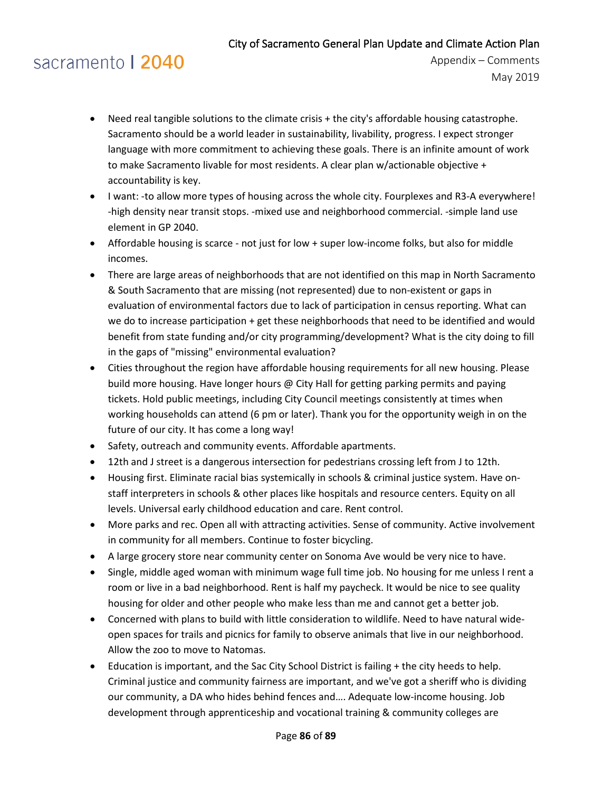# sacramento | 2040

- Need real tangible solutions to the climate crisis + the city's affordable housing catastrophe. Sacramento should be a world leader in sustainability, livability, progress. I expect stronger language with more commitment to achieving these goals. There is an infinite amount of work to make Sacramento livable for most residents. A clear plan w/actionable objective + accountability is key.
- I want: -to allow more types of housing across the whole city. Fourplexes and R3-A everywhere! -high density near transit stops. -mixed use and neighborhood commercial. -simple land use element in GP 2040.
- Affordable housing is scarce not just for low + super low-income folks, but also for middle incomes.
- There are large areas of neighborhoods that are not identified on this map in North Sacramento & South Sacramento that are missing (not represented) due to non-existent or gaps in evaluation of environmental factors due to lack of participation in census reporting. What can we do to increase participation + get these neighborhoods that need to be identified and would benefit from state funding and/or city programming/development? What is the city doing to fill in the gaps of "missing" environmental evaluation?
- Cities throughout the region have affordable housing requirements for all new housing. Please build more housing. Have longer hours @ City Hall for getting parking permits and paying tickets. Hold public meetings, including City Council meetings consistently at times when working households can attend (6 pm or later). Thank you for the opportunity weigh in on the future of our city. It has come a long way!
- Safety, outreach and community events. Affordable apartments.
- 12th and J street is a dangerous intersection for pedestrians crossing left from J to 12th.
- Housing first. Eliminate racial bias systemically in schools & criminal justice system. Have onstaff interpreters in schools & other places like hospitals and resource centers. Equity on all levels. Universal early childhood education and care. Rent control.
- More parks and rec. Open all with attracting activities. Sense of community. Active involvement in community for all members. Continue to foster bicycling.
- A large grocery store near community center on Sonoma Ave would be very nice to have.
- Single, middle aged woman with minimum wage full time job. No housing for me unless I rent a room or live in a bad neighborhood. Rent is half my paycheck. It would be nice to see quality housing for older and other people who make less than me and cannot get a better job.
- Concerned with plans to build with little consideration to wildlife. Need to have natural wideopen spaces for trails and picnics for family to observe animals that live in our neighborhood. Allow the zoo to move to Natomas.
- Education is important, and the Sac City School District is failing + the city heeds to help. Criminal justice and community fairness are important, and we've got a sheriff who is dividing our community, a DA who hides behind fences and…. Adequate low-income housing. Job development through apprenticeship and vocational training & community colleges are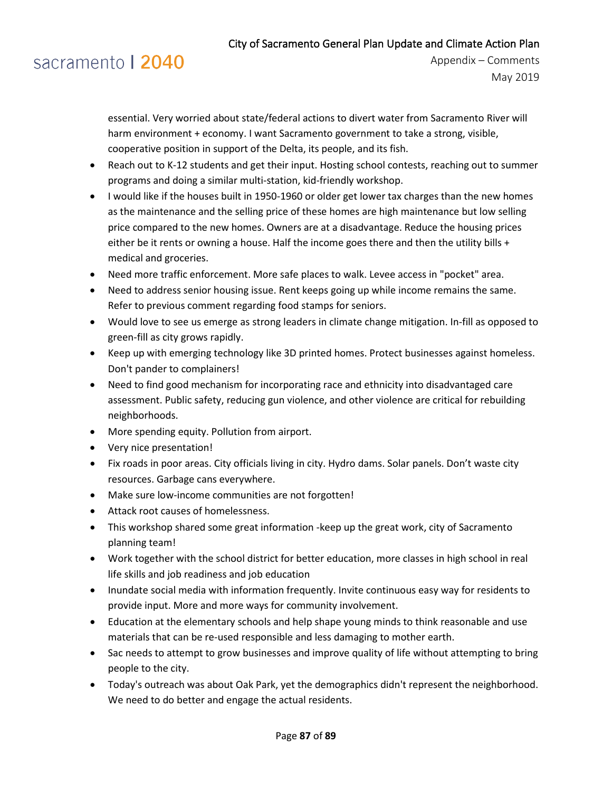# sacramento | 2040

essential. Very worried about state/federal actions to divert water from Sacramento River will harm environment + economy. I want Sacramento government to take a strong, visible, cooperative position in support of the Delta, its people, and its fish.

- Reach out to K-12 students and get their input. Hosting school contests, reaching out to summer programs and doing a similar multi-station, kid-friendly workshop.
- I would like if the houses built in 1950-1960 or older get lower tax charges than the new homes as the maintenance and the selling price of these homes are high maintenance but low selling price compared to the new homes. Owners are at a disadvantage. Reduce the housing prices either be it rents or owning a house. Half the income goes there and then the utility bills + medical and groceries.
- Need more traffic enforcement. More safe places to walk. Levee access in "pocket" area.
- Need to address senior housing issue. Rent keeps going up while income remains the same. Refer to previous comment regarding food stamps for seniors.
- Would love to see us emerge as strong leaders in climate change mitigation. In-fill as opposed to green-fill as city grows rapidly.
- Keep up with emerging technology like 3D printed homes. Protect businesses against homeless. Don't pander to complainers!
- Need to find good mechanism for incorporating race and ethnicity into disadvantaged care assessment. Public safety, reducing gun violence, and other violence are critical for rebuilding neighborhoods.
- More spending equity. Pollution from airport.
- Very nice presentation!
- Fix roads in poor areas. City officials living in city. Hydro dams. Solar panels. Don't waste city resources. Garbage cans everywhere.
- Make sure low-income communities are not forgotten!
- Attack root causes of homelessness.
- This workshop shared some great information -keep up the great work, city of Sacramento planning team!
- Work together with the school district for better education, more classes in high school in real life skills and job readiness and job education
- Inundate social media with information frequently. Invite continuous easy way for residents to provide input. More and more ways for community involvement.
- Education at the elementary schools and help shape young minds to think reasonable and use materials that can be re-used responsible and less damaging to mother earth.
- Sac needs to attempt to grow businesses and improve quality of life without attempting to bring people to the city.
- Today's outreach was about Oak Park, yet the demographics didn't represent the neighborhood. We need to do better and engage the actual residents.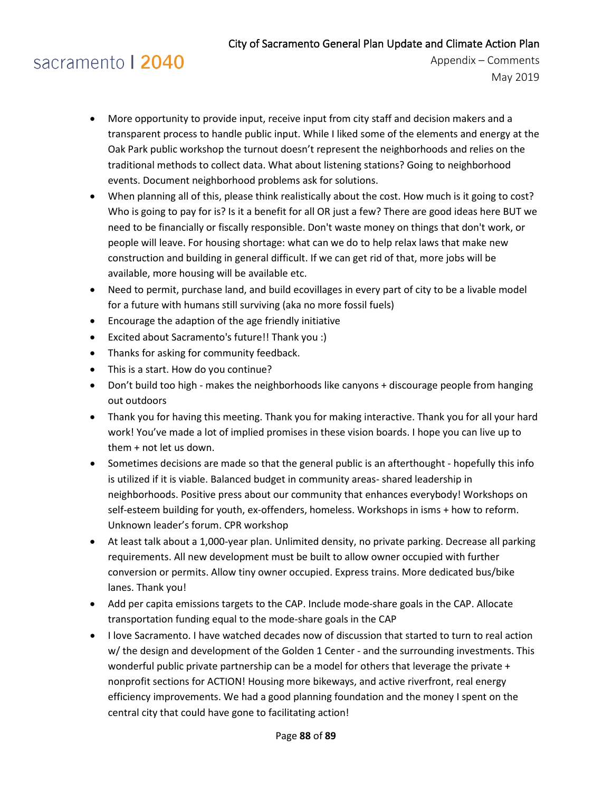# sacramento | 2040

- More opportunity to provide input, receive input from city staff and decision makers and a transparent process to handle public input. While I liked some of the elements and energy at the Oak Park public workshop the turnout doesn't represent the neighborhoods and relies on the traditional methods to collect data. What about listening stations? Going to neighborhood events. Document neighborhood problems ask for solutions.
- When planning all of this, please think realistically about the cost. How much is it going to cost? Who is going to pay for is? Is it a benefit for all OR just a few? There are good ideas here BUT we need to be financially or fiscally responsible. Don't waste money on things that don't work, or people will leave. For housing shortage: what can we do to help relax laws that make new construction and building in general difficult. If we can get rid of that, more jobs will be available, more housing will be available etc.
- Need to permit, purchase land, and build ecovillages in every part of city to be a livable model for a future with humans still surviving (aka no more fossil fuels)
- Encourage the adaption of the age friendly initiative
- Excited about Sacramento's future!! Thank you :)
- Thanks for asking for community feedback.
- This is a start. How do you continue?
- Don't build too high makes the neighborhoods like canyons + discourage people from hanging out outdoors
- Thank you for having this meeting. Thank you for making interactive. Thank you for all your hard work! You've made a lot of implied promises in these vision boards. I hope you can live up to them + not let us down.
- Sometimes decisions are made so that the general public is an afterthought hopefully this info is utilized if it is viable. Balanced budget in community areas- shared leadership in neighborhoods. Positive press about our community that enhances everybody! Workshops on self-esteem building for youth, ex-offenders, homeless. Workshops in isms + how to reform. Unknown leader's forum. CPR workshop
- At least talk about a 1,000-year plan. Unlimited density, no private parking. Decrease all parking requirements. All new development must be built to allow owner occupied with further conversion or permits. Allow tiny owner occupied. Express trains. More dedicated bus/bike lanes. Thank you!
- Add per capita emissions targets to the CAP. Include mode-share goals in the CAP. Allocate transportation funding equal to the mode-share goals in the CAP
- I love Sacramento. I have watched decades now of discussion that started to turn to real action w/ the design and development of the Golden 1 Center - and the surrounding investments. This wonderful public private partnership can be a model for others that leverage the private + nonprofit sections for ACTION! Housing more bikeways, and active riverfront, real energy efficiency improvements. We had a good planning foundation and the money I spent on the central city that could have gone to facilitating action!